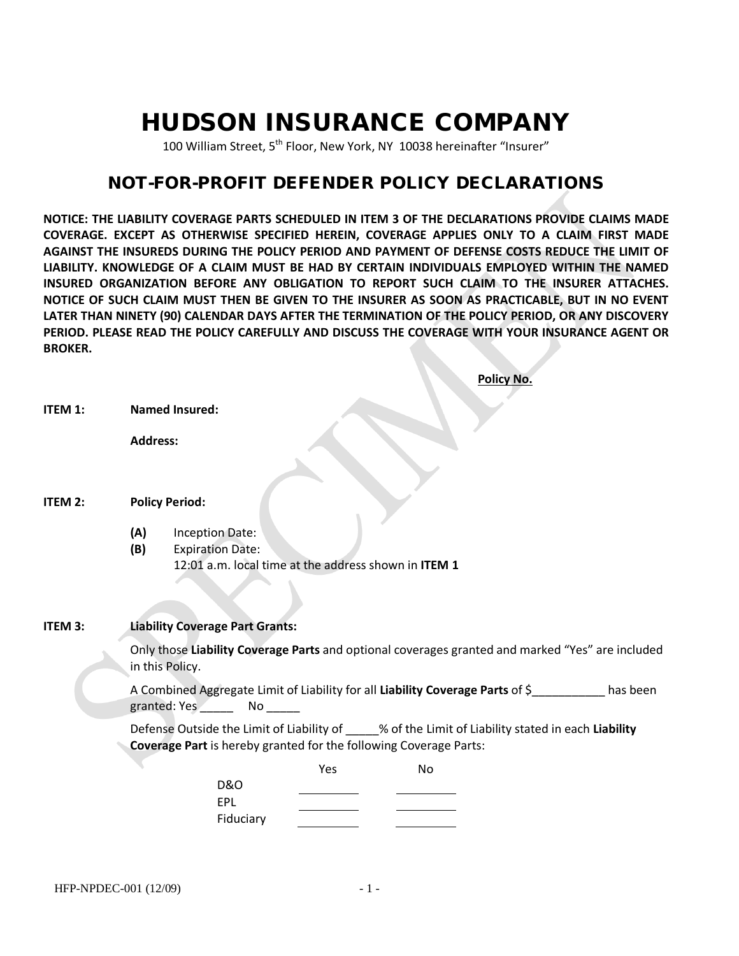# HUDSON INSURANCE COMPANY

100 William Street, 5<sup>th</sup> Floor, New York, NY 10038 hereinafter "Insurer"

# NOT-FOR-PROFIT DEFENDER POLICY DECLARATIONS

**NOTICE: THE LIABILITY COVERAGE PARTS SCHEDULED IN ITEM 3 OF THE DECLARATIONS PROVIDE CLAIMS MADE COVERAGE. EXCEPT AS OTHERWISE SPECIFIED HEREIN, COVERAGE APPLIES ONLY TO A CLAIM FIRST MADE AGAINST THE INSUREDS DURING THE POLICY PERIOD AND PAYMENT OF DEFENSE COSTS REDUCE THE LIMIT OF LIABILITY. KNOWLEDGE OF A CLAIM MUST BE HAD BY CERTAIN INDIVIDUALS EMPLOYED WITHIN THE NAMED INSURED ORGANIZATION BEFORE ANY OBLIGATION TO REPORT SUCH CLAIM TO THE INSURER ATTACHES. NOTICE OF SUCH CLAIM MUST THEN BE GIVEN TO THE INSURER AS SOON AS PRACTICABLE, BUT IN NO EVENT LATER THAN NINETY (90) CALENDAR DAYS AFTER THE TERMINATION OF THE POLICY PERIOD, OR ANY DISCOVERY PERIOD. PLEASE READ THE POLICY CAREFULLY AND DISCUSS THE COVERAGE WITH YOUR INSURANCE AGENT OR BROKER.**

|                                                                                                                   |                                                                                                                                                                         | <b>Policy No.</b>                                                                                         |  |  |  |
|-------------------------------------------------------------------------------------------------------------------|-------------------------------------------------------------------------------------------------------------------------------------------------------------------------|-----------------------------------------------------------------------------------------------------------|--|--|--|
| ITEM 1:                                                                                                           |                                                                                                                                                                         | <b>Named Insured:</b>                                                                                     |  |  |  |
|                                                                                                                   | <b>Address:</b>                                                                                                                                                         |                                                                                                           |  |  |  |
|                                                                                                                   |                                                                                                                                                                         |                                                                                                           |  |  |  |
| ITEM 2:                                                                                                           | <b>Policy Period:</b>                                                                                                                                                   |                                                                                                           |  |  |  |
|                                                                                                                   | (A)<br>(B)                                                                                                                                                              | <b>Inception Date:</b><br><b>Expiration Date:</b><br>12:01 a.m. local time at the address shown in ITEM 1 |  |  |  |
|                                                                                                                   |                                                                                                                                                                         |                                                                                                           |  |  |  |
| ITEM 3:                                                                                                           | <b>Liability Coverage Part Grants:</b>                                                                                                                                  |                                                                                                           |  |  |  |
|                                                                                                                   | Only those Liability Coverage Parts and optional coverages granted and marked "Yes" are included<br>in this Policy.                                                     |                                                                                                           |  |  |  |
| A Combined Aggregate Limit of Liability for all Liability Coverage Parts of \$<br>granted: Yes ________ No ______ |                                                                                                                                                                         |                                                                                                           |  |  |  |
|                                                                                                                   | Defense Outside the Limit of Liability of ____% of the Limit of Liability stated in each Liability<br>Coverage Part is hereby granted for the following Coverage Parts: |                                                                                                           |  |  |  |
|                                                                                                                   |                                                                                                                                                                         | Yes<br>No                                                                                                 |  |  |  |
|                                                                                                                   |                                                                                                                                                                         | <b>D&amp;O</b>                                                                                            |  |  |  |
|                                                                                                                   |                                                                                                                                                                         | EPL                                                                                                       |  |  |  |
|                                                                                                                   |                                                                                                                                                                         | Fiduciary                                                                                                 |  |  |  |
|                                                                                                                   |                                                                                                                                                                         |                                                                                                           |  |  |  |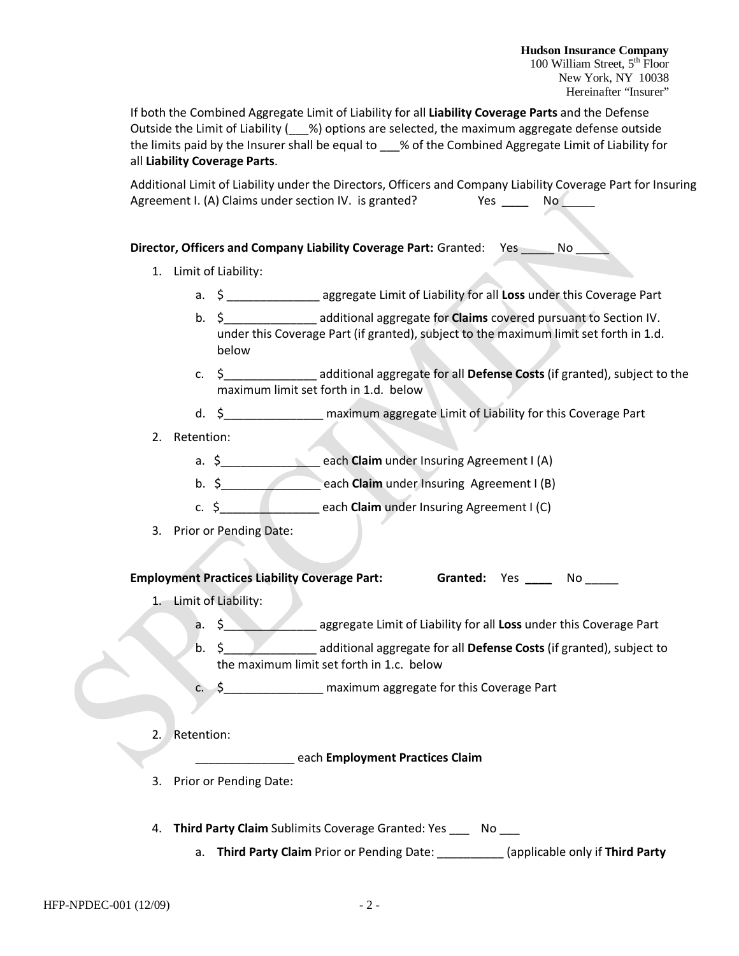If both the Combined Aggregate Limit of Liability for all **Liability Coverage Parts** and the Defense Outside the Limit of Liability  $($  %) options are selected, the maximum aggregate defense outside the limits paid by the Insurer shall be equal to \_\_\_% of the Combined Aggregate Limit of Liability for all **Liability Coverage Parts**.

Additional Limit of Liability under the Directors, Officers and Company Liability Coverage Part for Insuring Agreement I. (A) Claims under section IV. is granted? Yes \_\_\_\_ No

#### **Director, Officers and Company Liability Coverage Part:** Granted: Yes \_\_\_\_\_ No \_\_\_\_\_

- 1. Limit of Liability:
	- a. \$ \_\_\_\_\_\_\_\_\_\_\_\_\_\_ aggregate Limit of Liability for all **Loss** under this Coverage Part
	- b. \$\_\_\_\_\_\_\_\_\_\_\_\_\_\_ additional aggregate for **Claims** covered pursuant to Section IV. under this Coverage Part (if granted), subject to the maximum limit set forth in 1.d. below
	- c. \$\_\_\_\_\_\_\_\_\_\_\_\_\_\_ additional aggregate for all **Defense Costs** (if granted), subject to the maximum limit set forth in 1.d. below
	- d. \$\_\_\_\_\_\_\_\_\_\_\_\_\_\_\_ maximum aggregate Limit of Liability for this Coverage Part
- 2. Retention:
	- a. \$\_\_\_\_\_\_\_\_\_\_\_\_\_\_\_ each **Claim** under Insuring Agreement I (A)
	- b. \$\_\_\_\_\_\_\_\_\_\_\_\_\_\_\_ each **Claim** under Insuring Agreement I (B)
	- c. \$\_\_\_\_\_\_\_\_\_\_\_\_\_\_\_ each **Claim** under Insuring Agreement I (C)
- 3. Prior or Pending Date:

#### **Employment Practices Liability Coverage Part: Granted: Yes \_\_\_\_ No \_\_\_\_\_**

- 1. Limit of Liability:
	- a. \$\_\_\_\_\_\_\_\_\_\_\_\_\_\_ aggregate Limit of Liability for all **Loss** under this Coverage Part
	- b. \$\_\_\_\_\_\_\_\_\_\_\_\_\_\_ additional aggregate for all **Defense Costs** (if granted), subject to the maximum limit set forth in 1.c. below
	- c. \$ maximum aggregate for this Coverage Part
- 2. Retention:

\_\_\_\_\_\_\_\_\_\_\_\_\_\_\_ each **Employment Practices Claim**

- 3. Prior or Pending Date:
- 4. **Third Party Claim** Sublimits Coverage Granted: Yes \_\_\_ No \_\_\_
	- a. **Third Party Claim** Prior or Pending Date: \_\_\_\_\_\_\_\_\_\_ (applicable only if **Third Party**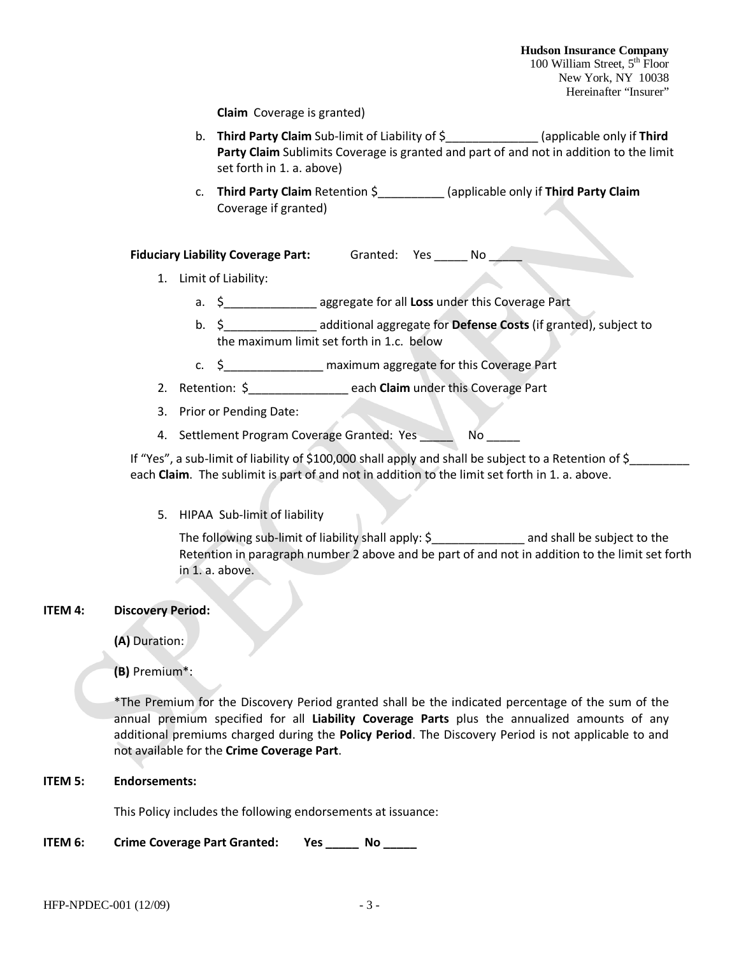**Claim** Coverage is granted)

- b. **Third Party Claim** Sub-limit of Liability of \$\_\_\_\_\_\_\_\_\_\_\_\_\_\_ (applicable only if **Third Party Claim** Sublimits Coverage is granted and part of and not in addition to the limit set forth in 1. a. above)
- c. **Third Party Claim** Retention \$\_\_\_\_\_\_\_\_\_\_ (applicable only if **Third Party Claim** Coverage if granted)

**Fiduciary Liability Coverage Part:** Granted: Yes \_\_\_\_\_ No \_\_\_\_\_

- 1. Limit of Liability:
	- a. \$\_\_\_\_\_\_\_\_\_\_\_\_\_\_ aggregate for all **Loss** under this Coverage Part
	- b. \$\_\_\_\_\_\_\_\_\_\_\_\_\_\_ additional aggregate for **Defense Costs** (if granted), subject to the maximum limit set forth in 1.c. below
	- c. \$\_\_\_\_\_\_\_\_\_\_\_\_\_\_\_ maximum aggregate for this Coverage Part
- 2. Retention: \$\_\_\_\_\_\_\_\_\_\_\_\_\_\_\_ each **Claim** under this Coverage Part
- 3. Prior or Pending Date:
- 4. Settlement Program Coverage Granted: Yes No

If "Yes", a sub-limit of liability of \$100,000 shall apply and shall be subject to a Retention of \$ each **Claim**.The sublimit is part of and not in addition to the limit set forth in 1. a. above.

5. HIPAA Sub-limit of liability

The following sub-limit of liability shall apply: \$\_\_\_\_\_\_\_\_\_\_\_\_\_\_\_\_\_\_\_\_\_\_ and shall be subject to the Retention in paragraph number 2 above and be part of and not in addition to the limit set forth in 1. a. above.

#### **ITEM 4: Discovery Period:**

**(A)** Duration:

**(B)** Premium\*:

\*The Premium for the Discovery Period granted shall be the indicated percentage of the sum of the annual premium specified for all **Liability Coverage Parts** plus the annualized amounts of any additional premiums charged during the **Policy Period**. The Discovery Period is not applicable to and not available for the **Crime Coverage Part**.

#### **ITEM 5: Endorsements:**

This Policy includes the following endorsements at issuance:

**ITEM 6:** Crime Coverage Part Granted: Yes \_\_\_\_\_ No \_\_\_\_\_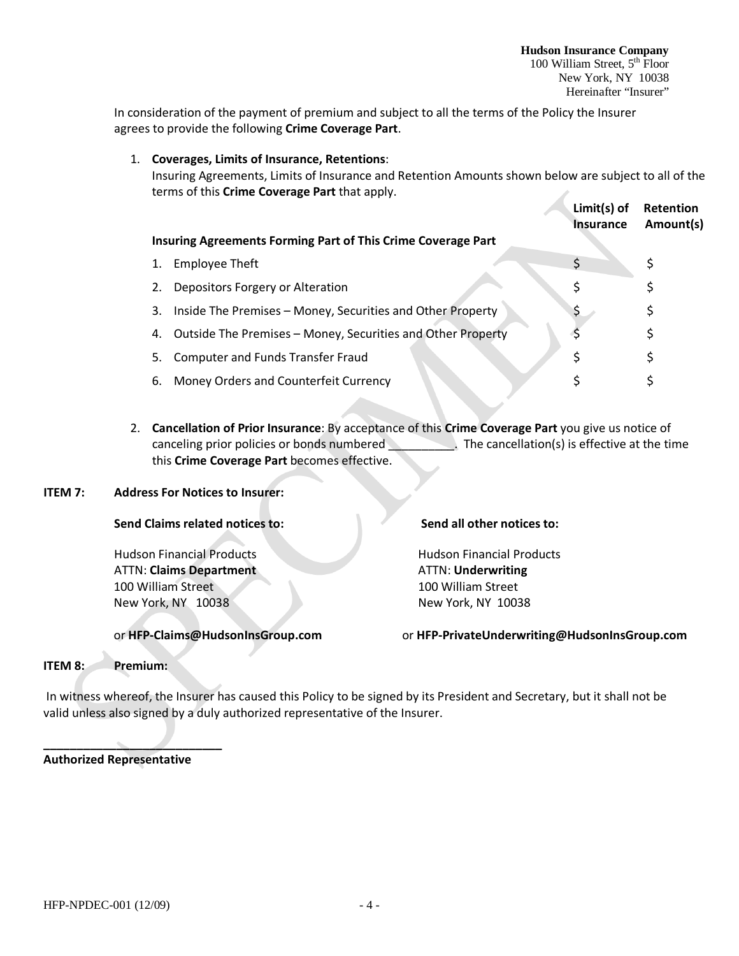In consideration of the payment of premium and subject to all the terms of the Policy the Insurer agrees to provide the following **Crime Coverage Part**.

1. **Coverages, Limits of Insurance, Retentions**: Insuring Agreements, Limits of Insurance and Retention Amounts shown below are subject to all of the terms of this **Crime Coverage Part** that apply. **Limit(s) of Retention Insurance Amount(s)**

|    | Insuring Agreements Forming Part of This Crime Coverage Part |   | . |
|----|--------------------------------------------------------------|---|---|
|    | <b>Employee Theft</b>                                        |   |   |
| 2. | Depositors Forgery or Alteration                             |   |   |
| 3. | Inside The Premises - Money, Securities and Other Property   | Ş |   |
| 4. | Outside The Premises - Money, Securities and Other Property  |   |   |
| 5. | <b>Computer and Funds Transfer Fraud</b>                     |   |   |
| 6. | Money Orders and Counterfeit Currency                        |   |   |

2. **Cancellation of Prior Insurance**: By acceptance of this **Crime Coverage Part** you give us notice of canceling prior policies or bonds numbered . The cancellation(s) is effective at the time this **Crime Coverage Part** becomes effective.

#### **ITEM 7: Address For Notices to Insurer:**

#### **Send Claims related notices to: Send all other notices to:**

Hudson Financial Products Hudson Financial Products ATTN: **Claims Department** ATTN: **Underwriting** 100 William Street 100 William Street New York, NY 10038 New York, NY 10038

or **HFP-Claims@HudsonInsGroup.com** or **HFP-PrivateUnderwriting@HudsonInsGroup.com**

#### **ITEM 8: Premium:**

In witness whereof, the Insurer has caused this Policy to be signed by its President and Secretary, but it shall not be valid unless also signed by a duly authorized representative of the Insurer.

**Authorized Representative**

**\_\_\_\_\_\_\_\_\_\_\_\_\_\_\_\_\_\_\_\_\_\_\_\_\_\_\_**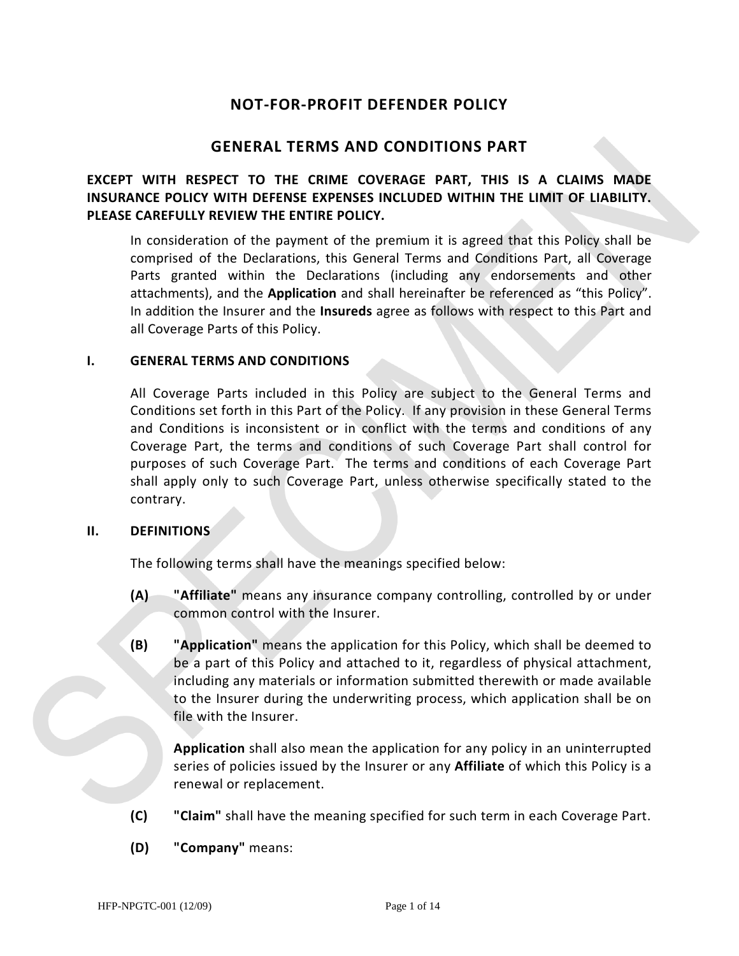# **NOT-FOR-PROFIT DEFENDER POLICY**

# **GENERAL TERMS AND CONDITIONS PART**

# **EXCEPT WITH RESPECT TO THE CRIME COVERAGE PART, THIS IS A CLAIMS MADE INSURANCE POLICY WITH DEFENSE EXPENSES INCLUDED WITHIN THE LIMIT OF LIABILITY. PLEASE CAREFULLY REVIEW THE ENTIRE POLICY.**

In consideration of the payment of the premium it is agreed that this Policy shall be comprised of the Declarations, this General Terms and Conditions Part, all Coverage Parts granted within the Declarations (including any endorsements and other attachments), and the **Application** and shall hereinafter be referenced as "this Policy". In addition the Insurer and the **Insureds** agree as follows with respect to this Part and all Coverage Parts of this Policy.

#### **I. GENERAL TERMS AND CONDITIONS**

All Coverage Parts included in this Policy are subject to the General Terms and Conditions set forth in this Part of the Policy. If any provision in these General Terms and Conditions is inconsistent or in conflict with the terms and conditions of any Coverage Part, the terms and conditions of such Coverage Part shall control for purposes of such Coverage Part. The terms and conditions of each Coverage Part shall apply only to such Coverage Part, unless otherwise specifically stated to the contrary.

#### **II. DEFINITIONS**

The following terms shall have the meanings specified below:

- **(A) "Affiliate"** means any insurance company controlling, controlled by or under common control with the Insurer.
- **(B) "Application"** means the application for this Policy, which shall be deemed to be a part of this Policy and attached to it, regardless of physical attachment, including any materials or information submitted therewith or made available to the Insurer during the underwriting process, which application shall be on file with the Insurer.

**Application** shall also mean the application for any policy in an uninterrupted series of policies issued by the Insurer or any **Affiliate** of which this Policy is a renewal or replacement.

- **(C) "Claim"** shall have the meaning specified for such term in each Coverage Part.
- **(D) "Company"** means: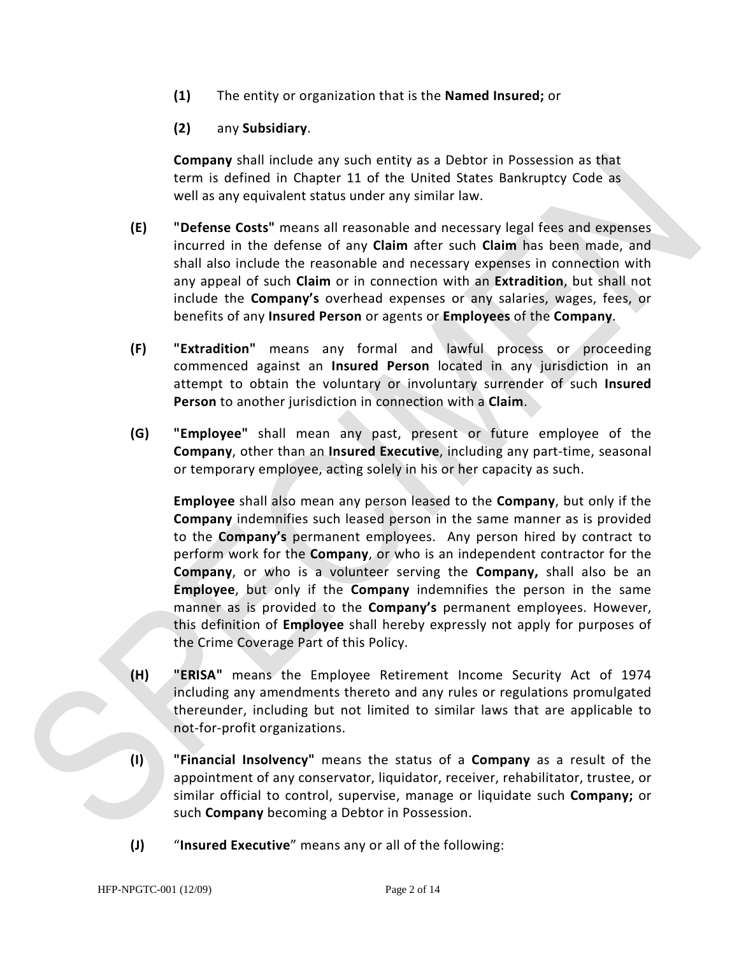**(1)** The entity or organization that is the **Named Insured;** or

# **(2)** any **Subsidiary**.

**Company** shall include any such entity as a Debtor in Possession as that term is defined in Chapter 11 of the United States Bankruptcy Code as well as any equivalent status under any similar law.

- **(E) "Defense Costs"** means all reasonable and necessary legal fees and expenses incurred in the defense of any **Claim** after such **Claim** has been made, and shall also include the reasonable and necessary expenses in connection with any appeal of such **Claim** or in connection with an **Extradition**, but shall not include the **Company's** overhead expenses or any salaries, wages, fees, or benefits of any **Insured Person** or agents or **Employees** of the **Company**.
- **(F) "Extradition"** means any formal and lawful process or proceeding commenced against an **Insured Person** located in any jurisdiction in an attempt to obtain the voluntary or involuntary surrender of such **Insured Person** to another jurisdiction in connection with a **Claim**.
- **(G) "Employee"** shall mean any past, present or future employee of the **Company**, other than an **Insured Executive**, including any part-time, seasonal or temporary employee, acting solely in his or her capacity as such.

**Employee** shall also mean any person leased to the **Company**, but only if the **Company** indemnifies such leased person in the same manner as is provided to the **Company's** permanent employees. Any person hired by contract to perform work for the **Company**, or who is an independent contractor for the **Company**, or who is a volunteer serving the **Company,** shall also be an **Employee**, but only if the **Company** indemnifies the person in the same manner as is provided to the **Company's** permanent employees. However, this definition of **Employee** shall hereby expressly not apply for purposes of the Crime Coverage Part of this Policy.

- **(H) "ERISA"** means the Employee Retirement Income Security Act of 1974 including any amendments thereto and any rules or regulations promulgated thereunder, including but not limited to similar laws that are applicable to not-for-profit organizations.
- **(I) "Financial Insolvency"** means the status of a **Company** as a result of the appointment of any conservator, liquidator, receiver, rehabilitator, trustee, or similar official to control, supervise, manage or liquidate such **Company;** or such **Company** becoming a Debtor in Possession.
- **(J)** "**Insured Executive**" means any or all of the following: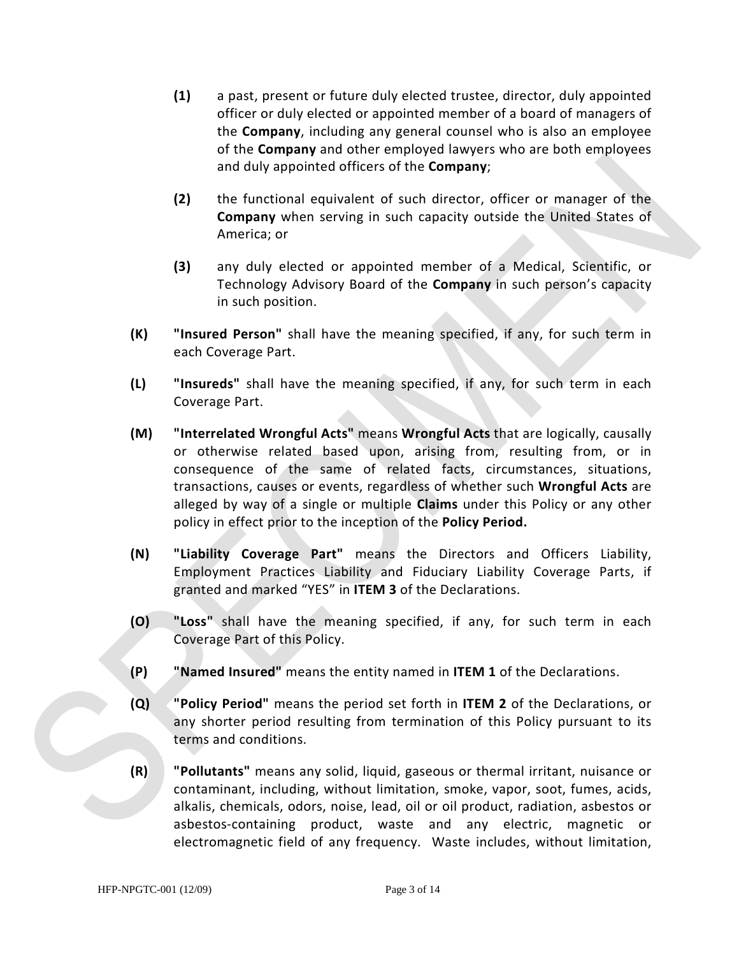- **(1)** a past, present or future duly elected trustee, director, duly appointed officer or duly elected or appointed member of a board of managers of the **Company**, including any general counsel who is also an employee of the **Company** and other employed lawyers who are both employees and duly appointed officers of the **Company**;
- **(2)** the functional equivalent of such director, officer or manager of the **Company** when serving in such capacity outside the United States of America; or
- **(3)** any duly elected or appointed member of a Medical, Scientific, or Technology Advisory Board of the **Company** in such person's capacity in such position.
- **(K) "Insured Person"** shall have the meaning specified, if any, for such term in each Coverage Part.
- **(L) "Insureds"** shall have the meaning specified, if any, for such term in each Coverage Part.
- **(M) "Interrelated Wrongful Acts"** means **Wrongful Acts** that are logically, causally or otherwise related based upon, arising from, resulting from, or in consequence of the same of related facts, circumstances, situations, transactions, causes or events, regardless of whether such **Wrongful Acts** are alleged by way of a single or multiple **Claims** under this Policy or any other policy in effect prior to the inception of the **Policy Period.**
- **(N) "Liability Coverage Part"** means the Directors and Officers Liability, Employment Practices Liability and Fiduciary Liability Coverage Parts, if granted and marked "YES" in **ITEM 3** of the Declarations.
- **(O) "Loss"** shall have the meaning specified, if any, for such term in each Coverage Part of this Policy.
- **(P) "Named Insured"** means the entity named in **ITEM 1** of the Declarations.
- **(Q) "Policy Period"** means the period set forth in **ITEM 2** of the Declarations, or any shorter period resulting from termination of this Policy pursuant to its terms and conditions.
- **(R) "Pollutants"** means any solid, liquid, gaseous or thermal irritant, nuisance or contaminant, including, without limitation, smoke, vapor, soot, fumes, acids, alkalis, chemicals, odors, noise, lead, oil or oil product, radiation, asbestos or asbestos-containing product, waste and any electric, magnetic or electromagnetic field of any frequency. Waste includes, without limitation,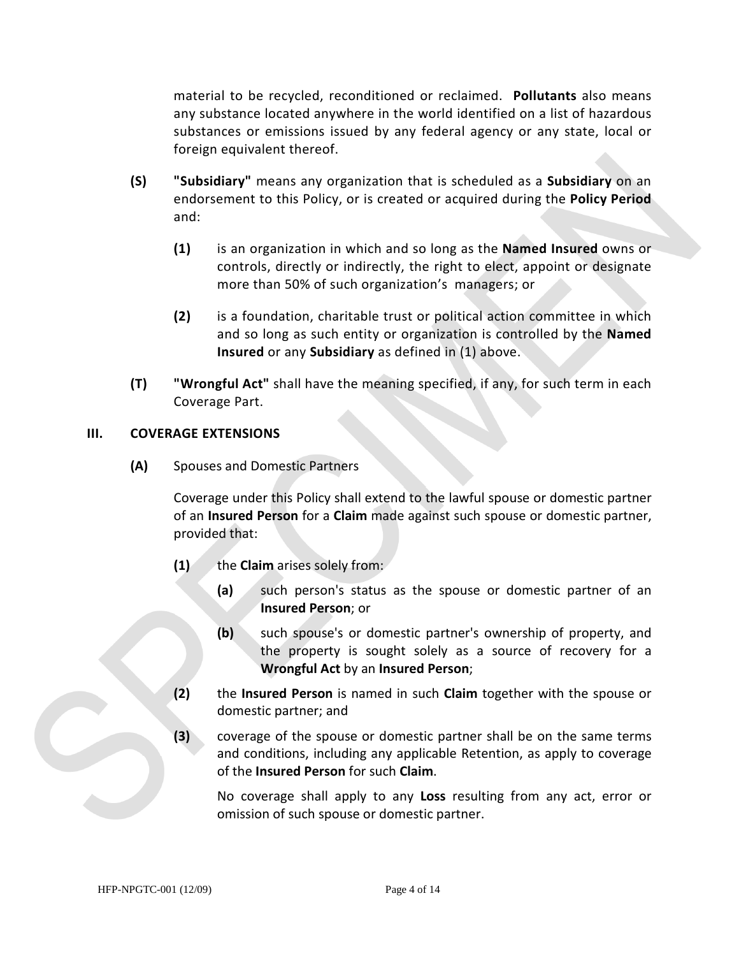material to be recycled, reconditioned or reclaimed. **Pollutants** also means any substance located anywhere in the world identified on a list of hazardous substances or emissions issued by any federal agency or any state, local or foreign equivalent thereof.

- **(S) "Subsidiary"** means any organization that is scheduled as a **Subsidiary** on an endorsement to this Policy, or is created or acquired during the **Policy Period** and:
	- **(1)** is an organization in which and so long as the **Named Insured** owns or controls, directly or indirectly, the right to elect, appoint or designate more than 50% of such organization's managers; or
	- **(2)** is a foundation, charitable trust or political action committee in which and so long as such entity or organization is controlled by the **Named Insured** or any **Subsidiary** as defined in (1) above.
- **(T) "Wrongful Act"** shall have the meaning specified, if any, for such term in each Coverage Part.

# **III. COVERAGE EXTENSIONS**

**(A)** Spouses and Domestic Partners

Coverage under this Policy shall extend to the lawful spouse or domestic partner of an **Insured Person** for a **Claim** made against such spouse or domestic partner, provided that:

- **(1)** the **Claim** arises solely from:
	- **(a)** such person's status as the spouse or domestic partner of an **Insured Person**; or
	- **(b)** such spouse's or domestic partner's ownership of property, and the property is sought solely as a source of recovery for a **Wrongful Act** by an **Insured Person**;
- **(2)** the **Insured Person** is named in such **Claim** together with the spouse or domestic partner; and
- **(3)** coverage of the spouse or domestic partner shall be on the same terms and conditions, including any applicable Retention, as apply to coverage of the **Insured Person** for such **Claim**.

No coverage shall apply to any **Loss** resulting from any act, error or omission of such spouse or domestic partner.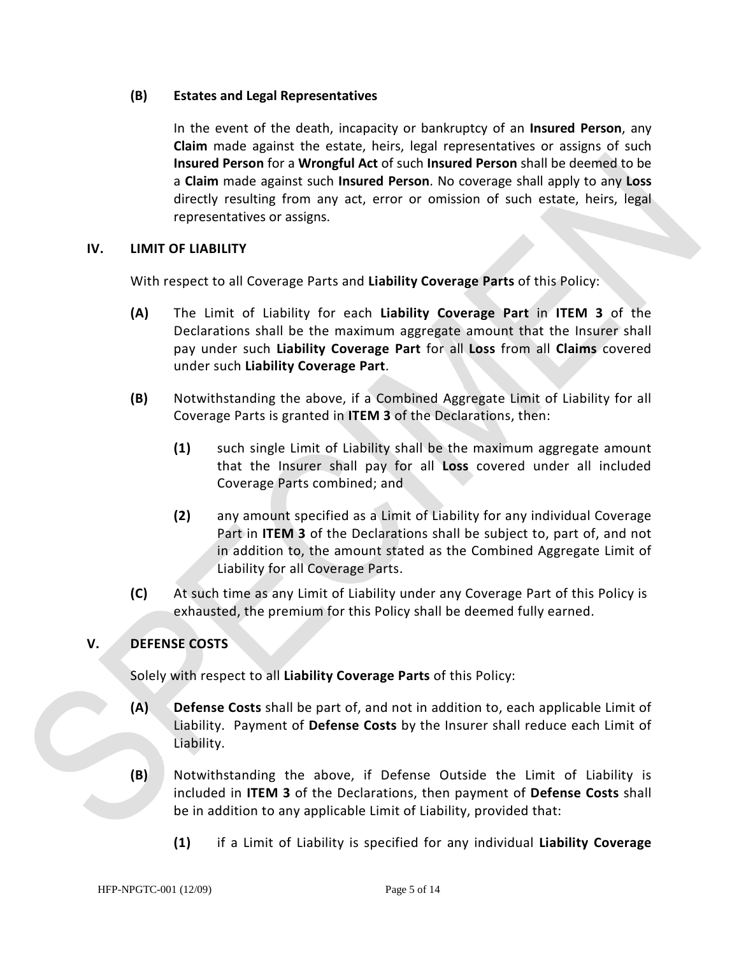#### **(B) Estates and Legal Representatives**

In the event of the death, incapacity or bankruptcy of an **Insured Person**, any **Claim** made against the estate, heirs, legal representatives or assigns of such **Insured Person** for a **Wrongful Act** of such **Insured Person** shall be deemed to be a **Claim** made against such **Insured Person**. No coverage shall apply to any **Loss** directly resulting from any act, error or omission of such estate, heirs, legal representatives or assigns.

#### **IV. LIMIT OF LIABILITY**

With respect to all Coverage Parts and **Liability Coverage Parts** of this Policy:

- **(A)** The Limit of Liability for each **Liability Coverage Part** in **ITEM 3** of the Declarations shall be the maximum aggregate amount that the Insurer shall pay under such **Liability Coverage Part** for all **Loss** from all **Claims** covered under such **Liability Coverage Part**.
- **(B)** Notwithstanding the above, if a Combined Aggregate Limit of Liability for all Coverage Parts is granted in **ITEM 3** of the Declarations, then:
	- **(1)** such single Limit of Liability shall be the maximum aggregate amount that the Insurer shall pay for all **Loss** covered under all included Coverage Parts combined; and
	- **(2)** any amount specified as a Limit of Liability for any individual Coverage Part in **ITEM 3** of the Declarations shall be subject to, part of, and not in addition to, the amount stated as the Combined Aggregate Limit of Liability for all Coverage Parts.
- **(C)** At such time as any Limit of Liability under any Coverage Part of this Policy is exhausted, the premium for this Policy shall be deemed fully earned.

#### **V. DEFENSE COSTS**

Solely with respect to all **Liability Coverage Parts** of this Policy:

- **(A) Defense Costs** shall be part of, and not in addition to, each applicable Limit of Liability. Payment of **Defense Costs** by the Insurer shall reduce each Limit of Liability.
- **(B)** Notwithstanding the above, if Defense Outside the Limit of Liability is included in **ITEM 3** of the Declarations, then payment of **Defense Costs** shall be in addition to any applicable Limit of Liability, provided that:
	- **(1)** if a Limit of Liability is specified for any individual **Liability Coverage**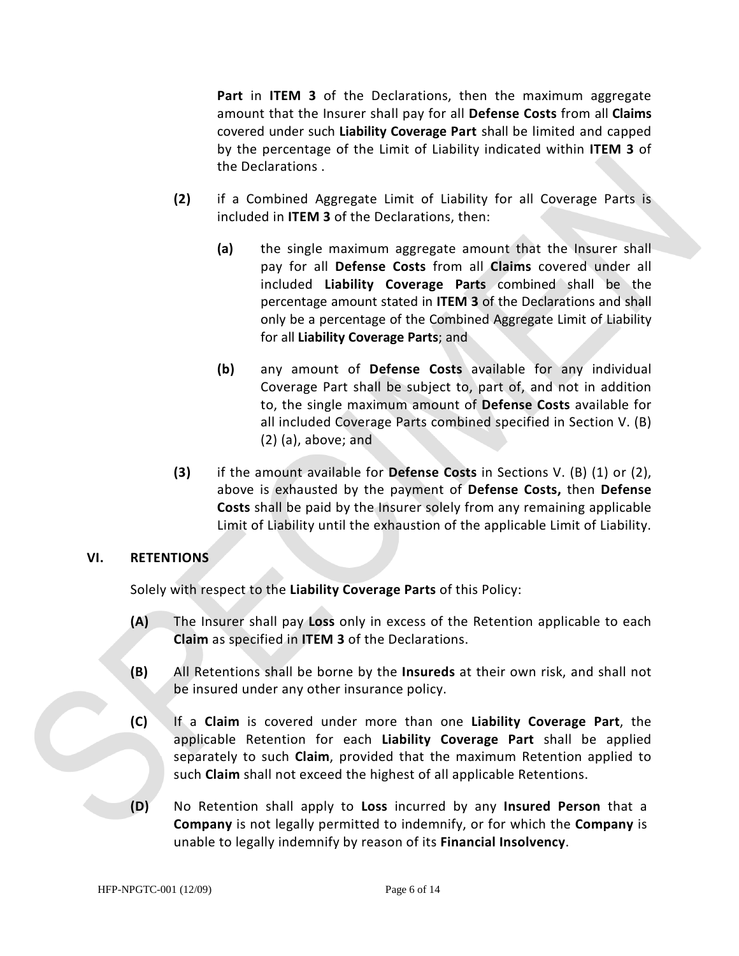**Part** in **ITEM 3** of the Declarations, then the maximum aggregate amount that the Insurer shall pay for all **Defense Costs** from all **Claims**  covered under such **Liability Coverage Part** shall be limited and capped by the percentage of the Limit of Liability indicated within **ITEM 3** of the Declarations .

- **(2)** if a Combined Aggregate Limit of Liability for all Coverage Parts is included in **ITEM 3** of the Declarations, then:
	- **(a)** the single maximum aggregate amount that the Insurer shall pay for all **Defense Costs** from all **Claims** covered under all included **Liability Coverage Parts** combined shall be the percentage amount stated in **ITEM 3** of the Declarations and shall only be a percentage of the Combined Aggregate Limit of Liability for all **Liability Coverage Parts**; and
	- **(b)** any amount of **Defense Costs** available for any individual Coverage Part shall be subject to, part of, and not in addition to, the single maximum amount of **Defense Costs** available for all included Coverage Parts combined specified in Section V. (B) (2) (a), above; and
- **(3)** if the amount available for **Defense Costs** in Sections V. (B) (1) or (2), above is exhausted by the payment of **Defense Costs,** then **Defense Costs** shall be paid by the Insurer solely from any remaining applicable Limit of Liability until the exhaustion of the applicable Limit of Liability.

#### **VI. RETENTIONS**

Solely with respect to the **Liability Coverage Parts** of this Policy:

- **(A)** The Insurer shall pay **Loss** only in excess of the Retention applicable to each **Claim** as specified in **ITEM 3** of the Declarations.
- **(B)** All Retentions shall be borne by the **Insureds** at their own risk, and shall not be insured under any other insurance policy.
- **(C)** If a **Claim** is covered under more than one **Liability Coverage Part**, the applicable Retention for each **Liability Coverage Part** shall be applied separately to such **Claim**, provided that the maximum Retention applied to such **Claim** shall not exceed the highest of all applicable Retentions.
- **(D)** No Retention shall apply to **Loss** incurred by any **Insured Person** that a **Company** is not legally permitted to indemnify, or for which the **Company** is unable to legally indemnify by reason of its **Financial Insolvency**.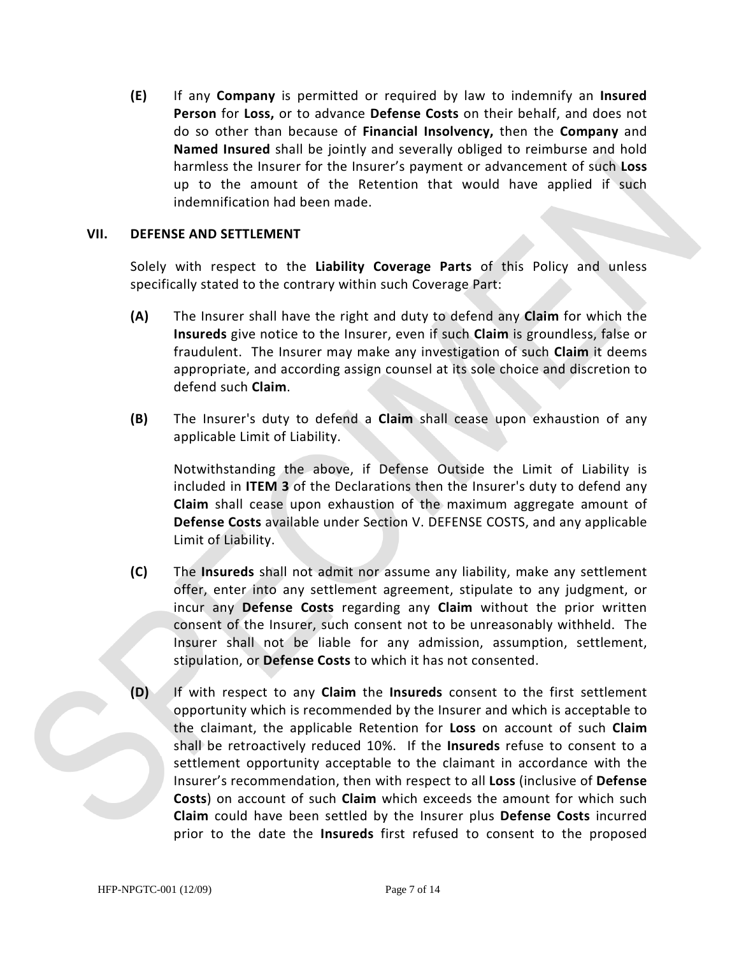**(E)** If any **Company** is permitted or required by law to indemnify an **Insured Person** for **Loss,** or to advance **Defense Costs** on their behalf, and does not do so other than because of **Financial Insolvency,** then the **Company** and **Named Insured** shall be jointly and severally obliged to reimburse and hold harmless the Insurer for the Insurer's payment or advancement of such **Loss**  up to the amount of the Retention that would have applied if such indemnification had been made.

#### **VII. DEFENSE AND SETTLEMENT**

Solely with respect to the **Liability Coverage Parts** of this Policy and unless specifically stated to the contrary within such Coverage Part:

- **(A)** The Insurer shall have the right and duty to defend any **Claim** for which the **Insureds** give notice to the Insurer, even if such **Claim** is groundless, false or fraudulent. The Insurer may make any investigation of such **Claim** it deems appropriate, and according assign counsel at its sole choice and discretion to defend such **Claim**.
- **(B)** The Insurer's duty to defend a **Claim** shall cease upon exhaustion of any applicable Limit of Liability.

Notwithstanding the above, if Defense Outside the Limit of Liability is included in **ITEM 3** of the Declarations then the Insurer's duty to defend any **Claim** shall cease upon exhaustion of the maximum aggregate amount of **Defense Costs** available under Section V. DEFENSE COSTS, and any applicable Limit of Liability.

- **(C)** The **Insureds** shall not admit nor assume any liability, make any settlement offer, enter into any settlement agreement, stipulate to any judgment, or incur any **Defense Costs** regarding any **Claim** without the prior written consent of the Insurer, such consent not to be unreasonably withheld. The Insurer shall not be liable for any admission, assumption, settlement, stipulation, or **Defense Costs** to which it has not consented.
- **(D)** If with respect to any **Claim** the **Insureds** consent to the first settlement opportunity which is recommended by the Insurer and which is acceptable to the claimant, the applicable Retention for **Loss** on account of such **Claim** shall be retroactively reduced 10%. If the **Insureds** refuse to consent to a settlement opportunity acceptable to the claimant in accordance with the Insurer's recommendation, then with respect to all **Loss** (inclusive of **Defense Costs**) on account of such **Claim** which exceeds the amount for which such **Claim** could have been settled by the Insurer plus **Defense Costs** incurred prior to the date the **Insureds** first refused to consent to the proposed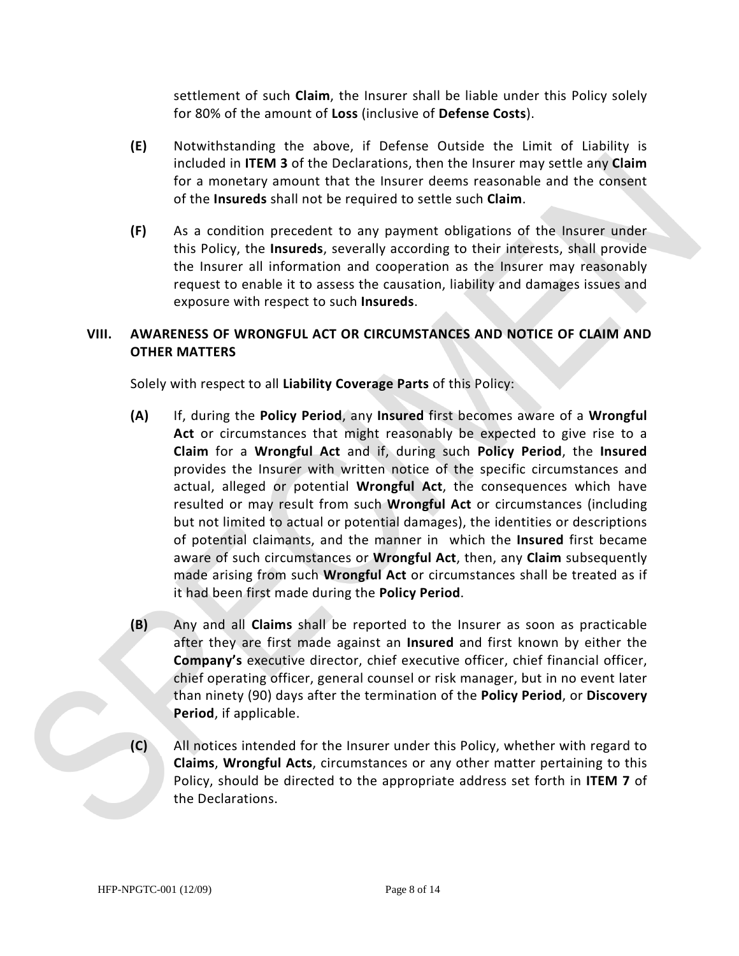settlement of such **Claim**, the Insurer shall be liable under this Policy solely for 80% of the amount of **Loss** (inclusive of **Defense Costs**).

- **(E)** Notwithstanding the above, if Defense Outside the Limit of Liability is included in **ITEM 3** of the Declarations, then the Insurer may settle any **Claim**  for a monetary amount that the Insurer deems reasonable and the consent of the **Insureds** shall not be required to settle such **Claim**.
- **(F)** As a condition precedent to any payment obligations of the Insurer under this Policy, the **Insureds**, severally according to their interests, shall provide the Insurer all information and cooperation as the Insurer may reasonably request to enable it to assess the causation, liability and damages issues and exposure with respect to such **Insureds**.

# **VIII. AWARENESS OF WRONGFUL ACT OR CIRCUMSTANCES AND NOTICE OF CLAIM AND OTHER MATTERS**

Solely with respect to all **Liability Coverage Parts** of this Policy:

- **(A)** If, during the **Policy Period**, any **Insured** first becomes aware of a **Wrongful Act** or circumstances that might reasonably be expected to give rise to a **Claim** for a **Wrongful Act** and if, during such **Policy Period**, the **Insured** provides the Insurer with written notice of the specific circumstances and actual, alleged or potential **Wrongful Act**, the consequences which have resulted or may result from such **Wrongful Act** or circumstances (including but not limited to actual or potential damages), the identities or descriptions of potential claimants, and the manner in which the **Insured** first became aware of such circumstances or **Wrongful Act**, then, any **Claim** subsequently made arising from such **Wrongful Act** or circumstances shall be treated as if it had been first made during the **Policy Period**.
- **(B)** Any and all **Claims** shall be reported to the Insurer as soon as practicable after they are first made against an **Insured** and first known by either the **Company's** executive director, chief executive officer, chief financial officer, chief operating officer, general counsel or risk manager, but in no event later than ninety (90) days after the termination of the **Policy Period**, or **Discovery Period**, if applicable.
- **(C)** All notices intended for the Insurer under this Policy, whether with regard to **Claims**, **Wrongful Acts**, circumstances or any other matter pertaining to this Policy, should be directed to the appropriate address set forth in **ITEM 7** of the Declarations.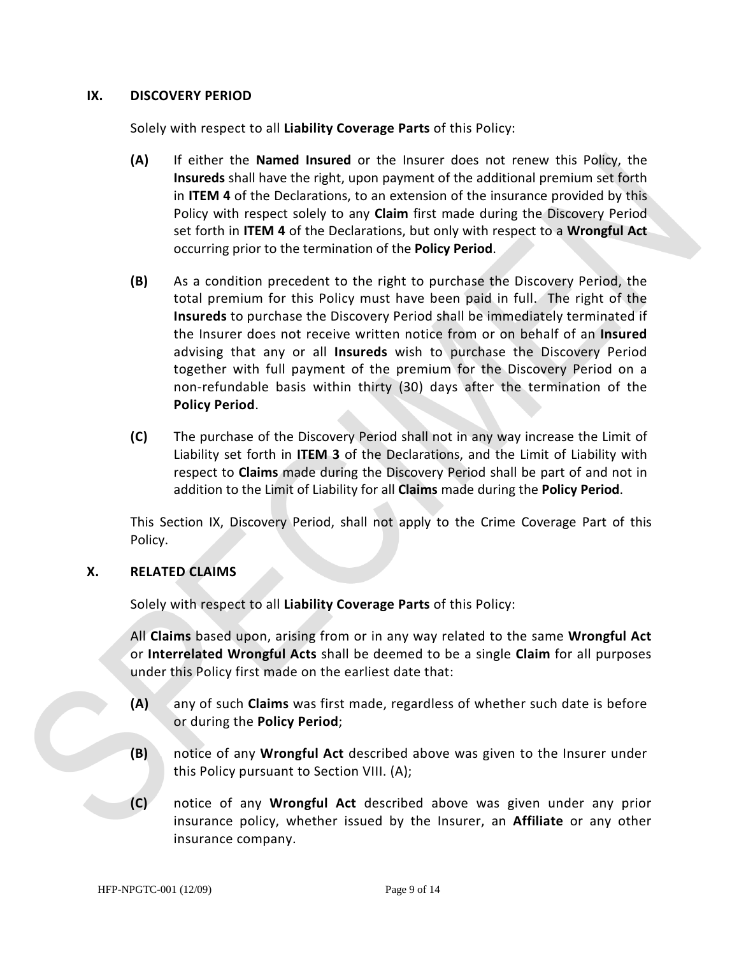#### **IX. DISCOVERY PERIOD**

Solely with respect to all **Liability Coverage Parts** of this Policy:

- **(A)** If either the **Named Insured** or the Insurer does not renew this Policy, the **Insureds** shall have the right, upon payment of the additional premium set forth in **ITEM 4** of the Declarations, to an extension of the insurance provided by this Policy with respect solely to any **Claim** first made during the Discovery Period set forth in **ITEM 4** of the Declarations, but only with respect to a **Wrongful Act** occurring prior to the termination of the **Policy Period**.
- **(B)** As a condition precedent to the right to purchase the Discovery Period, the total premium for this Policy must have been paid in full. The right of the **Insureds** to purchase the Discovery Period shall be immediately terminated if the Insurer does not receive written notice from or on behalf of an **Insured** advising that any or all **Insureds** wish to purchase the Discovery Period together with full payment of the premium for the Discovery Period on a non-refundable basis within thirty (30) days after the termination of the **Policy Period**.
- **(C)** The purchase of the Discovery Period shall not in any way increase the Limit of Liability set forth in **ITEM 3** of the Declarations, and the Limit of Liability with respect to **Claims** made during the Discovery Period shall be part of and not in addition to the Limit of Liability for all **Claims** made during the **Policy Period**.

This Section IX, Discovery Period, shall not apply to the Crime Coverage Part of this Policy.

#### **X. RELATED CLAIMS**

Solely with respect to all **Liability Coverage Parts** of this Policy:

All **Claims** based upon, arising from or in any way related to the same **Wrongful Act**  or **Interrelated Wrongful Acts** shall be deemed to be a single **Claim** for all purposes under this Policy first made on the earliest date that:

- **(A)** any of such **Claims** was first made, regardless of whether such date is before or during the **Policy Period**;
- **(B)** notice of any **Wrongful Act** described above was given to the Insurer under this Policy pursuant to Section VIII. (A);
- **(C)** notice of any **Wrongful Act** described above was given under any prior insurance policy, whether issued by the Insurer, an **Affiliate** or any other insurance company.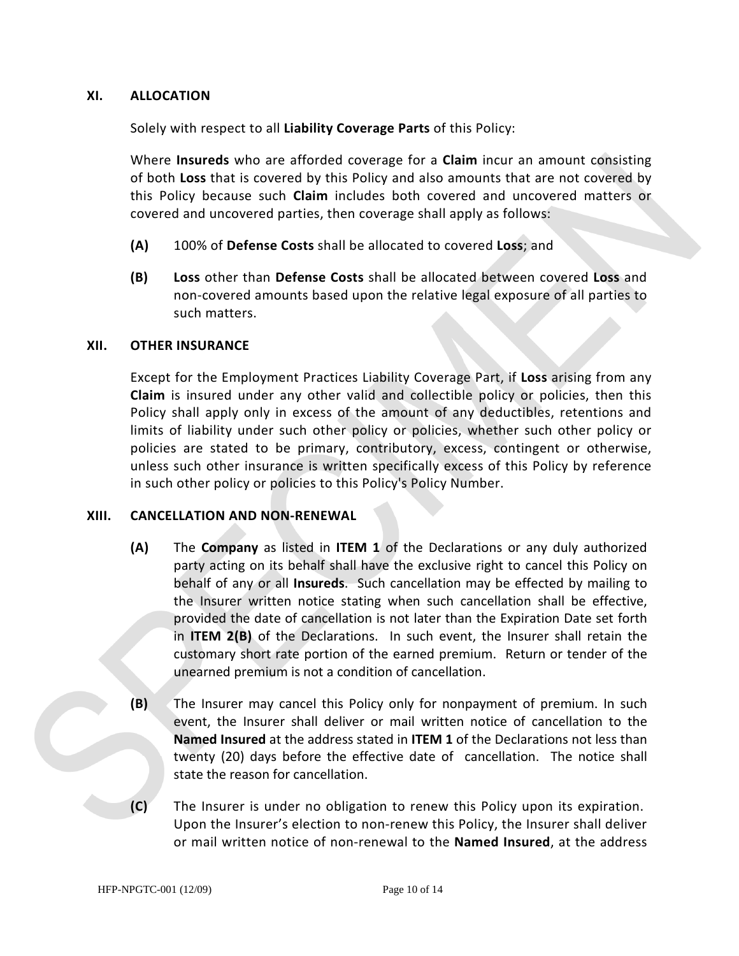#### **XI. ALLOCATION**

Solely with respect to all **Liability Coverage Parts** of this Policy:

Where **Insureds** who are afforded coverage for a **Claim** incur an amount consisting of both **Loss** that is covered by this Policy and also amounts that are not covered by this Policy because such **Claim** includes both covered and uncovered matters or covered and uncovered parties, then coverage shall apply as follows:

- **(A)** 100% of **Defense Costs** shall be allocated to covered **Loss**; and
- **(B) Loss** other than **Defense Costs** shall be allocated between covered **Loss** and non-covered amounts based upon the relative legal exposure of all parties to such matters.

#### **XII. OTHER INSURANCE**

Except for the Employment Practices Liability Coverage Part, if **Loss** arising from any **Claim** is insured under any other valid and collectible policy or policies, then this Policy shall apply only in excess of the amount of any deductibles, retentions and limits of liability under such other policy or policies, whether such other policy or policies are stated to be primary, contributory, excess, contingent or otherwise, unless such other insurance is written specifically excess of this Policy by reference in such other policy or policies to this Policy's Policy Number.

#### **XIII. CANCELLATION AND NON-RENEWAL**

- **(A)** The **Company** as listed in **ITEM 1** of the Declarations or any duly authorized party acting on its behalf shall have the exclusive right to cancel this Policy on behalf of any or all **Insureds**. Such cancellation may be effected by mailing to the Insurer written notice stating when such cancellation shall be effective, provided the date of cancellation is not later than the Expiration Date set forth in **ITEM 2(B)** of the Declarations. In such event, the Insurer shall retain the customary short rate portion of the earned premium. Return or tender of the unearned premium is not a condition of cancellation.
- **(B)** The Insurer may cancel this Policy only for nonpayment of premium. In such event, the Insurer shall deliver or mail written notice of cancellation to the **Named Insured** at the address stated in **ITEM 1** of the Declarations not less than twenty (20) days before the effective date of cancellation. The notice shall state the reason for cancellation.
- **(C)** The Insurer is under no obligation to renew this Policy upon its expiration. Upon the Insurer's election to non-renew this Policy, the Insurer shall deliver or mail written notice of non-renewal to the **Named Insured**, at the address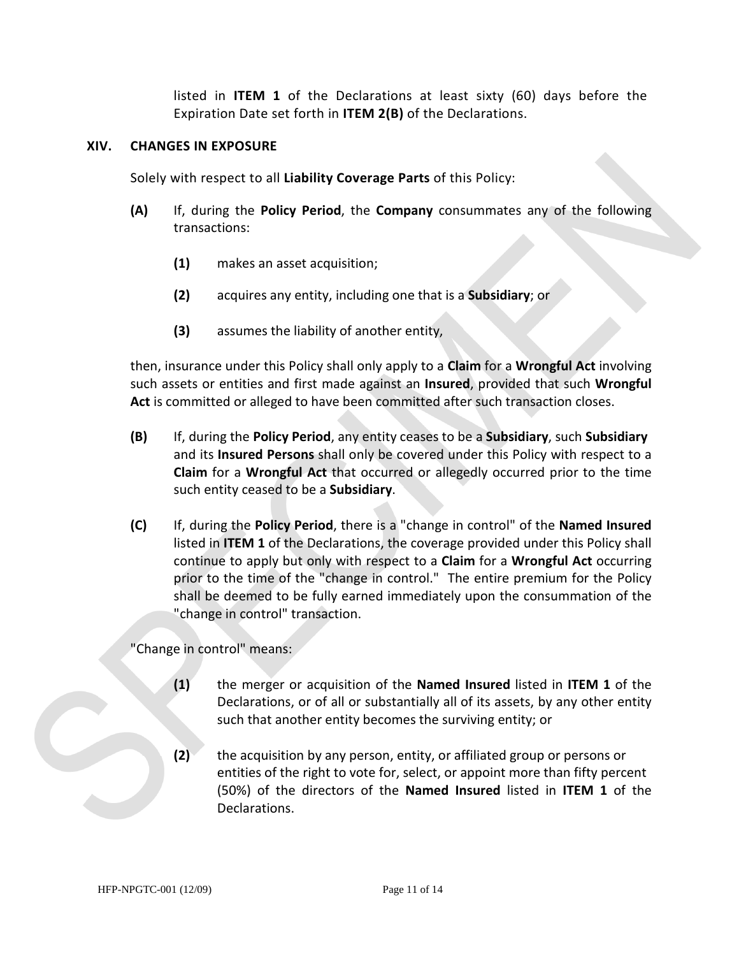listed in **ITEM 1** of the Declarations at least sixty (60) days before the Expiration Date set forth in **ITEM 2(B)** of the Declarations.

#### **XIV. CHANGES IN EXPOSURE**

Solely with respect to all **Liability Coverage Parts** of this Policy:

- **(A)** If, during the **Policy Period**, the **Company** consummates any of the following transactions:
	- **(1)** makes an asset acquisition;
	- **(2)** acquires any entity, including one that is a **Subsidiary**; or
	- **(3)** assumes the liability of another entity,

then, insurance under this Policy shall only apply to a **Claim** for a **Wrongful Act** involving such assets or entities and first made against an **Insured**, provided that such **Wrongful Act** is committed or alleged to have been committed after such transaction closes.

- **(B)** If, during the **Policy Period**, any entity ceases to be a **Subsidiary**, such **Subsidiary**  and its **Insured Persons** shall only be covered under this Policy with respect to a **Claim** for a **Wrongful Act** that occurred or allegedly occurred prior to the time such entity ceased to be a **Subsidiary**.
- **(C)** If, during the **Policy Period**, there is a "change in control" of the **Named Insured** listed in **ITEM 1** of the Declarations, the coverage provided under this Policy shall continue to apply but only with respect to a **Claim** for a **Wrongful Act** occurring prior to the time of the "change in control." The entire premium for the Policy shall be deemed to be fully earned immediately upon the consummation of the "change in control" transaction.

"Change in control" means:

- **(1)** the merger or acquisition of the **Named Insured** listed in **ITEM 1** of the Declarations, or of all or substantially all of its assets, by any other entity such that another entity becomes the surviving entity; or
- **(2)** the acquisition by any person, entity, or affiliated group or persons or entities of the right to vote for, select, or appoint more than fifty percent (50%) of the directors of the **Named Insured** listed in **ITEM 1** of the Declarations.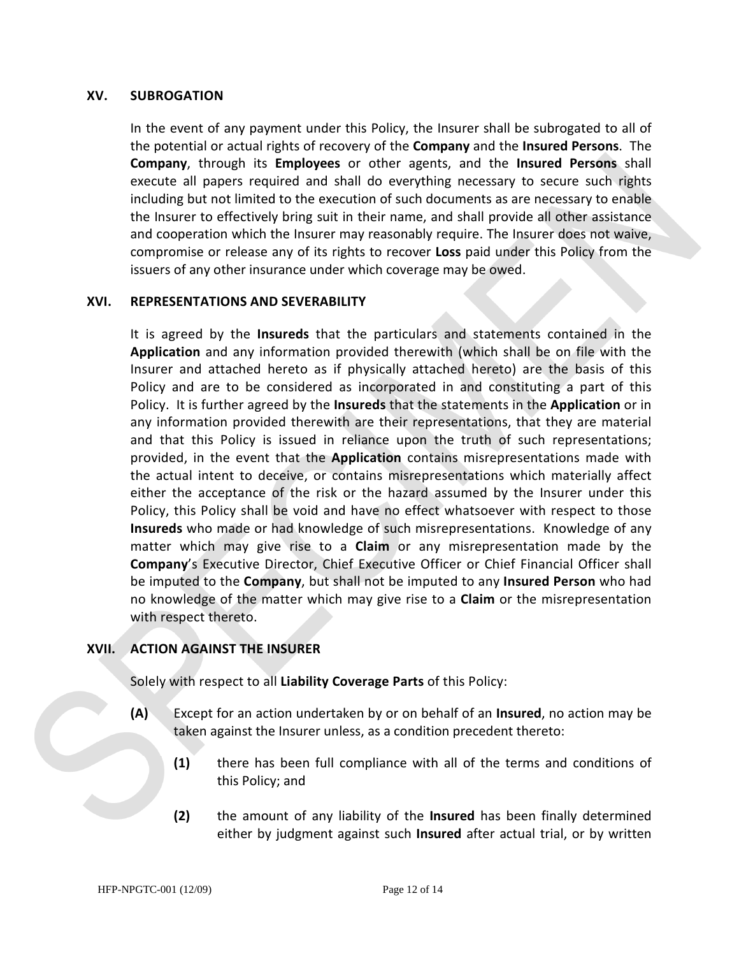#### **XV. SUBROGATION**

In the event of any payment under this Policy, the Insurer shall be subrogated to all of the potential or actual rights of recovery of the **Company** and the **Insured Persons**. The **Company**, through its **Employees** or other agents, and the **Insured Persons** shall execute all papers required and shall do everything necessary to secure such rights including but not limited to the execution of such documents as are necessary to enable the Insurer to effectively bring suit in their name, and shall provide all other assistance and cooperation which the Insurer may reasonably require. The Insurer does not waive, compromise or release any of its rights to recover **Loss** paid under this Policy from the issuers of any other insurance under which coverage may be owed.

#### **XVI. REPRESENTATIONS AND SEVERABILITY**

It is agreed by the **Insureds** that the particulars and statements contained in the **Application** and any information provided therewith (which shall be on file with the Insurer and attached hereto as if physically attached hereto) are the basis of this Policy and are to be considered as incorporated in and constituting a part of this Policy. It is further agreed by the **Insureds** that the statements in the **Application** or in any information provided therewith are their representations, that they are material and that this Policy is issued in reliance upon the truth of such representations; provided, in the event that the **Application** contains misrepresentations made with the actual intent to deceive, or contains misrepresentations which materially affect either the acceptance of the risk or the hazard assumed by the Insurer under this Policy, this Policy shall be void and have no effect whatsoever with respect to those **Insureds** who made or had knowledge of such misrepresentations. Knowledge of any matter which may give rise to a **Claim** or any misrepresentation made by the **Company**'s Executive Director, Chief Executive Officer or Chief Financial Officer shall be imputed to the **Company**, but shall not be imputed to any **Insured Person** who had no knowledge of the matter which may give rise to a **Claim** or the misrepresentation with respect thereto.

#### **XVII. ACTION AGAINST THE INSURER**

Solely with respect to all **Liability Coverage Parts** of this Policy:

- **(A)** Except for an action undertaken by or on behalf of an **Insured**, no action may be taken against the Insurer unless, as a condition precedent thereto:
	- **(1)** there has been full compliance with all of the terms and conditions of this Policy; and
	- **(2)** the amount of any liability of the **Insured** has been finally determined either by judgment against such **Insured** after actual trial, or by written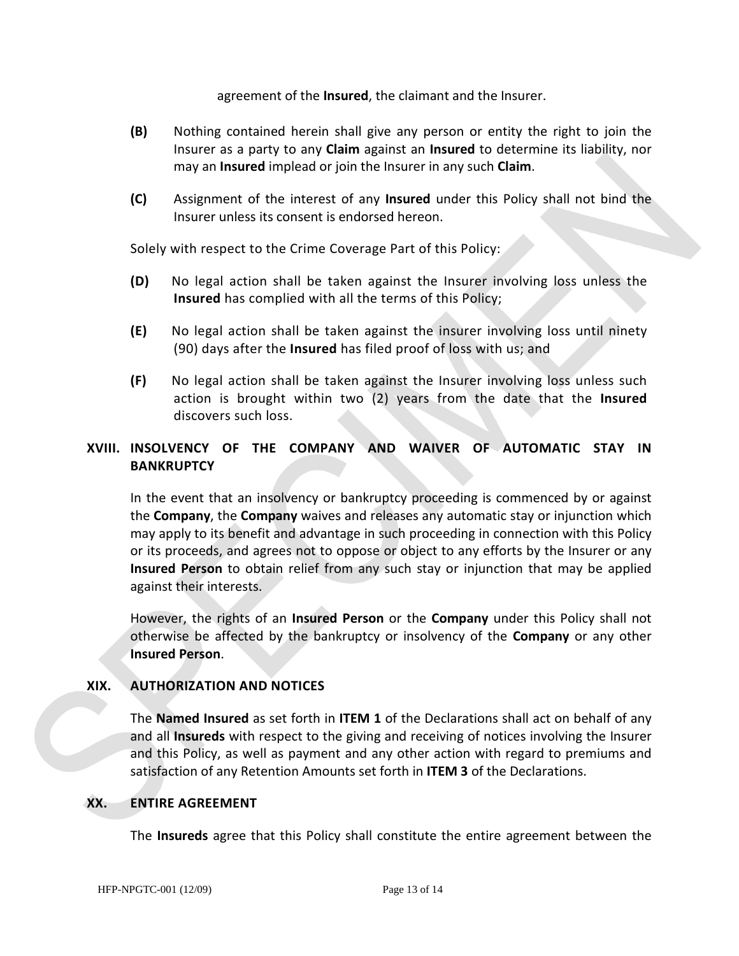agreement of the **Insured**, the claimant and the Insurer.

- **(B)** Nothing contained herein shall give any person or entity the right to join the Insurer as a party to any **Claim** against an **Insured** to determine its liability, nor may an **Insured** implead or join the Insurer in any such **Claim**.
- **(C)** Assignment of the interest of any **Insured** under this Policy shall not bind the Insurer unless its consent is endorsed hereon.

Solely with respect to the Crime Coverage Part of this Policy:

- **(D)** No legal action shall be taken against the Insurer involving loss unless the **Insured** has complied with all the terms of this Policy;
- **(E)** No legal action shall be taken against the insurer involving loss until ninety (90) days after the **Insured** has filed proof of loss with us; and
- **(F)** No legal action shall be taken against the Insurer involving loss unless such action is brought within two (2) years from the date that the **Insured**  discovers such loss.

# **XVIII. INSOLVENCY OF THE COMPANY AND WAIVER OF AUTOMATIC STAY IN BANKRUPTCY**

In the event that an insolvency or bankruptcy proceeding is commenced by or against the **Company**, the **Company** waives and releases any automatic stay or injunction which may apply to its benefit and advantage in such proceeding in connection with this Policy or its proceeds, and agrees not to oppose or object to any efforts by the Insurer or any **Insured Person** to obtain relief from any such stay or injunction that may be applied against their interests.

However, the rights of an **Insured Person** or the **Company** under this Policy shall not otherwise be affected by the bankruptcy or insolvency of the **Company** or any other **Insured Person**.

#### **XIX. AUTHORIZATION AND NOTICES**

The **Named Insured** as set forth in **ITEM 1** of the Declarations shall act on behalf of any and all **Insureds** with respect to the giving and receiving of notices involving the Insurer and this Policy, as well as payment and any other action with regard to premiums and satisfaction of any Retention Amounts set forth in **ITEM 3** of the Declarations.

#### **XX. ENTIRE AGREEMENT**

The **Insureds** agree that this Policy shall constitute the entire agreement between the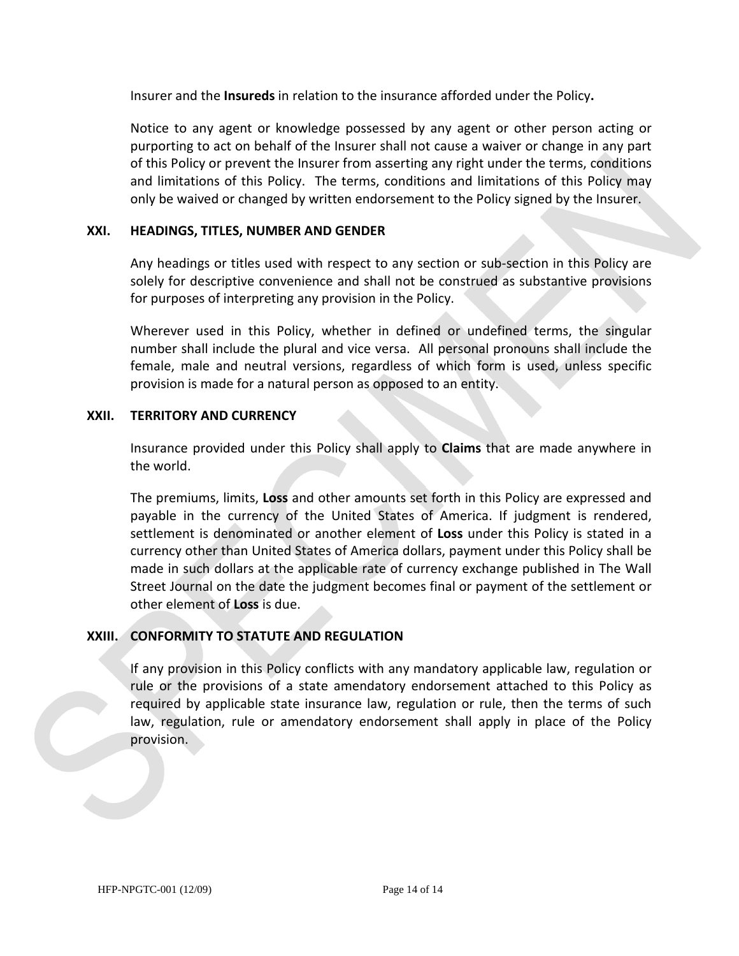Insurer and the **Insureds** in relation to the insurance afforded under the Policy**.** 

Notice to any agent or knowledge possessed by any agent or other person acting or purporting to act on behalf of the Insurer shall not cause a waiver or change in any part of this Policy or prevent the Insurer from asserting any right under the terms, conditions and limitations of this Policy. The terms, conditions and limitations of this Policy may only be waived or changed by written endorsement to the Policy signed by the Insurer.

#### **XXI. HEADINGS, TITLES, NUMBER AND GENDER**

Any headings or titles used with respect to any section or sub-section in this Policy are solely for descriptive convenience and shall not be construed as substantive provisions for purposes of interpreting any provision in the Policy.

Wherever used in this Policy, whether in defined or undefined terms, the singular number shall include the plural and vice versa. All personal pronouns shall include the female, male and neutral versions, regardless of which form is used, unless specific provision is made for a natural person as opposed to an entity.

#### **XXII. TERRITORY AND CURRENCY**

Insurance provided under this Policy shall apply to **Claims** that are made anywhere in the world.

The premiums, limits, **Loss** and other amounts set forth in this Policy are expressed and payable in the currency of the United States of America. If judgment is rendered, settlement is denominated or another element of **Loss** under this Policy is stated in a currency other than United States of America dollars, payment under this Policy shall be made in such dollars at the applicable rate of currency exchange published in The Wall Street Journal on the date the judgment becomes final or payment of the settlement or other element of **Loss** is due.

# **XXIII. CONFORMITY TO STATUTE AND REGULATION**

If any provision in this Policy conflicts with any mandatory applicable law, regulation or rule or the provisions of a state amendatory endorsement attached to this Policy as required by applicable state insurance law, regulation or rule, then the terms of such law, regulation, rule or amendatory endorsement shall apply in place of the Policy provision.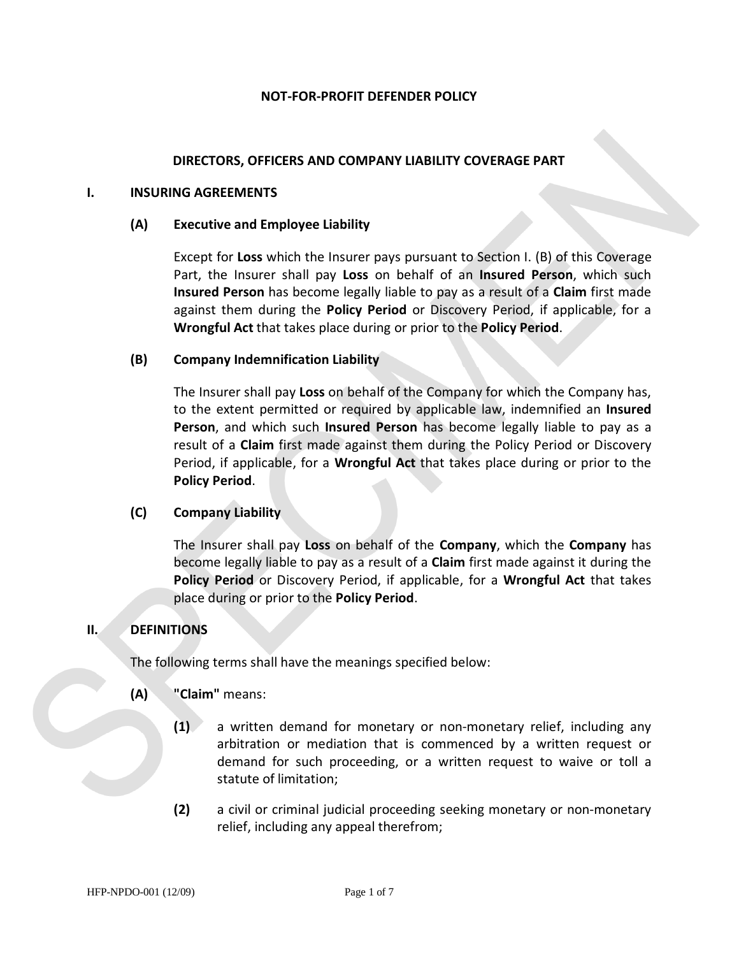#### **NOT-FOR-PROFIT DEFENDER POLICY**

#### **DIRECTORS, OFFICERS AND COMPANY LIABILITY COVERAGE PART**

#### **I. INSURING AGREEMENTS**

#### **(A) Executive and Employee Liability**

Except for **Loss** which the Insurer pays pursuant to Section I. (B) of this Coverage Part, the Insurer shall pay **Loss** on behalf of an **Insured Person**, which such **Insured Person** has become legally liable to pay as a result of a **Claim** first made against them during the **Policy Period** or Discovery Period, if applicable, for a **Wrongful Act** that takes place during or prior to the **Policy Period**.

#### **(B) Company Indemnification Liability**

The Insurer shall pay **Loss** on behalf of the Company for which the Company has, to the extent permitted or required by applicable law, indemnified an **Insured Person**, and which such **Insured Person** has become legally liable to pay as a result of a **Claim** first made against them during the Policy Period or Discovery Period, if applicable, for a **Wrongful Act** that takes place during or prior to the **Policy Period**.

#### **(C) Company Liability**

The Insurer shall pay **Loss** on behalf of the **Company**, which the **Company** has become legally liable to pay as a result of a **Claim** first made against it during the **Policy Period** or Discovery Period, if applicable, for a **Wrongful Act** that takes place during or prior to the **Policy Period**.

#### **II. DEFINITIONS**

The following terms shall have the meanings specified below:

#### **(A) "Claim"** means:

- **(1)** a written demand for monetary or non-monetary relief, including any arbitration or mediation that is commenced by a written request or demand for such proceeding, or a written request to waive or toll a statute of limitation;
- **(2)** a civil or criminal judicial proceeding seeking monetary or non-monetary relief, including any appeal therefrom;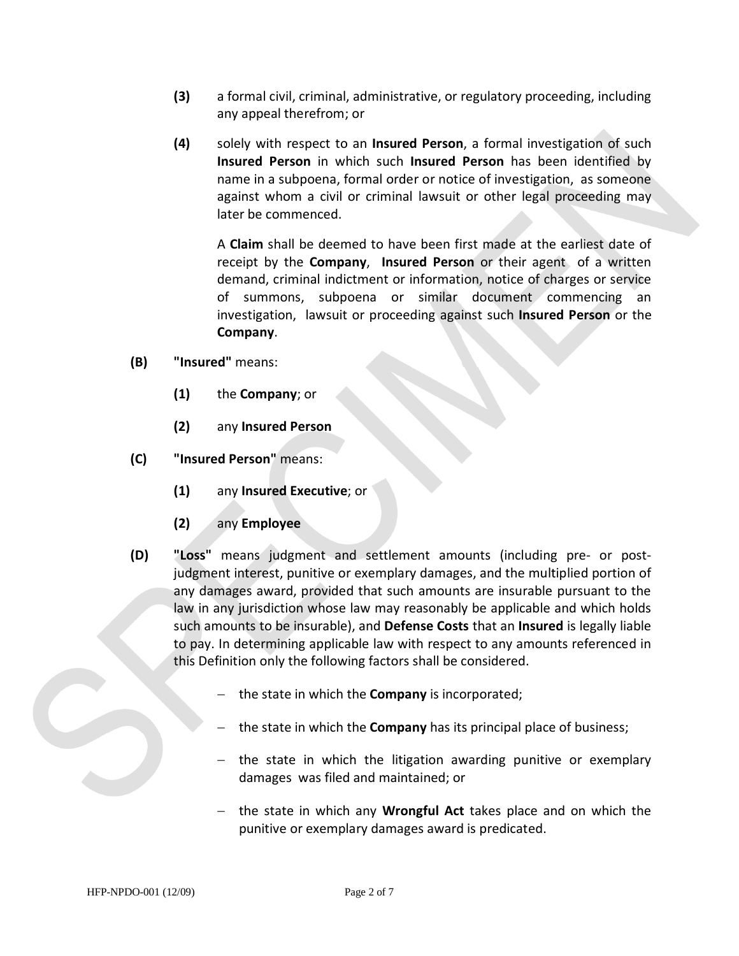- **(3)** a formal civil, criminal, administrative, or regulatory proceeding, including any appeal therefrom; or
- **(4)** solely with respect to an **Insured Person**, a formal investigation of such **Insured Person** in which such **Insured Person** has been identified by name in a subpoena, formal order or notice of investigation, as someone against whom a civil or criminal lawsuit or other legal proceeding may later be commenced.

A **Claim** shall be deemed to have been first made at the earliest date of receipt by the **Company**, **Insured Person** or their agent of a written demand, criminal indictment or information, notice of charges or service of summons, subpoena or similar document commencing an investigation, lawsuit or proceeding against such **Insured Person** or the **Company**.

- **(B) "Insured"** means:
	- **(1)** the **Company**; or
	- **(2)** any **Insured Person**
- **(C) "Insured Person"** means:
	- **(1)** any **Insured Executive**; or
	- **(2)** any **Employee**
- **(D) "Loss"** means judgment and settlement amounts (including pre- or postjudgment interest, punitive or exemplary damages, and the multiplied portion of any damages award, provided that such amounts are insurable pursuant to the law in any jurisdiction whose law may reasonably be applicable and which holds such amounts to be insurable), and **Defense Costs** that an **Insured** is legally liable to pay. In determining applicable law with respect to any amounts referenced in this Definition only the following factors shall be considered.
	- − the state in which the **Company** is incorporated;
	- − the state in which the **Company** has its principal place of business;
	- − the state in which the litigation awarding punitive or exemplary damages was filed and maintained; or
	- − the state in which any **Wrongful Act** takes place and on which the punitive or exemplary damages award is predicated.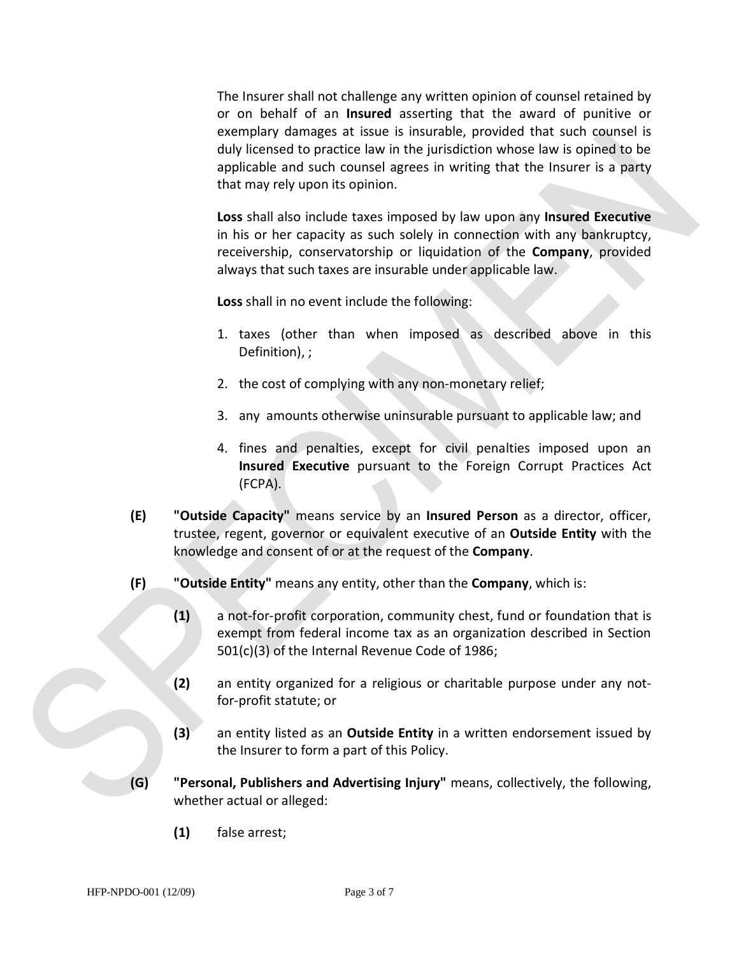The Insurer shall not challenge any written opinion of counsel retained by or on behalf of an **Insured** asserting that the award of punitive or exemplary damages at issue is insurable, provided that such counsel is duly licensed to practice law in the jurisdiction whose law is opined to be applicable and such counsel agrees in writing that the Insurer is a party that may rely upon its opinion.

**Loss** shall also include taxes imposed by law upon any **Insured Executive** in his or her capacity as such solely in connection with any bankruptcy, receivership, conservatorship or liquidation of the **Company**, provided always that such taxes are insurable under applicable law.

**Loss** shall in no event include the following:

- 1. taxes (other than when imposed as described above in this Definition), ;
- 2. the cost of complying with any non-monetary relief;
- 3. any amounts otherwise uninsurable pursuant to applicable law; and
- 4. fines and penalties, except for civil penalties imposed upon an **Insured Executive** pursuant to the Foreign Corrupt Practices Act (FCPA).
- **(E) "Outside Capacity"** means service by an **Insured Person** as a director, officer, trustee, regent, governor or equivalent executive of an **Outside Entity** with the knowledge and consent of or at the request of the **Company**.
- **(F) "Outside Entity"** means any entity, other than the **Company**, which is:
	- **(1)** a not-for-profit corporation, community chest, fund or foundation that is exempt from federal income tax as an organization described in Section 501(c)(3) of the Internal Revenue Code of 1986;
	- **(2)** an entity organized for a religious or charitable purpose under any notfor-profit statute; or
	- **(3)** an entity listed as an **Outside Entity** in a written endorsement issued by the Insurer to form a part of this Policy.
- **(G) "Personal, Publishers and Advertising Injury"** means, collectively, the following, whether actual or alleged:
	- **(1)** false arrest;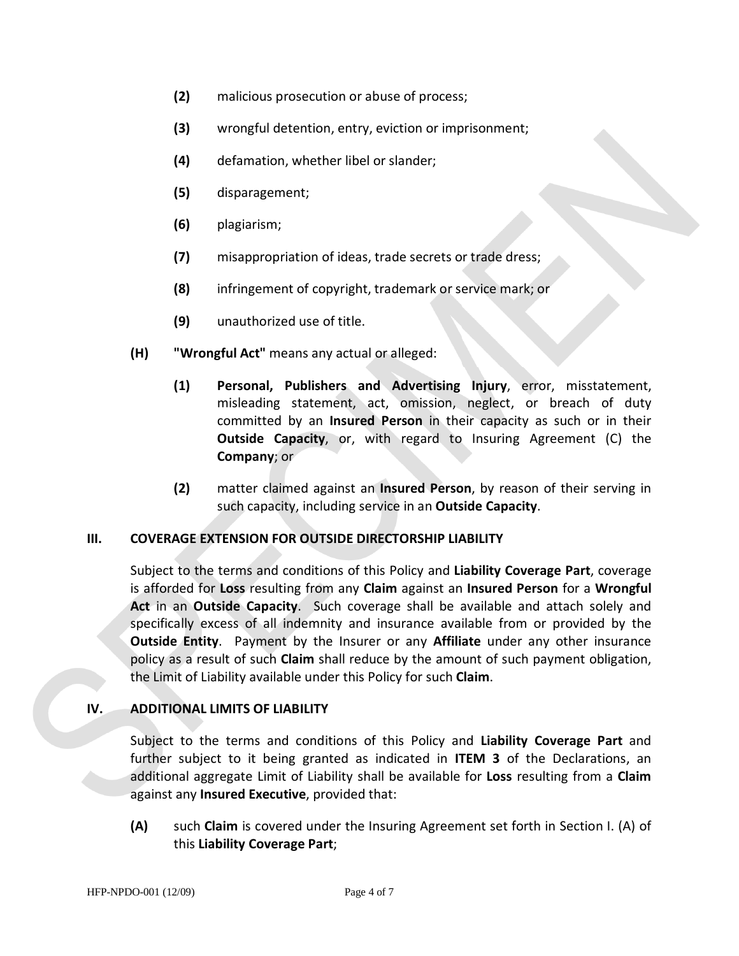- **(2)** malicious prosecution or abuse of process;
- **(3)** wrongful detention, entry, eviction or imprisonment;
- **(4)** defamation, whether libel or slander;
- **(5)** disparagement;
- **(6)** plagiarism;
- **(7)** misappropriation of ideas, trade secrets or trade dress;
- **(8)** infringement of copyright, trademark or service mark; or
- **(9)** unauthorized use of title.
- **(H) "Wrongful Act"** means any actual or alleged:
	- **(1) Personal, Publishers and Advertising Injury**, error, misstatement, misleading statement, act, omission, neglect, or breach of duty committed by an **Insured Person** in their capacity as such or in their **Outside Capacity**, or, with regard to Insuring Agreement (C) the **Company**; or
	- **(2)** matter claimed against an **Insured Person**, by reason of their serving in such capacity, including service in an **Outside Capacity**.

#### **III. COVERAGE EXTENSION FOR OUTSIDE DIRECTORSHIP LIABILITY**

Subject to the terms and conditions of this Policy and **Liability Coverage Part**, coverage is afforded for **Loss** resulting from any **Claim** against an **Insured Person** for a **Wrongful Act** in an **Outside Capacity**. Such coverage shall be available and attach solely and specifically excess of all indemnity and insurance available from or provided by the **Outside Entity**. Payment by the Insurer or any **Affiliate** under any other insurance policy as a result of such **Claim** shall reduce by the amount of such payment obligation, the Limit of Liability available under this Policy for such **Claim**.

#### **IV. ADDITIONAL LIMITS OF LIABILITY**

Subject to the terms and conditions of this Policy and **Liability Coverage Part** and further subject to it being granted as indicated in **ITEM 3** of the Declarations, an additional aggregate Limit of Liability shall be available for **Loss** resulting from a **Claim** against any **Insured Executive**, provided that:

**(A)** such **Claim** is covered under the Insuring Agreement set forth in Section I. (A) of this **Liability Coverage Part**;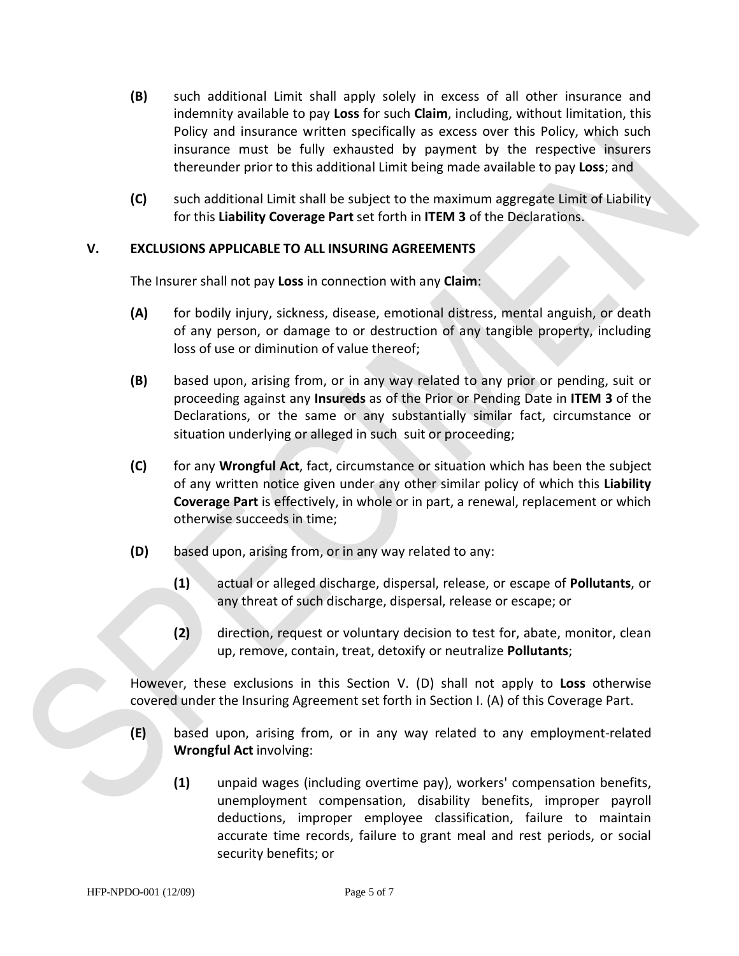- **(B)** such additional Limit shall apply solely in excess of all other insurance and indemnity available to pay **Loss** for such **Claim**, including, without limitation, this Policy and insurance written specifically as excess over this Policy, which such insurance must be fully exhausted by payment by the respective insurers thereunder prior to this additional Limit being made available to pay **Loss**; and
- **(C)** such additional Limit shall be subject to the maximum aggregate Limit of Liability for this **Liability Coverage Part** set forth in **ITEM 3** of the Declarations.

#### **V. EXCLUSIONS APPLICABLE TO ALL INSURING AGREEMENTS**

The Insurer shall not pay **Loss** in connection with any **Claim**:

- **(A)** for bodily injury, sickness, disease, emotional distress, mental anguish, or death of any person, or damage to or destruction of any tangible property, including loss of use or diminution of value thereof;
- **(B)** based upon, arising from, or in any way related to any prior or pending, suit or proceeding against any **Insureds** as of the Prior or Pending Date in **ITEM 3** of the Declarations, or the same or any substantially similar fact, circumstance or situation underlying or alleged in such suit or proceeding;
- **(C)** for any **Wrongful Act**, fact, circumstance or situation which has been the subject of any written notice given under any other similar policy of which this **Liability Coverage Part** is effectively, in whole or in part, a renewal, replacement or which otherwise succeeds in time;
- **(D)** based upon, arising from, or in any way related to any:
	- **(1)** actual or alleged discharge, dispersal, release, or escape of **Pollutants**, or any threat of such discharge, dispersal, release or escape; or
	- **(2)** direction, request or voluntary decision to test for, abate, monitor, clean up, remove, contain, treat, detoxify or neutralize **Pollutants**;

However, these exclusions in this Section V. (D) shall not apply to **Loss** otherwise covered under the Insuring Agreement set forth in Section I. (A) of this Coverage Part.

- **(E)** based upon, arising from, or in any way related to any employment-related **Wrongful Act** involving:
	- **(1)** unpaid wages (including overtime pay), workers' compensation benefits, unemployment compensation, disability benefits, improper payroll deductions, improper employee classification, failure to maintain accurate time records, failure to grant meal and rest periods, or social security benefits; or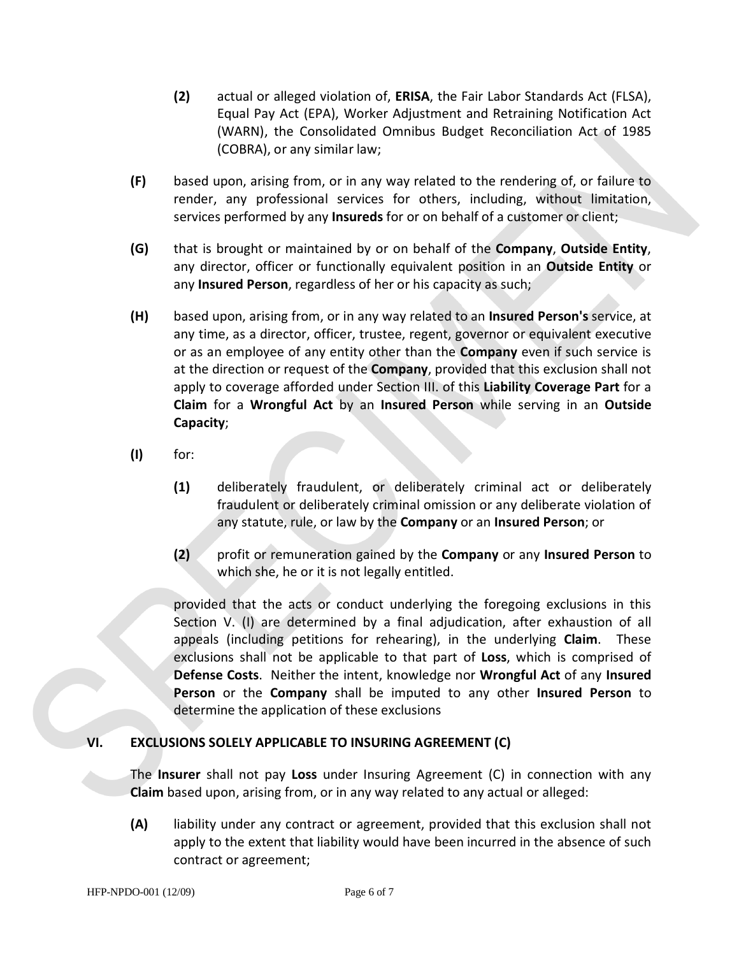- **(2)** actual or alleged violation of, **ERISA**, the Fair Labor Standards Act (FLSA), Equal Pay Act (EPA), Worker Adjustment and Retraining Notification Act (WARN), the Consolidated Omnibus Budget Reconciliation Act of 1985 (COBRA), or any similar law;
- **(F)** based upon, arising from, or in any way related to the rendering of, or failure to render, any professional services for others, including, without limitation, services performed by any **Insureds** for or on behalf of a customer or client;
- **(G)** that is brought or maintained by or on behalf of the **Company**, **Outside Entity**, any director, officer or functionally equivalent position in an **Outside Entity** or any **Insured Person**, regardless of her or his capacity as such;
- **(H)** based upon, arising from, or in any way related to an **Insured Person's** service, at any time, as a director, officer, trustee, regent, governor or equivalent executive or as an employee of any entity other than the **Company** even if such service is at the direction or request of the **Company**, provided that this exclusion shall not apply to coverage afforded under Section III. of this **Liability Coverage Part** for a **Claim** for a **Wrongful Act** by an **Insured Person** while serving in an **Outside Capacity**;
- **(I)** for:
	- **(1)** deliberately fraudulent, or deliberately criminal act or deliberately fraudulent or deliberately criminal omission or any deliberate violation of any statute, rule, or law by the **Company** or an **Insured Person**; or
	- **(2)** profit or remuneration gained by the **Company** or any **Insured Person** to which she, he or it is not legally entitled.

provided that the acts or conduct underlying the foregoing exclusions in this Section V. (I) are determined by a final adjudication, after exhaustion of all appeals (including petitions for rehearing), in the underlying **Claim**. These exclusions shall not be applicable to that part of **Loss**, which is comprised of **Defense Costs**. Neither the intent, knowledge nor **Wrongful Act** of any **Insured Person** or the **Company** shall be imputed to any other **Insured Person** to determine the application of these exclusions

#### **VI. EXCLUSIONS SOLELY APPLICABLE TO INSURING AGREEMENT (C)**

The **Insurer** shall not pay **Loss** under Insuring Agreement (C) in connection with any **Claim** based upon, arising from, or in any way related to any actual or alleged:

**(A)** liability under any contract or agreement, provided that this exclusion shall not apply to the extent that liability would have been incurred in the absence of such contract or agreement;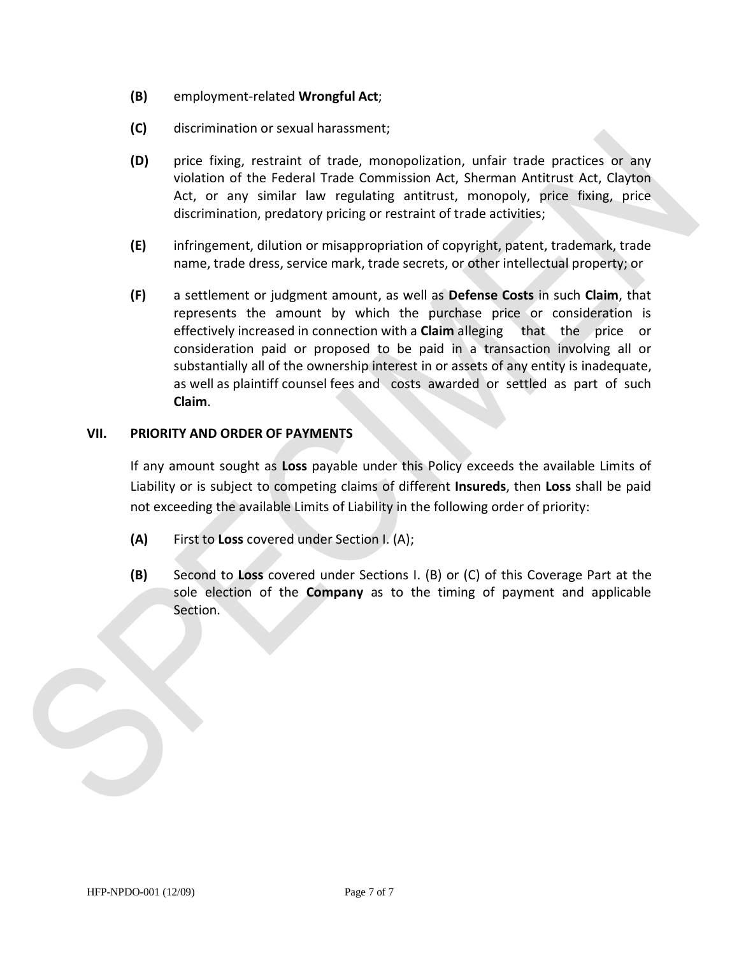- **(B)** employment-related **Wrongful Act**;
- **(C)** discrimination or sexual harassment;
- **(D)** price fixing, restraint of trade, monopolization, unfair trade practices or any violation of the Federal Trade Commission Act, Sherman Antitrust Act, Clayton Act, or any similar law regulating antitrust, monopoly, price fixing, price discrimination, predatory pricing or restraint of trade activities;
- **(E)** infringement, dilution or misappropriation of copyright, patent, trademark, trade name, trade dress, service mark, trade secrets, or other intellectual property; or
- **(F)** a settlement or judgment amount, as well as **Defense Costs** in such **Claim**, that represents the amount by which the purchase price or consideration is effectively increased in connection with a **Claim** alleging that the price or consideration paid or proposed to be paid in a transaction involving all or substantially all of the ownership interest in or assets of any entity is inadequate, as well as plaintiff counsel fees and costs awarded or settled as part of such **Claim**.

#### **VII. PRIORITY AND ORDER OF PAYMENTS**

If any amount sought as **Loss** payable under this Policy exceeds the available Limits of Liability or is subject to competing claims of different **Insureds**, then **Loss** shall be paid not exceeding the available Limits of Liability in the following order of priority:

- **(A)** First to **Loss** covered under Section I. (A);
- **(B)** Second to **Loss** covered under Sections I. (B) or (C) of this Coverage Part at the sole election of the **Company** as to the timing of payment and applicable Section.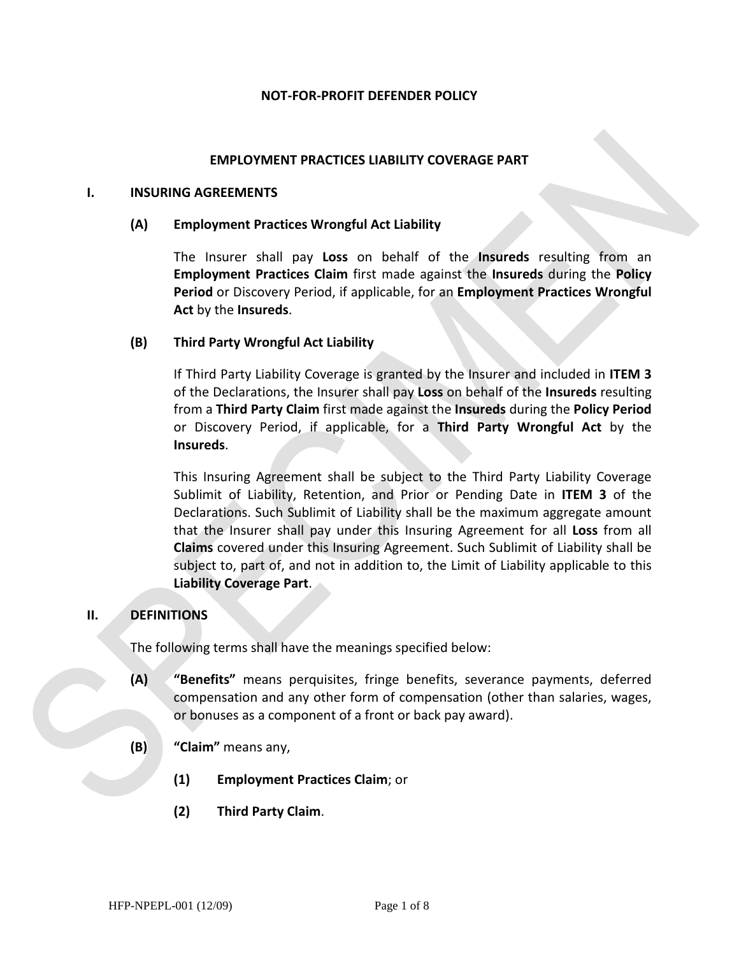#### **NOT-FOR-PROFIT DEFENDER POLICY**

#### **EMPLOYMENT PRACTICES LIABILITY COVERAGE PART**

#### **I. INSURING AGREEMENTS**

#### **(A) Employment Practices Wrongful Act Liability**

The Insurer shall pay **Loss** on behalf of the **Insureds** resulting from an **Employment Practices Claim** first made against the **Insureds** during the **Policy Period** or Discovery Period, if applicable, for an **Employment Practices Wrongful Act** by the **Insureds**.

#### **(B) Third Party Wrongful Act Liability**

If Third Party Liability Coverage is granted by the Insurer and included in **ITEM 3** of the Declarations, the Insurer shall pay **Loss** on behalf of the **Insureds** resulting from a **Third Party Claim** first made against the **Insureds** during the **Policy Period** or Discovery Period, if applicable, for a **Third Party Wrongful Act** by the **Insureds**.

This Insuring Agreement shall be subject to the Third Party Liability Coverage Sublimit of Liability, Retention, and Prior or Pending Date in **ITEM 3** of the Declarations. Such Sublimit of Liability shall be the maximum aggregate amount that the Insurer shall pay under this Insuring Agreement for all **Loss** from all **Claims** covered under this Insuring Agreement. Such Sublimit of Liability shall be subject to, part of, and not in addition to, the Limit of Liability applicable to this **Liability Coverage Part**.

#### **II. DEFINITIONS**

The following terms shall have the meanings specified below:

- **(A) "Benefits"** means perquisites, fringe benefits, severance payments, deferred compensation and any other form of compensation (other than salaries, wages, or bonuses as a component of a front or back pay award).
- **(B) "Claim"** means any,
	- **(1) Employment Practices Claim**; or
	- **(2) Third Party Claim**.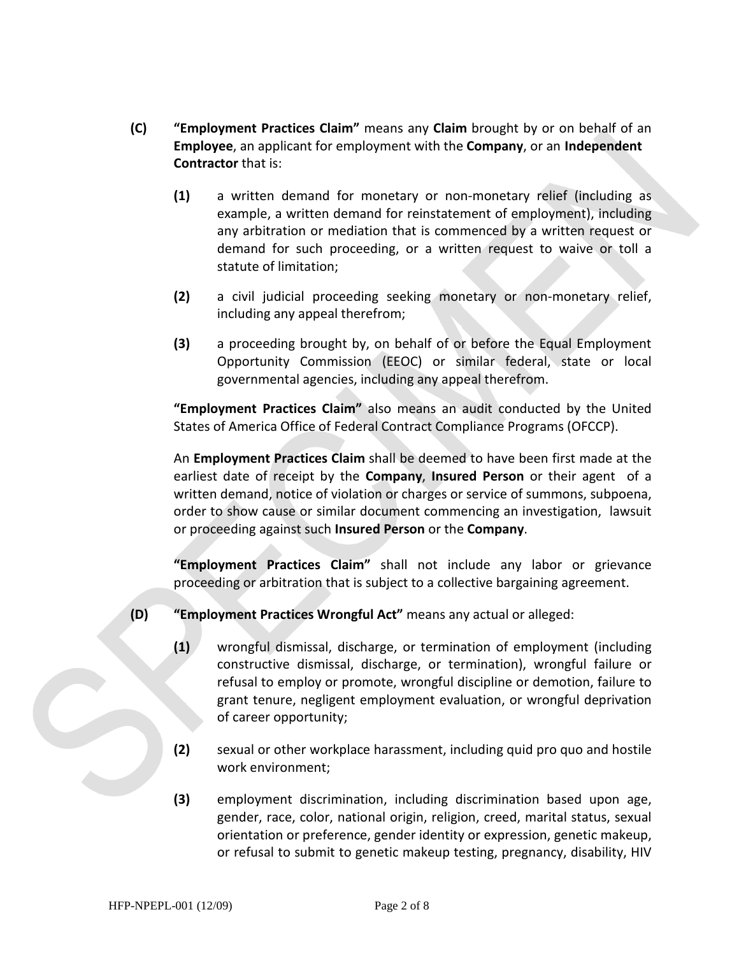- **(C) "Employment Practices Claim"** means any **Claim** brought by or on behalf of an **Employee**, an applicant for employment with the **Company**, or an **Independent Contractor** that is:
	- **(1)** a written demand for monetary or non-monetary relief (including as example, a written demand for reinstatement of employment), including any arbitration or mediation that is commenced by a written request or demand for such proceeding, or a written request to waive or toll a statute of limitation;
	- **(2)** a civil judicial proceeding seeking monetary or non-monetary relief, including any appeal therefrom;
	- **(3)** a proceeding brought by, on behalf of or before the Equal Employment Opportunity Commission (EEOC) or similar federal, state or local governmental agencies, including any appeal therefrom.

**"Employment Practices Claim"** also means an audit conducted by the United States of America Office of Federal Contract Compliance Programs (OFCCP).

An **Employment Practices Claim** shall be deemed to have been first made at the earliest date of receipt by the **Company**, **Insured Person** or their agent of a written demand, notice of violation or charges or service of summons, subpoena, order to show cause or similar document commencing an investigation, lawsuit or proceeding against such **Insured Person** or the **Company**.

**"Employment Practices Claim"** shall not include any labor or grievance proceeding or arbitration that is subject to a collective bargaining agreement.

- **(D) "Employment Practices Wrongful Act"** means any actual or alleged:
	- **(1)** wrongful dismissal, discharge, or termination of employment (including constructive dismissal, discharge, or termination), wrongful failure or refusal to employ or promote, wrongful discipline or demotion, failure to grant tenure, negligent employment evaluation, or wrongful deprivation of career opportunity;
	- **(2)** sexual or other workplace harassment, including quid pro quo and hostile work environment;
	- **(3)** employment discrimination, including discrimination based upon age, gender, race, color, national origin, religion, creed, marital status, sexual orientation or preference, gender identity or expression, genetic makeup, or refusal to submit to genetic makeup testing, pregnancy, disability, HIV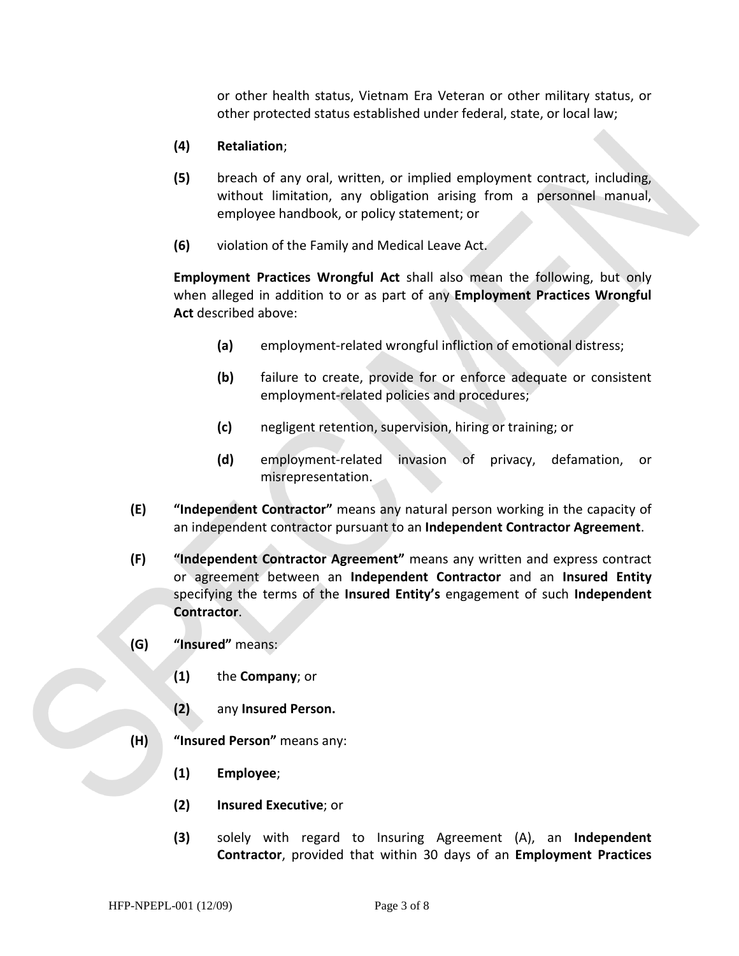or other health status, Vietnam Era Veteran or other military status, or other protected status established under federal, state, or local law;

- **(4) Retaliation**;
- **(5)** breach of any oral, written, or implied employment contract, including, without limitation, any obligation arising from a personnel manual, employee handbook, or policy statement; or
- **(6)** violation of the Family and Medical Leave Act.

**Employment Practices Wrongful Act** shall also mean the following, but only when alleged in addition to or as part of any **Employment Practices Wrongful Act** described above:

- **(a)** employment-related wrongful infliction of emotional distress;
- **(b)** failure to create, provide for or enforce adequate or consistent employment-related policies and procedures;
- **(c)** negligent retention, supervision, hiring or training; or
- **(d)** employment-related invasion of privacy, defamation, or misrepresentation.
- **(E) "Independent Contractor"** means any natural person working in the capacity of an independent contractor pursuant to an **Independent Contractor Agreement**.
- **(F) "Independent Contractor Agreement"** means any written and express contract or agreement between an **Independent Contractor** and an **Insured Entity** specifying the terms of the **Insured Entity's** engagement of such **Independent Contractor**.
- **(G) "Insured"** means:
	- **(1)** the **Company**; or
	- **(2)** any **Insured Person.**
- **(H) "Insured Person"** means any:
	- **(1) Employee**;
	- **(2) Insured Executive**; or
	- **(3)** solely with regard to Insuring Agreement (A), an **Independent Contractor**, provided that within 30 days of an **Employment Practices**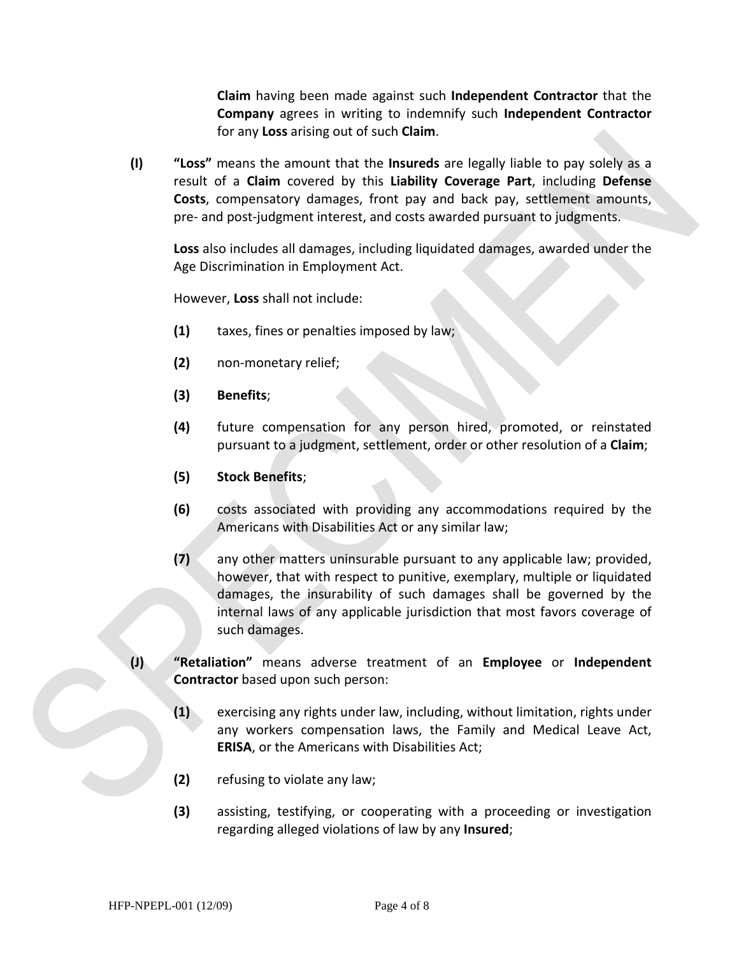**Claim** having been made against such **Independent Contractor** that the **Company** agrees in writing to indemnify such **Independent Contractor** for any **Loss** arising out of such **Claim**.

**(I) "Loss"** means the amount that the **Insureds** are legally liable to pay solely as a result of a **Claim** covered by this **Liability Coverage Part**, including **Defense Costs**, compensatory damages, front pay and back pay, settlement amounts, pre- and post-judgment interest, and costs awarded pursuant to judgments.

**Loss** also includes all damages, including liquidated damages, awarded under the Age Discrimination in Employment Act.

However, **Loss** shall not include:

- **(1)** taxes, fines or penalties imposed by law;
- **(2)** non-monetary relief;
- **(3) Benefits**;
- **(4)** future compensation for any person hired, promoted, or reinstated pursuant to a judgment, settlement, order or other resolution of a **Claim**;
- **(5) Stock Benefits**;
- **(6)** costs associated with providing any accommodations required by the Americans with Disabilities Act or any similar law;
- **(7)** any other matters uninsurable pursuant to any applicable law; provided, however, that with respect to punitive, exemplary, multiple or liquidated damages, the insurability of such damages shall be governed by the internal laws of any applicable jurisdiction that most favors coverage of such damages.
- **(J) "Retaliation"** means adverse treatment of an **Employee** or **Independent Contractor** based upon such person:
	- **(1)** exercising any rights under law, including, without limitation, rights under any workers compensation laws, the Family and Medical Leave Act, **ERISA**, or the Americans with Disabilities Act;
	- **(2)** refusing to violate any law;
	- **(3)** assisting, testifying, or cooperating with a proceeding or investigation regarding alleged violations of law by any **Insured**;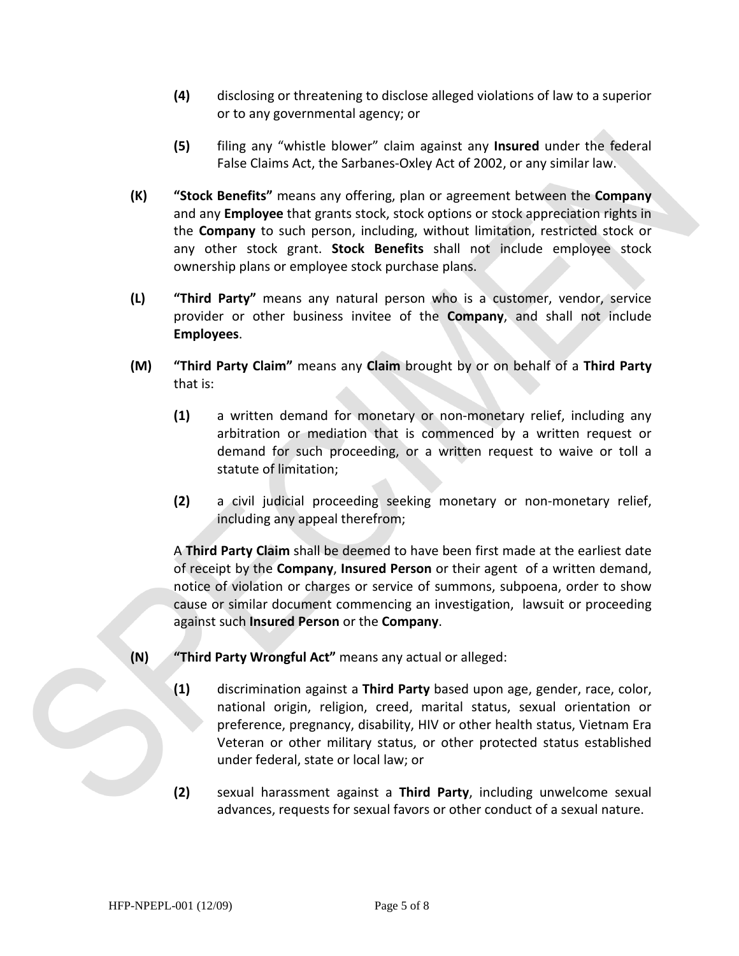- **(4)** disclosing or threatening to disclose alleged violations of law to a superior or to any governmental agency; or
- **(5)** filing any "whistle blower" claim against any **Insured** under the federal False Claims Act, the Sarbanes-Oxley Act of 2002, or any similar law.
- **(K) "Stock Benefits"** means any offering, plan or agreement between the **Company** and any **Employee** that grants stock, stock options or stock appreciation rights in the **Company** to such person, including, without limitation, restricted stock or any other stock grant. **Stock Benefits** shall not include employee stock ownership plans or employee stock purchase plans.
- **(L) "Third Party"** means any natural person who is a customer, vendor, service provider or other business invitee of the **Company**, and shall not include **Employees**.
- **(M) "Third Party Claim"** means any **Claim** brought by or on behalf of a **Third Party** that is:
	- **(1)** a written demand for monetary or non-monetary relief, including any arbitration or mediation that is commenced by a written request or demand for such proceeding, or a written request to waive or toll a statute of limitation;
	- **(2)** a civil judicial proceeding seeking monetary or non-monetary relief, including any appeal therefrom;

A **Third Party Claim** shall be deemed to have been first made at the earliest date of receipt by the **Company**, **Insured Person** or their agent of a written demand, notice of violation or charges or service of summons, subpoena, order to show cause or similar document commencing an investigation, lawsuit or proceeding against such **Insured Person** or the **Company**.

- **(N) "Third Party Wrongful Act"** means any actual or alleged:
	- **(1)** discrimination against a **Third Party** based upon age, gender, race, color, national origin, religion, creed, marital status, sexual orientation or preference, pregnancy, disability, HIV or other health status, Vietnam Era Veteran or other military status, or other protected status established under federal, state or local law; or
	- **(2)** sexual harassment against a **Third Party**, including unwelcome sexual advances, requests for sexual favors or other conduct of a sexual nature.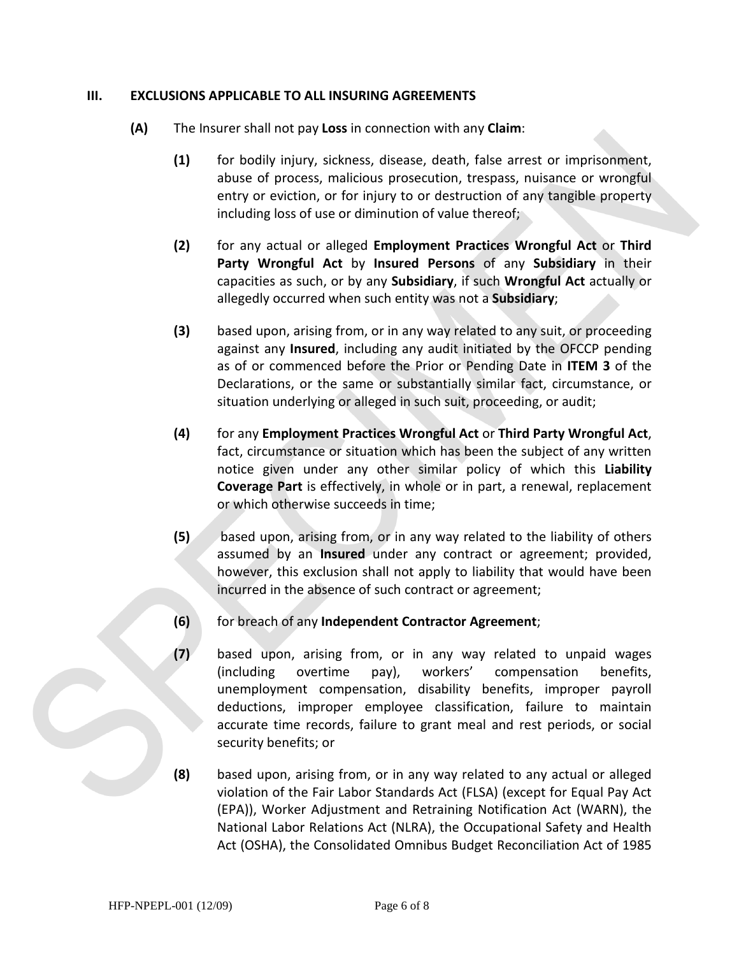#### **III. EXCLUSIONS APPLICABLE TO ALL INSURING AGREEMENTS**

- **(A)** The Insurer shall not pay **Loss** in connection with any **Claim**:
	- **(1)** for bodily injury, sickness, disease, death, false arrest or imprisonment, abuse of process, malicious prosecution, trespass, nuisance or wrongful entry or eviction, or for injury to or destruction of any tangible property including loss of use or diminution of value thereof;
	- **(2)** for any actual or alleged **Employment Practices Wrongful Act** or **Third Party Wrongful Act** by **Insured Persons** of any **Subsidiary** in their capacities as such, or by any **Subsidiary**, if such **Wrongful Act** actually or allegedly occurred when such entity was not a **Subsidiary**;
	- **(3)** based upon, arising from, or in any way related to any suit, or proceeding against any **Insured**, including any audit initiated by the OFCCP pending as of or commenced before the Prior or Pending Date in **ITEM 3** of the Declarations, or the same or substantially similar fact, circumstance, or situation underlying or alleged in such suit, proceeding, or audit;
	- **(4)** for any **Employment Practices Wrongful Act** or **Third Party Wrongful Act**, fact, circumstance or situation which has been the subject of any written notice given under any other similar policy of which this **Liability Coverage Part** is effectively, in whole or in part, a renewal, replacement or which otherwise succeeds in time;
	- **(5)** based upon, arising from, or in any way related to the liability of others assumed by an **Insured** under any contract or agreement; provided, however, this exclusion shall not apply to liability that would have been incurred in the absence of such contract or agreement;
	- **(6)** for breach of any **Independent Contractor Agreement**;
	- **(7)** based upon, arising from, or in any way related to unpaid wages (including overtime pay), workers' compensation benefits, unemployment compensation, disability benefits, improper payroll deductions, improper employee classification, failure to maintain accurate time records, failure to grant meal and rest periods, or social security benefits; or
	- **(8)** based upon, arising from, or in any way related to any actual or alleged violation of the Fair Labor Standards Act (FLSA) (except for Equal Pay Act (EPA)), Worker Adjustment and Retraining Notification Act (WARN), the National Labor Relations Act (NLRA), the Occupational Safety and Health Act (OSHA), the Consolidated Omnibus Budget Reconciliation Act of 1985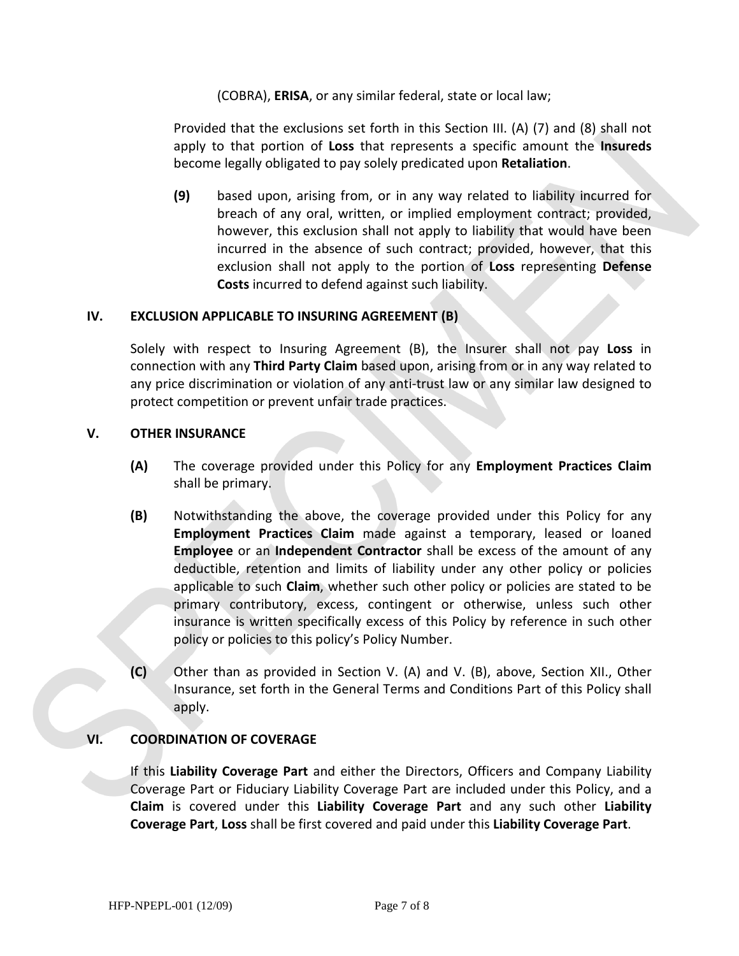(COBRA), **ERISA**, or any similar federal, state or local law;

Provided that the exclusions set forth in this Section III. (A) (7) and (8) shall not apply to that portion of **Loss** that represents a specific amount the **Insureds** become legally obligated to pay solely predicated upon **Retaliation**.

**(9)** based upon, arising from, or in any way related to liability incurred for breach of any oral, written, or implied employment contract; provided, however, this exclusion shall not apply to liability that would have been incurred in the absence of such contract; provided, however, that this exclusion shall not apply to the portion of **Loss** representing **Defense Costs** incurred to defend against such liability.

#### **IV. EXCLUSION APPLICABLE TO INSURING AGREEMENT (B)**

Solely with respect to Insuring Agreement (B), the Insurer shall not pay **Loss** in connection with any **Third Party Claim** based upon, arising from or in any way related to any price discrimination or violation of any anti-trust law or any similar law designed to protect competition or prevent unfair trade practices.

#### **V. OTHER INSURANCE**

- **(A)** The coverage provided under this Policy for any **Employment Practices Claim** shall be primary.
- **(B)** Notwithstanding the above, the coverage provided under this Policy for any **Employment Practices Claim** made against a temporary, leased or loaned **Employee** or an **Independent Contractor** shall be excess of the amount of any deductible, retention and limits of liability under any other policy or policies applicable to such **Claim**, whether such other policy or policies are stated to be primary contributory, excess, contingent or otherwise, unless such other insurance is written specifically excess of this Policy by reference in such other policy or policies to this policy's Policy Number.
- **(C)** Other than as provided in Section V. (A) and V. (B), above, Section XII., Other Insurance, set forth in the General Terms and Conditions Part of this Policy shall apply.

#### **VI. COORDINATION OF COVERAGE**

If this **Liability Coverage Part** and either the Directors, Officers and Company Liability Coverage Part or Fiduciary Liability Coverage Part are included under this Policy, and a **Claim** is covered under this **Liability Coverage Part** and any such other **Liability Coverage Part**, **Loss** shall be first covered and paid under this **Liability Coverage Part**.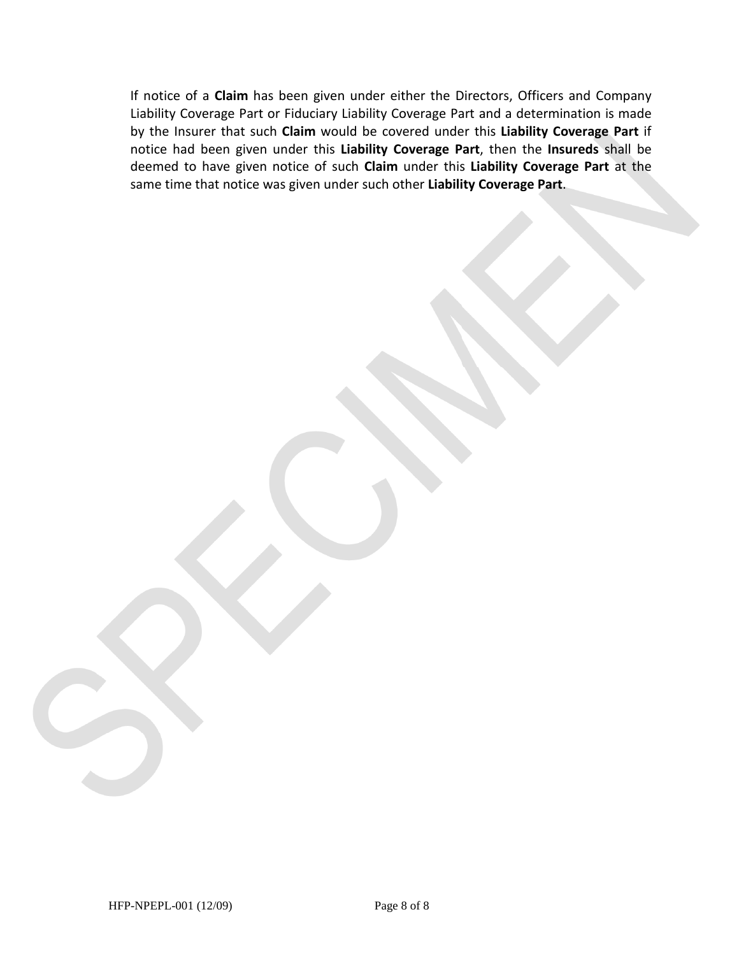If notice of a **Claim** has been given under either the Directors, Officers and Company Liability Coverage Part or Fiduciary Liability Coverage Part and a determination is made by the Insurer that such **Claim** would be covered under this **Liability Coverage Part** if notice had been given under this **Liability Coverage Part**, then the **Insureds** shall be deemed to have given notice of such **Claim** under this **Liability Coverage Part** at the same time that notice was given under such other **Liability Coverage Part**.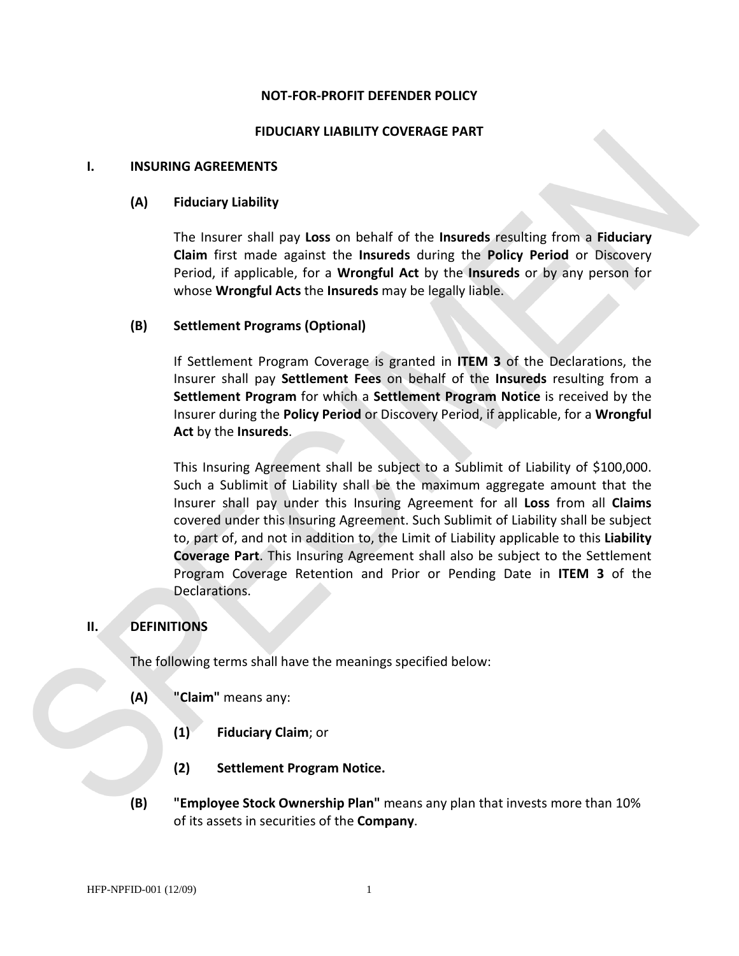#### **NOT-FOR-PROFIT DEFENDER POLICY**

#### **FIDUCIARY LIABILITY COVERAGE PART**

#### **I. INSURING AGREEMENTS**

#### **(A) Fiduciary Liability**

The Insurer shall pay **Loss** on behalf of the **Insureds** resulting from a **Fiduciary Claim** first made against the **Insureds** during the **Policy Period** or Discovery Period, if applicable, for a **Wrongful Act** by the **Insureds** or by any person for whose **Wrongful Acts** the **Insureds** may be legally liable.

#### **(B) Settlement Programs (Optional)**

If Settlement Program Coverage is granted in **ITEM 3** of the Declarations, the Insurer shall pay **Settlement Fees** on behalf of the **Insureds** resulting from a **Settlement Program** for which a **Settlement Program Notice** is received by the Insurer during the **Policy Period** or Discovery Period, if applicable, for a **Wrongful Act** by the **Insureds**.

This Insuring Agreement shall be subject to a Sublimit of Liability of \$100,000. Such a Sublimit of Liability shall be the maximum aggregate amount that the Insurer shall pay under this Insuring Agreement for all **Loss** from all **Claims** covered under this Insuring Agreement. Such Sublimit of Liability shall be subject to, part of, and not in addition to, the Limit of Liability applicable to this **Liability Coverage Part**. This Insuring Agreement shall also be subject to the Settlement Program Coverage Retention and Prior or Pending Date in **ITEM 3** of the Declarations.

#### **II. DEFINITIONS**

The following terms shall have the meanings specified below:

- **(A) "Claim"** means any:
	- **(1) Fiduciary Claim**; or
	- **(2) Settlement Program Notice.**
- **(B) "Employee Stock Ownership Plan"** means any plan that invests more than 10% of its assets in securities of the **Company**.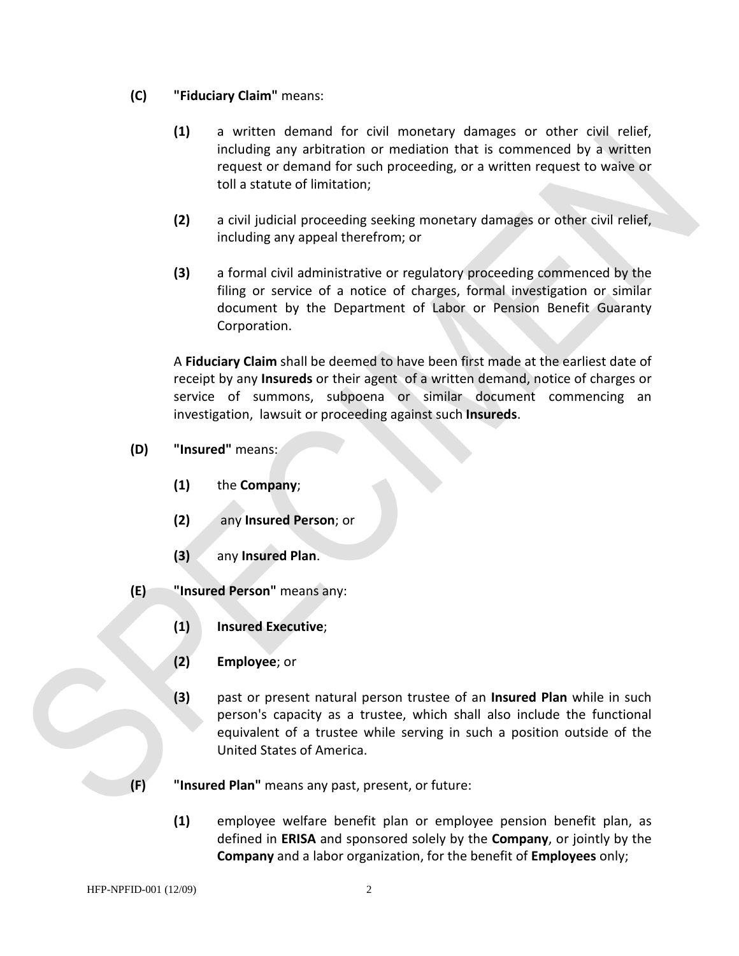### **(C) "Fiduciary Claim"** means:

- **(1)** a written demand for civil monetary damages or other civil relief, including any arbitration or mediation that is commenced by a written request or demand for such proceeding, or a written request to waive or toll a statute of limitation;
- **(2)** a civil judicial proceeding seeking monetary damages or other civil relief, including any appeal therefrom; or
- **(3)** a formal civil administrative or regulatory proceeding commenced by the filing or service of a notice of charges, formal investigation or similar document by the Department of Labor or Pension Benefit Guaranty Corporation.

A **Fiduciary Claim** shall be deemed to have been first made at the earliest date of receipt by any **Insureds** or their agent of a written demand, notice of charges or service of summons, subpoena or similar document commencing an investigation, lawsuit or proceeding against such **Insureds**.

- **(D) "Insured"** means:
	- **(1)** the **Company**;
	- **(2)** any **Insured Person**; or
	- **(3)** any **Insured Plan**.
- **(E) "Insured Person"** means any:
	- **(1) Insured Executive**;
	- **(2) Employee**; or
	- **(3)** past or present natural person trustee of an **Insured Plan** while in such person's capacity as a trustee, which shall also include the functional equivalent of a trustee while serving in such a position outside of the United States of America.
- **(F) "Insured Plan"** means any past, present, or future:
	- **(1)** employee welfare benefit plan or employee pension benefit plan, as defined in **ERISA** and sponsored solely by the **Company**, or jointly by the **Company** and a labor organization, for the benefit of **Employees** only;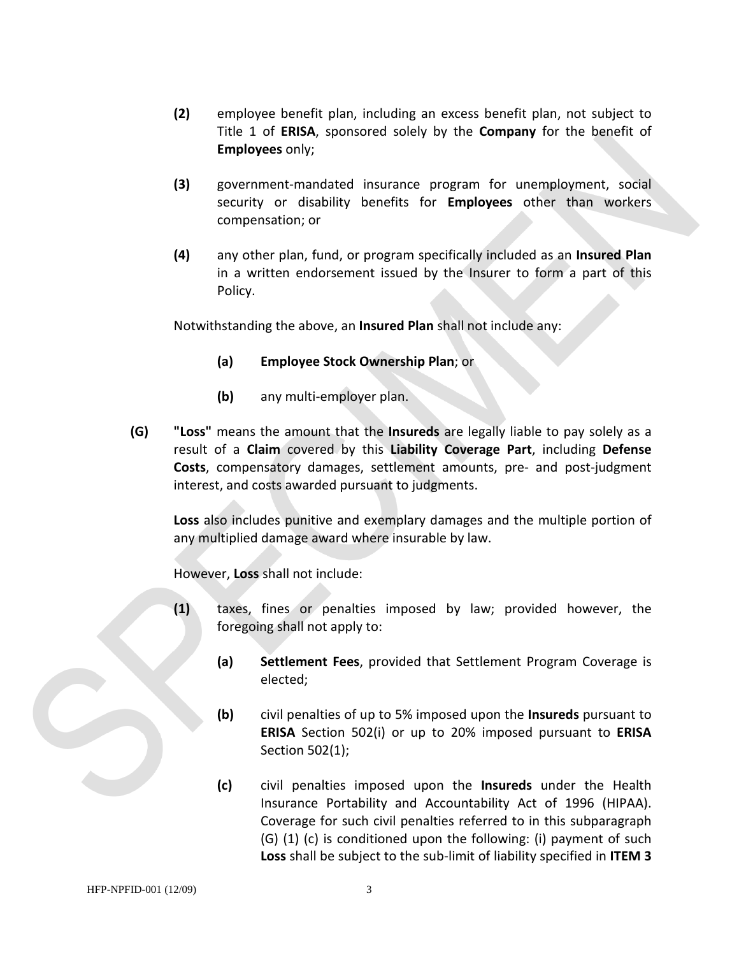- **(2)** employee benefit plan, including an excess benefit plan, not subject to Title 1 of **ERISA**, sponsored solely by the **Company** for the benefit of **Employees** only;
- **(3)** government-mandated insurance program for unemployment, social security or disability benefits for **Employees** other than workers compensation; or
- **(4)** any other plan, fund, or program specifically included as an **Insured Plan** in a written endorsement issued by the Insurer to form a part of this Policy.

Notwithstanding the above, an **Insured Plan** shall not include any:

- **(a) Employee Stock Ownership Plan**; or
- **(b)** any multi-employer plan.
- **(G) "Loss"** means the amount that the **Insureds** are legally liable to pay solely as a result of a **Claim** covered by this **Liability Coverage Part**, including **Defense Costs**, compensatory damages, settlement amounts, pre- and post-judgment interest, and costs awarded pursuant to judgments.

**Loss** also includes punitive and exemplary damages and the multiple portion of any multiplied damage award where insurable by law.

However, **Loss** shall not include:

- **(1)** taxes, fines or penalties imposed by law; provided however, the foregoing shall not apply to:
	- **(a) Settlement Fees**, provided that Settlement Program Coverage is elected;
	- **(b)** civil penalties of up to 5% imposed upon the **Insureds** pursuant to **ERISA** Section 502(i) or up to 20% imposed pursuant to **ERISA**  Section 502(1);
	- **(c)** civil penalties imposed upon the **Insureds** under the Health Insurance Portability and Accountability Act of 1996 (HIPAA). Coverage for such civil penalties referred to in this subparagraph (G) (1) (c) is conditioned upon the following: (i) payment of such **Loss** shall be subject to the sub-limit of liability specified in **ITEM 3**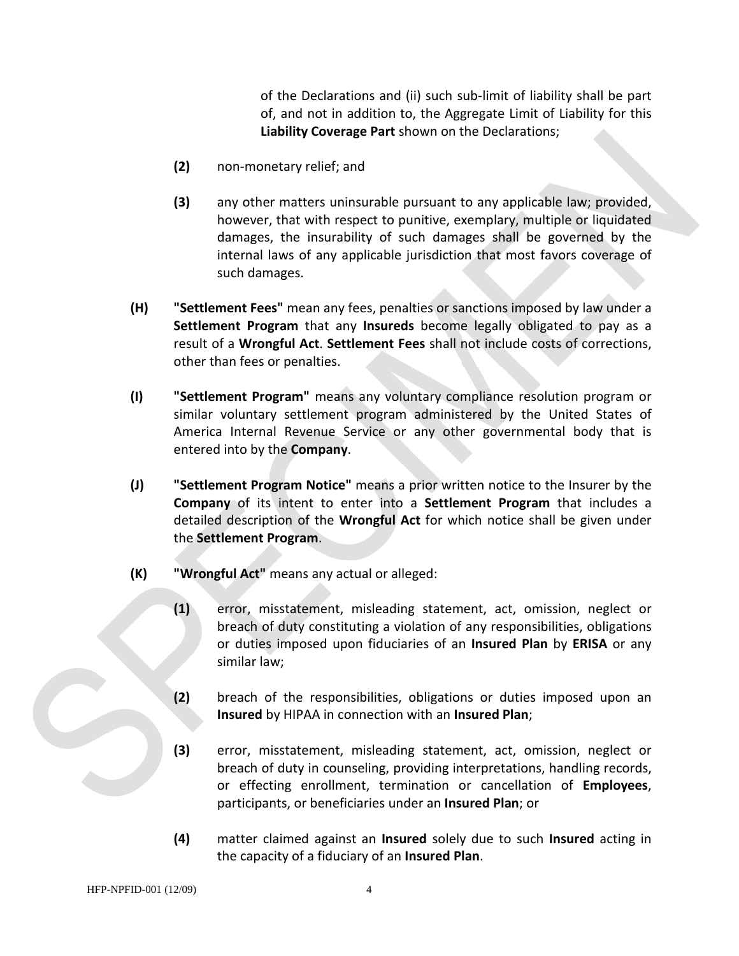of the Declarations and (ii) such sub-limit of liability shall be part of, and not in addition to, the Aggregate Limit of Liability for this **Liability Coverage Part** shown on the Declarations;

- **(2)** non-monetary relief; and
- **(3)** any other matters uninsurable pursuant to any applicable law; provided, however, that with respect to punitive, exemplary, multiple or liquidated damages, the insurability of such damages shall be governed by the internal laws of any applicable jurisdiction that most favors coverage of such damages.
- **(H) "Settlement Fees"** mean any fees, penalties or sanctions imposed by law under a **Settlement Program** that any **Insureds** become legally obligated to pay as a result of a **Wrongful Act**. **Settlement Fees** shall not include costs of corrections, other than fees or penalties.
- **(I) "Settlement Program"** means any voluntary compliance resolution program or similar voluntary settlement program administered by the United States of America Internal Revenue Service or any other governmental body that is entered into by the **Company**.
- **(J) "Settlement Program Notice"** means a prior written notice to the Insurer by the **Company** of its intent to enter into a **Settlement Program** that includes a detailed description of the **Wrongful Act** for which notice shall be given under the **Settlement Program**.
- **(K) "Wrongful Act"** means any actual or alleged:
	- **(1)** error, misstatement, misleading statement, act, omission, neglect or breach of duty constituting a violation of any responsibilities, obligations or duties imposed upon fiduciaries of an **Insured Plan** by **ERISA** or any similar law;
	- **(2)** breach of the responsibilities, obligations or duties imposed upon an **Insured** by HIPAA in connection with an **Insured Plan**;
	- **(3)** error, misstatement, misleading statement, act, omission, neglect or breach of duty in counseling, providing interpretations, handling records, or effecting enrollment, termination or cancellation of **Employees**, participants, or beneficiaries under an **Insured Plan**; or
	- **(4)** matter claimed against an **Insured** solely due to such **Insured** acting in the capacity of a fiduciary of an **Insured Plan**.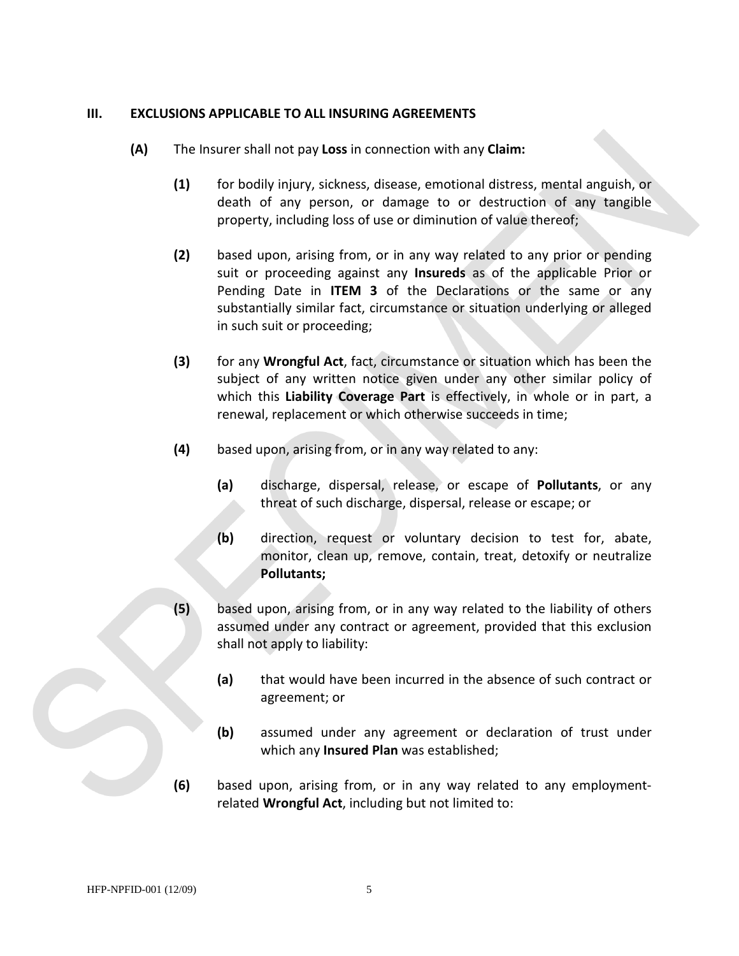#### **III. EXCLUSIONS APPLICABLE TO ALL INSURING AGREEMENTS**

- **(A)** The Insurer shall not pay **Loss** in connection with any **Claim:** 
	- **(1)** for bodily injury, sickness, disease, emotional distress, mental anguish, or death of any person, or damage to or destruction of any tangible property, including loss of use or diminution of value thereof;
	- **(2)** based upon, arising from, or in any way related to any prior or pending suit or proceeding against any **Insureds** as of the applicable Prior or Pending Date in **ITEM 3** of the Declarations or the same or any substantially similar fact, circumstance or situation underlying or alleged in such suit or proceeding;
	- **(3)** for any **Wrongful Act**, fact, circumstance or situation which has been the subject of any written notice given under any other similar policy of which this **Liability Coverage Part** is effectively, in whole or in part, a renewal, replacement or which otherwise succeeds in time;
	- **(4)** based upon, arising from, or in any way related to any:
		- **(a)** discharge, dispersal, release, or escape of **Pollutants**, or any threat of such discharge, dispersal, release or escape; or
		- **(b)** direction, request or voluntary decision to test for, abate, monitor, clean up, remove, contain, treat, detoxify or neutralize **Pollutants;**
	- **(5)** based upon, arising from, or in any way related to the liability of others assumed under any contract or agreement, provided that this exclusion shall not apply to liability:
		- **(a)** that would have been incurred in the absence of such contract or agreement; or
		- **(b)** assumed under any agreement or declaration of trust under which any **Insured Plan** was established;
	- **(6)** based upon, arising from, or in any way related to any employmentrelated **Wrongful Act**, including but not limited to: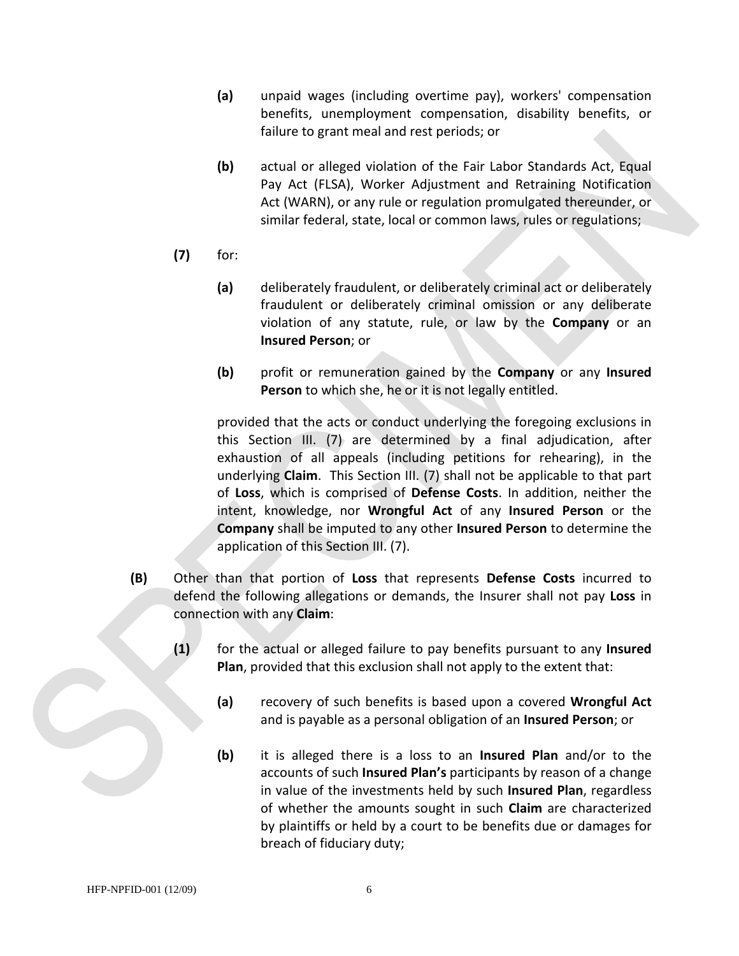- **(a)** unpaid wages (including overtime pay), workers' compensation benefits, unemployment compensation, disability benefits, or failure to grant meal and rest periods; or
- **(b)** actual or alleged violation of the Fair Labor Standards Act, Equal Pay Act (FLSA), Worker Adjustment and Retraining Notification Act (WARN), or any rule or regulation promulgated thereunder, or similar federal, state, local or common laws, rules or regulations;
- **(7)** for:
	- **(a)** deliberately fraudulent, or deliberately criminal act or deliberately fraudulent or deliberately criminal omission or any deliberate violation of any statute, rule, or law by the **Company** or an **Insured Person**; or
	- **(b)** profit or remuneration gained by the **Company** or any **Insured Person** to which she, he or it is not legally entitled.

provided that the acts or conduct underlying the foregoing exclusions in this Section III. (7) are determined by a final adjudication, after exhaustion of all appeals (including petitions for rehearing), in the underlying **Claim**. This Section III. (7) shall not be applicable to that part of **Loss**, which is comprised of **Defense Costs**. In addition, neither the intent, knowledge, nor **Wrongful Act** of any **Insured Person** or the **Company** shall be imputed to any other **Insured Person** to determine the application of this Section III. (7).

- **(B)** Other than that portion of **Loss** that represents **Defense Costs** incurred to defend the following allegations or demands, the Insurer shall not pay **Loss** in connection with any **Claim**:
	- **(1)** for the actual or alleged failure to pay benefits pursuant to any **Insured Plan**, provided that this exclusion shall not apply to the extent that:
		- **(a)** recovery of such benefits is based upon a covered **Wrongful Act** and is payable as a personal obligation of an **Insured Person**; or
		- **(b)** it is alleged there is a loss to an **Insured Plan** and/or to the accounts of such **Insured Plan's** participants by reason of a change in value of the investments held by such **Insured Plan**, regardless of whether the amounts sought in such **Claim** are characterized by plaintiffs or held by a court to be benefits due or damages for breach of fiduciary duty;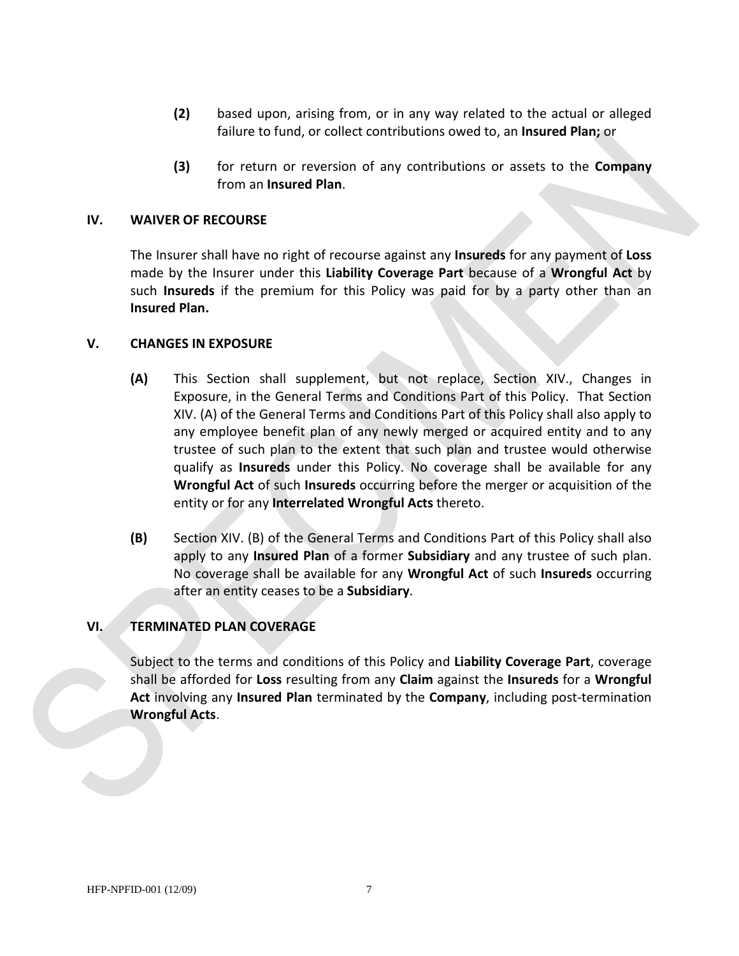- **(2)** based upon, arising from, or in any way related to the actual or alleged failure to fund, or collect contributions owed to, an **Insured Plan;** or
- **(3)** for return or reversion of any contributions or assets to the **Company** from an **Insured Plan**.

#### **IV. WAIVER OF RECOURSE**

The Insurer shall have no right of recourse against any **Insureds** for any payment of **Loss**  made by the Insurer under this **Liability Coverage Part** because of a **Wrongful Act** by such **Insureds** if the premium for this Policy was paid for by a party other than an **Insured Plan.**

#### **V. CHANGES IN EXPOSURE**

- **(A)** This Section shall supplement, but not replace, Section XIV., Changes in Exposure, in the General Terms and Conditions Part of this Policy. That Section XIV. (A) of the General Terms and Conditions Part of this Policy shall also apply to any employee benefit plan of any newly merged or acquired entity and to any trustee of such plan to the extent that such plan and trustee would otherwise qualify as **Insureds** under this Policy. No coverage shall be available for any **Wrongful Act** of such **Insureds** occurring before the merger or acquisition of the entity or for any **Interrelated Wrongful Acts** thereto.
- **(B)** Section XIV. (B) of the General Terms and Conditions Part of this Policy shall also apply to any **Insured Plan** of a former **Subsidiary** and any trustee of such plan. No coverage shall be available for any **Wrongful Act** of such **Insureds** occurring after an entity ceases to be a **Subsidiary**.

#### **VI. TERMINATED PLAN COVERAGE**

Subject to the terms and conditions of this Policy and **Liability Coverage Part**, coverage shall be afforded for **Loss** resulting from any **Claim** against the **Insureds** for a **Wrongful Act** involving any **Insured Plan** terminated by the **Company**, including post-termination **Wrongful Acts**.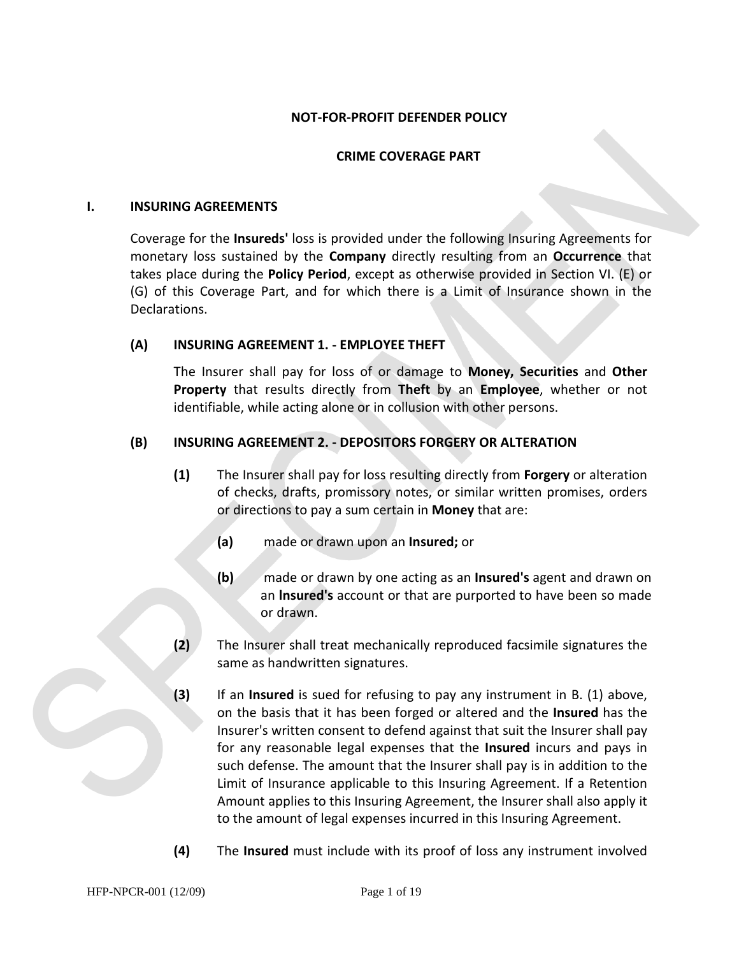#### **NOT-FOR-PROFIT DEFENDER POLICY**

#### **CRIME COVERAGE PART**

#### **I. INSURING AGREEMENTS**

Coverage for the **Insureds'** loss is provided under the following Insuring Agreements for monetary loss sustained by the **Company** directly resulting from an **Occurrence** that takes place during the **Policy Period**, except as otherwise provided in Section VI. (E) or (G) of this Coverage Part, and for which there is a Limit of Insurance shown in the Declarations.

#### **(A) INSURING AGREEMENT 1. - EMPLOYEE THEFT**

The Insurer shall pay for loss of or damage to **Money, Securities** and **Other Property** that results directly from **Theft** by an **Employee**, whether or not identifiable, while acting alone or in collusion with other persons.

#### **(B) INSURING AGREEMENT 2. - DEPOSITORS FORGERY OR ALTERATION**

- **(1)** The Insurer shall pay for loss resulting directly from **Forgery** or alteration of checks, drafts, promissory notes, or similar written promises, orders or directions to pay a sum certain in **Money** that are:
	- **(a)** made or drawn upon an **Insured;** or
	- **(b)** made or drawn by one acting as an **Insured's** agent and drawn on an **lnsured's** account or that are purported to have been so made or drawn.
- **(2)** The Insurer shall treat mechanically reproduced facsimile signatures the same as handwritten signatures.
- **(3)** If an **Insured** is sued for refusing to pay any instrument in B. (1) above, on the basis that it has been forged or altered and the **Insured** has the Insurer's written consent to defend against that suit the Insurer shall pay for any reasonable legal expenses that the **Insured** incurs and pays in such defense. The amount that the Insurer shall pay is in addition to the Limit of Insurance applicable to this Insuring Agreement. If a Retention Amount applies to this Insuring Agreement, the Insurer shall also apply it to the amount of legal expenses incurred in this Insuring Agreement.
- **(4)** The **Insured** must include with its proof of loss any instrument involved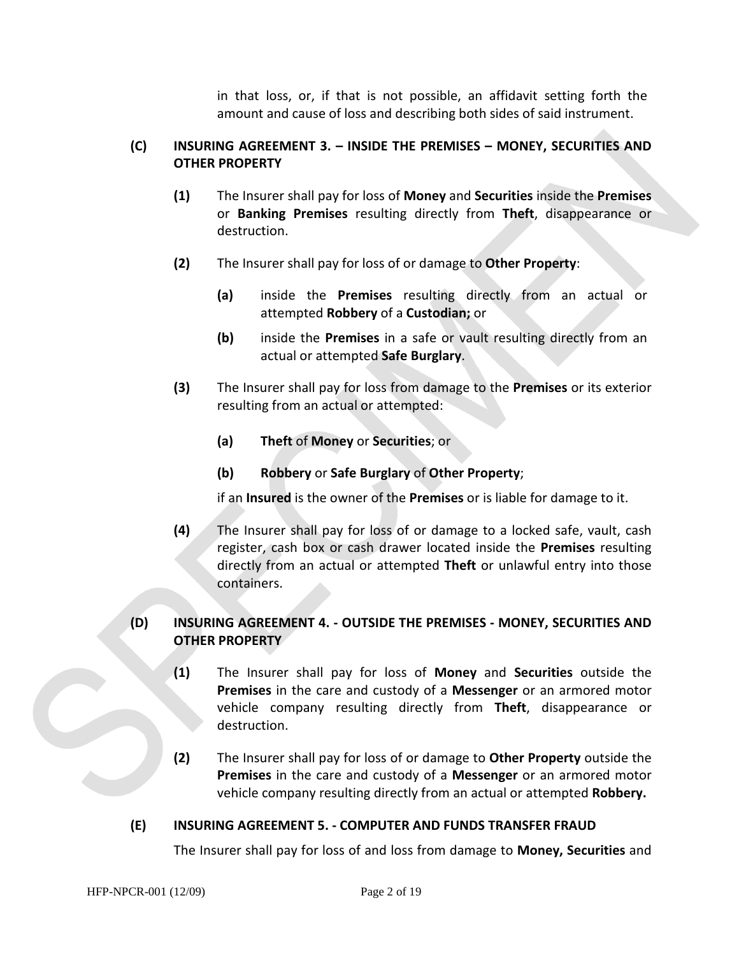in that loss, or, if that is not possible, an affidavit setting forth the amount and cause of loss and describing both sides of said instrument.

# **(C) INSURING AGREEMENT 3. – INSIDE THE PREMISES – MONEY, SECURITIES AND OTHER PROPERTY**

- **(1)** The Insurer shall pay for loss of **Money** and **Securities** inside the **Premises** or **Banking Premises** resulting directly from **Theft**, disappearance or destruction.
- **(2)** The Insurer shall pay for loss of or damage to **Other Property**:
	- **(a)** inside the **Premises** resulting directly from an actual or attempted **Robbery** of a **Custodian;** or
	- **(b)** inside the **Premises** in a safe or vault resulting directly from an actual or attempted **Safe Burglary**.
- **(3)** The Insurer shall pay for loss from damage to the **Premises** or its exterior resulting from an actual or attempted:
	- **(a) Theft** of **Money** or **Securities**; or
	- **(b) Robbery** or **Safe Burglary** of **Other Property**;

if an **Insured** is the owner of the **Premises** or is liable for damage to it.

**(4)** The Insurer shall pay for loss of or damage to a locked safe, vault, cash register, cash box or cash drawer located inside the **Premises** resulting directly from an actual or attempted **Theft** or unlawful entry into those containers.

# **(D) INSURING AGREEMENT 4. - OUTSIDE THE PREMISES - MONEY, SECURITIES AND OTHER PROPERTY**

- **(1)** The Insurer shall pay for loss of **Money** and **Securities** outside the **Premises** in the care and custody of a **Messenger** or an armored motor vehicle company resulting directly from **Theft**, disappearance or destruction.
- **(2)** The Insurer shall pay for loss of or damage to **Other Property** outside the **Premises** in the care and custody of a **Messenger** or an armored motor vehicle company resulting directly from an actual or attempted **Robbery.**

# **(E) INSURING AGREEMENT 5. - COMPUTER AND FUNDS TRANSFER FRAUD**

The Insurer shall pay for loss of and loss from damage to **Money, Securities** and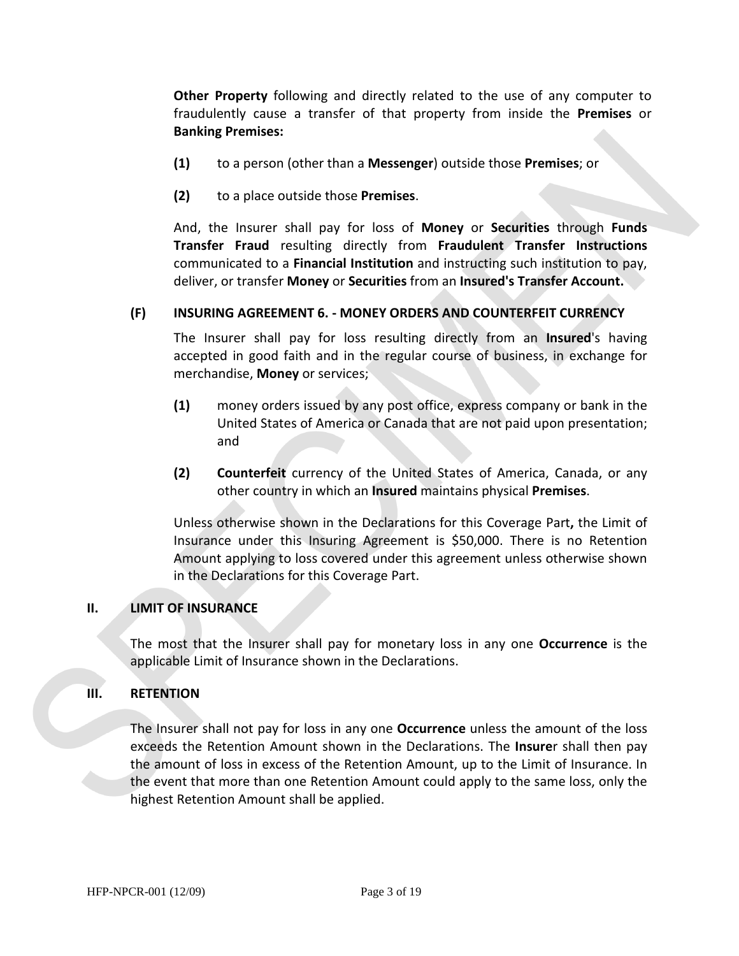**Other Property** following and directly related to the use of any computer to fraudulently cause a transfer of that property from inside the **Premises** or **Banking Premises:** 

- **(1)** to a person (other than a **Messenger**) outside those **Premises**; or
- **(2)** to a place outside those **Premises**.

And, the Insurer shall pay for loss of **Money** or **Securities** through **Funds Transfer Fraud** resulting directly from **Fraudulent Transfer Instructions**  communicated to a **Financial Institution** and instructing such institution to pay, deliver, or transfer **Money** or **Securities** from an **Insured's Transfer Account.**

# **(F) INSURING AGREEMENT 6. - MONEY ORDERS AND COUNTERFEIT CURRENCY**

The Insurer shall pay for loss resulting directly from an **Insured**'s having accepted in good faith and in the regular course of business, in exchange for merchandise, **Money** or services;

- **(1)** money orders issued by any post office, express company or bank in the United States of America or Canada that are not paid upon presentation; and
- **(2) Counterfeit** currency of the United States of America, Canada, or any other country in which an **Insured** maintains physical **Premises**.

Unless otherwise shown in the Declarations for this Coverage Part**,** the Limit of Insurance under this Insuring Agreement is \$50,000. There is no Retention Amount applying to loss covered under this agreement unless otherwise shown in the Declarations for this Coverage Part.

#### **II. LIMIT OF INSURANCE**

The most that the Insurer shall pay for monetary loss in any one **Occurrence** is the applicable Limit of Insurance shown in the Declarations.

#### **III. RETENTION**

The Insurer shall not pay for loss in any one **Occurrence** unless the amount of the loss exceeds the Retention Amount shown in the Declarations. The **Insure**r shall then pay the amount of loss in excess of the Retention Amount, up to the Limit of Insurance. In the event that more than one Retention Amount could apply to the same loss, only the highest Retention Amount shall be applied.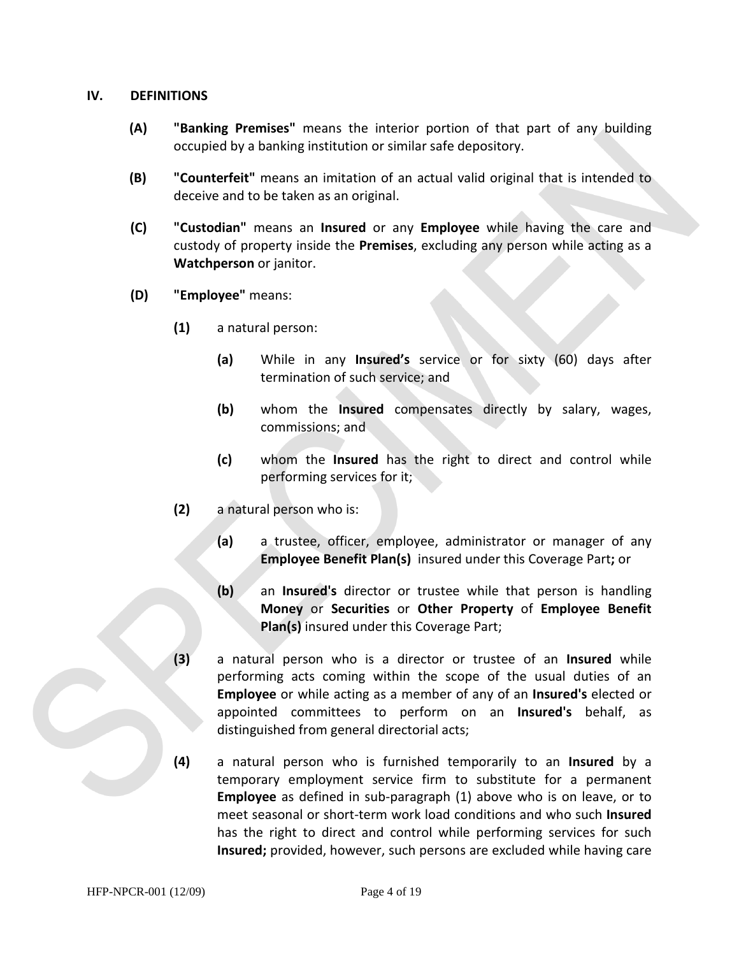#### **IV. DEFINITIONS**

- **(A) "Banking Premises"** means the interior portion of that part of any building occupied by a banking institution or similar safe depository.
- **(B) "Counterfeit"** means an imitation of an actual valid original that is intended to deceive and to be taken as an original.
- **(C) "Custodian"** means an **Insured** or any **Employee** while having the care and custody of property inside the **Premises**, excluding any person while acting as a **Watchperson** or janitor.
- **(D) "Employee"** means:
	- **(1)** a natural person:
		- **(a)** While in any **Insured's** service or for sixty (60) days after termination of such service; and
		- **(b)** whom the **Insured** compensates directly by salary, wages, commissions; and
		- **(c)** whom the **Insured** has the right to direct and control while performing services for it;
	- **(2)** a natural person who is:
		- **(a)** a trustee, officer, employee, administrator or manager of any **Employee Benefit Plan(s)** insured under this Coverage Part**;** or
		- **(b)** an **Insured's** director or trustee while that person is handling **Money** or **Securities** or **Other Property** of **Employee Benefit Plan(s)** insured under this Coverage Part;
	- **(3)** a natural person who is a director or trustee of an **Insured** while performing acts coming within the scope of the usual duties of an **Employee** or while acting as a member of any of an **Insured's** elected or appointed committees to perform on an **Insured's** behalf, as distinguished from general directorial acts;
	- **(4)** a natural person who is furnished temporarily to an **Insured** by a temporary employment service firm to substitute for a permanent **Employee** as defined in sub-paragraph (1) above who is on leave, or to meet seasonal or short-term work load conditions and who such **Insured** has the right to direct and control while performing services for such **Insured;** provided, however, such persons are excluded while having care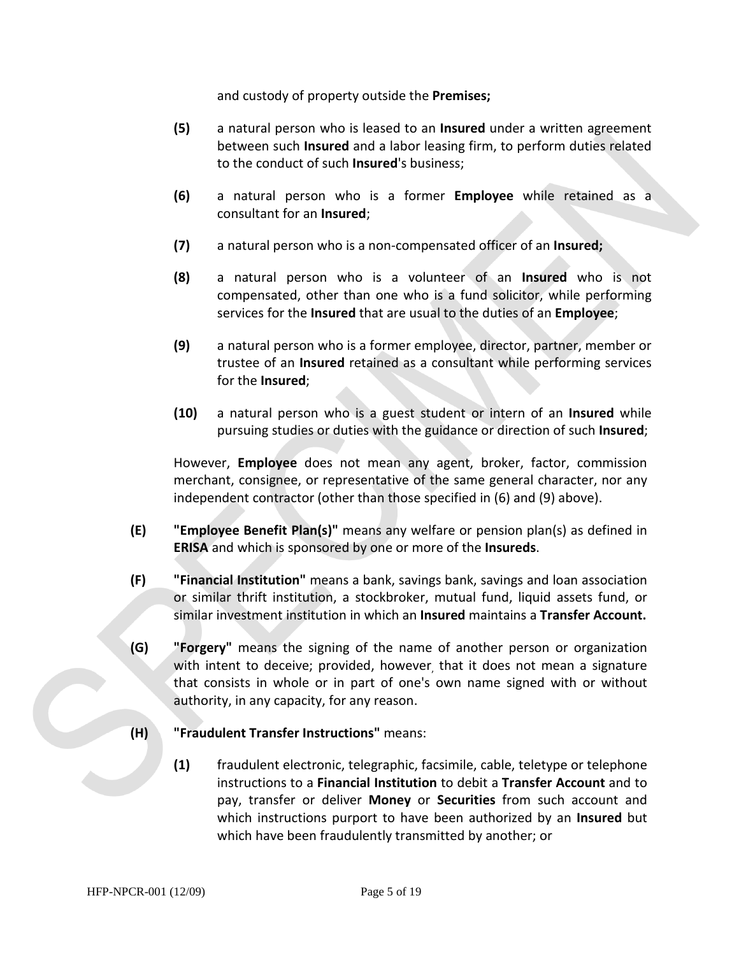and custody of property outside the **Premises;** 

- **(5)** a natural person who is leased to an **Insured** under a written agreement between such **Insured** and a labor leasing firm, to perform duties related to the conduct of such **Insured**'s business;
- **(6)** a natural person who is a former **Employee** while retained as a consultant for an **Insured**;
- **(7)** a natural person who is a non-compensated officer of an **Insured;**
- **(8)** a natural person who is a volunteer of an **Insured** who is not compensated, other than one who is a fund solicitor, while performing services for the **Insured** that are usual to the duties of an **Employee**;
- **(9)** a natural person who is a former employee, director, partner, member or trustee of an **Insured** retained as a consultant while performing services for the **Insured**;
- **(10)** a natural person who is a guest student or intern of an **Insured** while pursuing studies or duties with the guidance or direction of such **Insured**;

However, **Employee** does not mean any agent, broker, factor, commission merchant, consignee, or representative of the same general character, nor any independent contractor (other than those specified in (6) and (9) above).

- **(E) "Employee Benefit Plan(s)"** means any welfare or pension plan(s) as defined in **ERISA** and which is sponsored by one or more of the **Insureds**.
- **(F) "Financial Institution"** means a bank, savings bank, savings and loan association or similar thrift institution, a stockbroker, mutual fund, liquid assets fund, or similar investment institution in which an **Insured** maintains a **Transfer Account.**
- **(G) "Forgery"** means the signing of the name of another person or organization with intent to deceive; provided, however, that it does not mean a signature that consists in whole or in part of one's own name signed with or without authority, in any capacity, for any reason.
- **(H) "Fraudulent Transfer Instructions"** means:
	- **(1)** fraudulent electronic, telegraphic, facsimile, cable, teletype or telephone instructions to a **Financial Institution** to debit a **Transfer Account** and to pay, transfer or deliver **Money** or **Securities** from such account and which instructions purport to have been authorized by an **Insured** but which have been fraudulently transmitted by another; or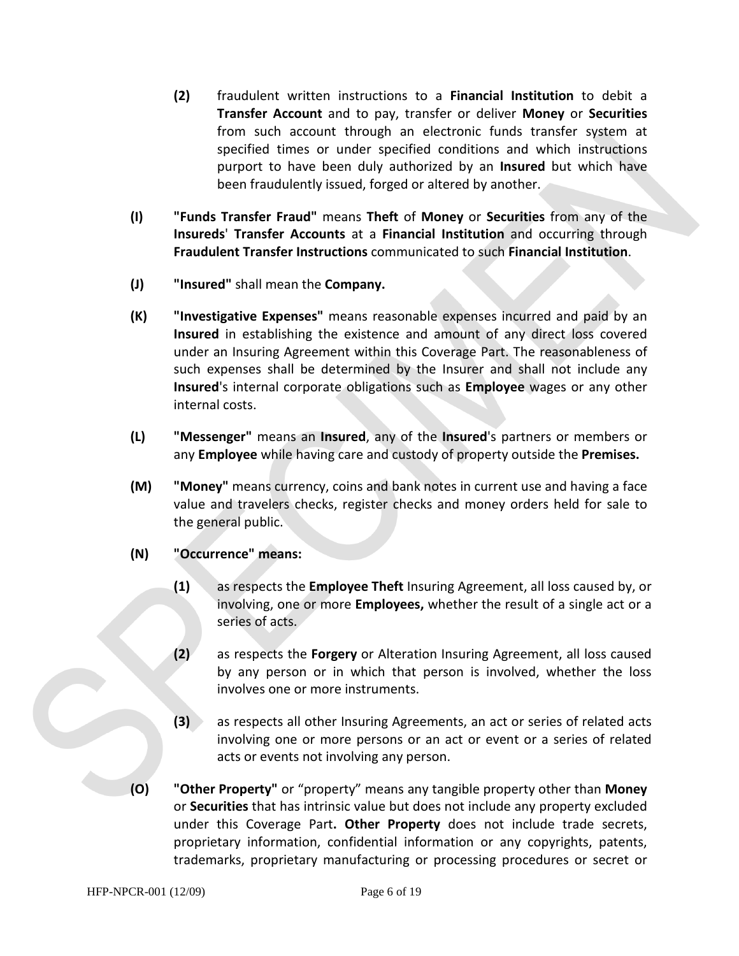- **(2)** fraudulent written instructions to a **Financial Institution** to debit a **Transfer Account** and to pay, transfer or deliver **Money** or **Securities** from such account through an electronic funds transfer system at specified times or under specified conditions and which instructions purport to have been duly authorized by an **Insured** but which have been fraudulently issued, forged or altered by another.
- **(I) "Funds Transfer Fraud"** means **Theft** of **Money** or **Securities** from any of the **Insureds**' **Transfer Accounts** at a **Financial Institution** and occurring through **Fraudulent Transfer Instructions** communicated to such **Financial Institution**.
- **(J) "Insured"** shall mean the **Company.**
- **(K) "Investigative Expenses"** means reasonable expenses incurred and paid by an **Insured** in establishing the existence and amount of any direct loss covered under an Insuring Agreement within this Coverage Part. The reasonableness of such expenses shall be determined by the Insurer and shall not include any **Insured**'s internal corporate obligations such as **Employee** wages or any other internal costs.
- **(L) "Messenger"** means an **Insured**, any of the **Insured**'s partners or members or any **Employee** while having care and custody of property outside the **Premises.**
- **(M) "Money"** means currency, coins and bank notes in current use and having a face value and travelers checks, register checks and money orders held for sale to the general public.
- **(N) "Occurrence" means:** 
	- **(1)** as respects the **Employee Theft** Insuring Agreement, all loss caused by, or involving, one or more **Employees,** whether the result of a single act or a series of acts.
	- **(2)** as respects the **Forgery** or Alteration Insuring Agreement, all loss caused by any person or in which that person is involved, whether the loss involves one or more instruments.
	- **(3)** as respects all other Insuring Agreements, an act or series of related acts involving one or more persons or an act or event or a series of related acts or events not involving any person.
- **(O) "Other Property"** or "property" means any tangible property other than **Money**  or **Securities** that has intrinsic value but does not include any property excluded under this Coverage Part**. Other Property** does not include trade secrets, proprietary information, confidential information or any copyrights, patents, trademarks, proprietary manufacturing or processing procedures or secret or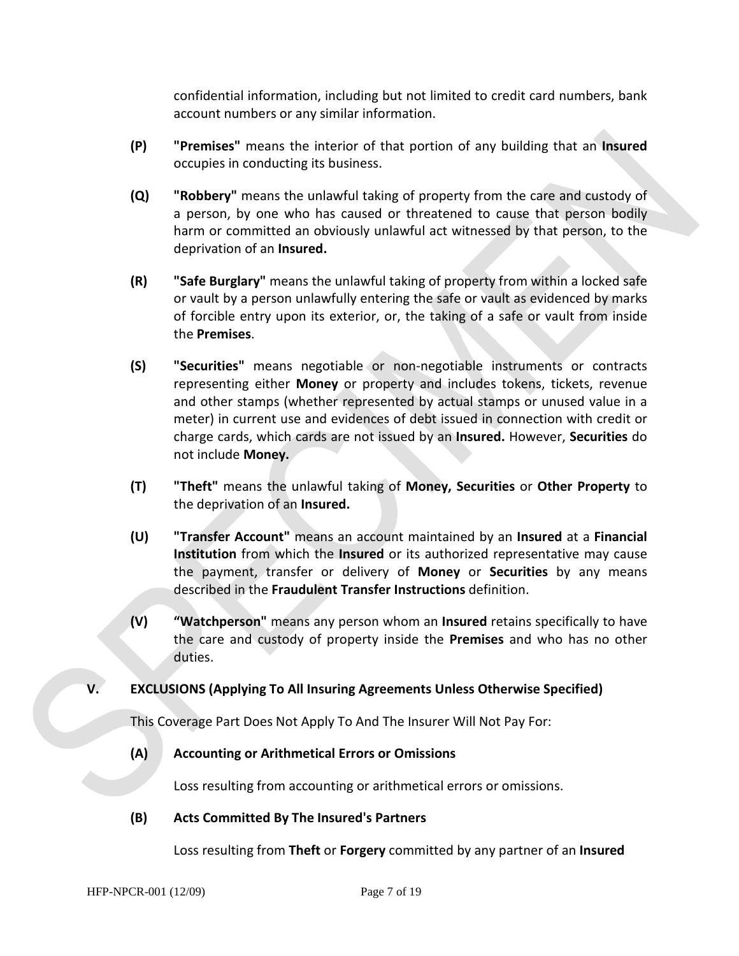confidential information, including but not limited to credit card numbers, bank account numbers or any similar information.

- **(P) "Premises"** means the interior of that portion of any building that an **Insured** occupies in conducting its business.
- **(Q) "Robbery"** means the unlawful taking of property from the care and custody of a person, by one who has caused or threatened to cause that person bodily harm or committed an obviously unlawful act witnessed by that person, to the deprivation of an **Insured.**
- **(R) "Safe Burglary"** means the unlawful taking of property from within a locked safe or vault by a person unlawfully entering the safe or vault as evidenced by marks of forcible entry upon its exterior, or, the taking of a safe or vault from inside the **Premises**.
- **(S) "Securities"** means negotiable or non-negotiable instruments or contracts representing either **Money** or property and includes tokens, tickets, revenue and other stamps (whether represented by actual stamps or unused value in a meter) in current use and evidences of debt issued in connection with credit or charge cards, which cards are not issued by an **Insured.** However, **Securities** do not include **Money.**
- **(T) "Theft"** means the unlawful taking of **Money, Securities** or **Other Property** to the deprivation of an **Insured.**
- **(U) "Transfer Account"** means an account maintained by an **Insured** at a **Financial Institution** from which the **Insured** or its authorized representative may cause the payment, transfer or delivery of **Money** or **Securities** by any means described in the **Fraudulent Transfer Instructions** definition.
- **(V) "Watchperson"** means any person whom an **Insured** retains specifically to have the care and custody of property inside the **Premises** and who has no other duties.

# **V. EXCLUSIONS (Applying To All Insuring Agreements Unless Otherwise Specified)**

This Coverage Part Does Not Apply To And The Insurer Will Not Pay For:

# **(A) Accounting or Arithmetical Errors or Omissions**

Loss resulting from accounting or arithmetical errors or omissions.

# **(B) Acts Committed By The Insured's Partners**

Loss resulting from **Theft** or **Forgery** committed by any partner of an **Insured**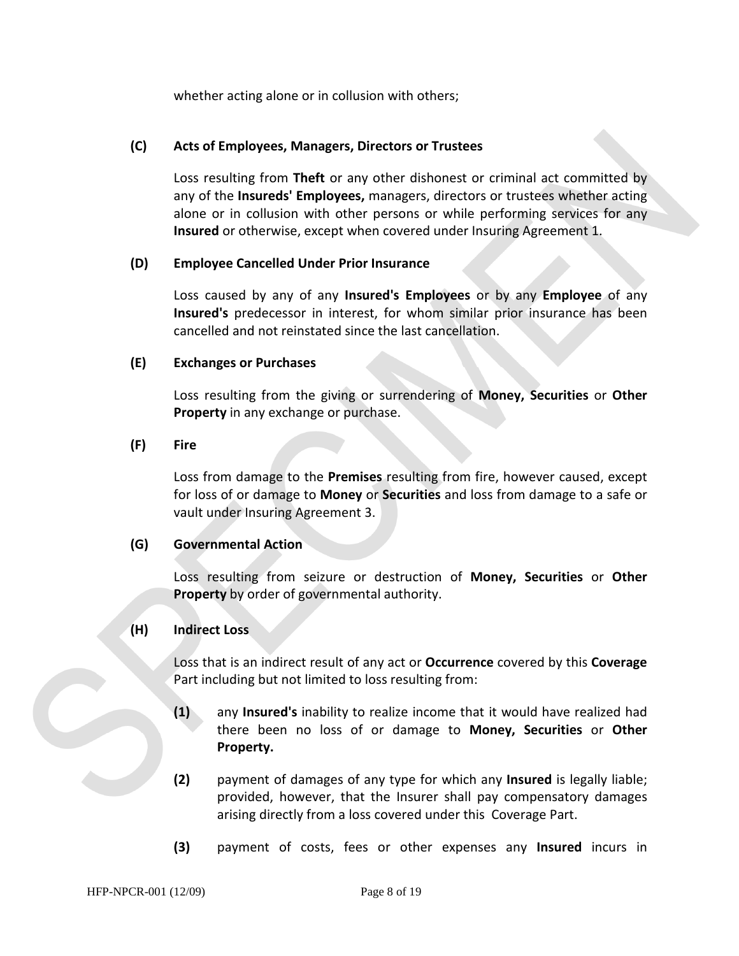whether acting alone or in collusion with others;

#### **(C) Acts of Employees, Managers, Directors or Trustees**

Loss resulting from **Theft** or any other dishonest or criminal act committed by any of the **Insureds' Employees,** managers, directors or trustees whether acting alone or in collusion with other persons or while performing services for any **Insured** or otherwise, except when covered under Insuring Agreement 1.

#### **(D) Employee Cancelled Under Prior Insurance**

Loss caused by any of any **Insured's Employees** or by any **Employee** of any **Insured's** predecessor in interest, for whom similar prior insurance has been cancelled and not reinstated since the last cancellation.

#### **(E) Exchanges or Purchases**

Loss resulting from the giving or surrendering of **Money, Securities** or **Other Property** in any exchange or purchase.

#### **(F) Fire**

Loss from damage to the **Premises** resulting from fire, however caused, except for loss of or damage to **Money** or **Securities** and loss from damage to a safe or vault under Insuring Agreement 3.

#### **(G) Governmental Action**

Loss resulting from seizure or destruction of **Money, Securities** or **Other Property** by order of governmental authority.

#### **(H) Indirect Loss**

Loss that is an indirect result of any act or **Occurrence** covered by this **Coverage** Part including but not limited to loss resulting from:

- **(1)** any **Insured's** inability to realize income that it would have realized had there been no loss of or damage to **Money, Securities** or **Other Property.**
- **(2)** payment of damages of any type for which any **Insured** is legally liable; provided, however, that the Insurer shall pay compensatory damages arising directly from a loss covered under this Coverage Part.
- **(3)** payment of costs, fees or other expenses any **Insured** incurs in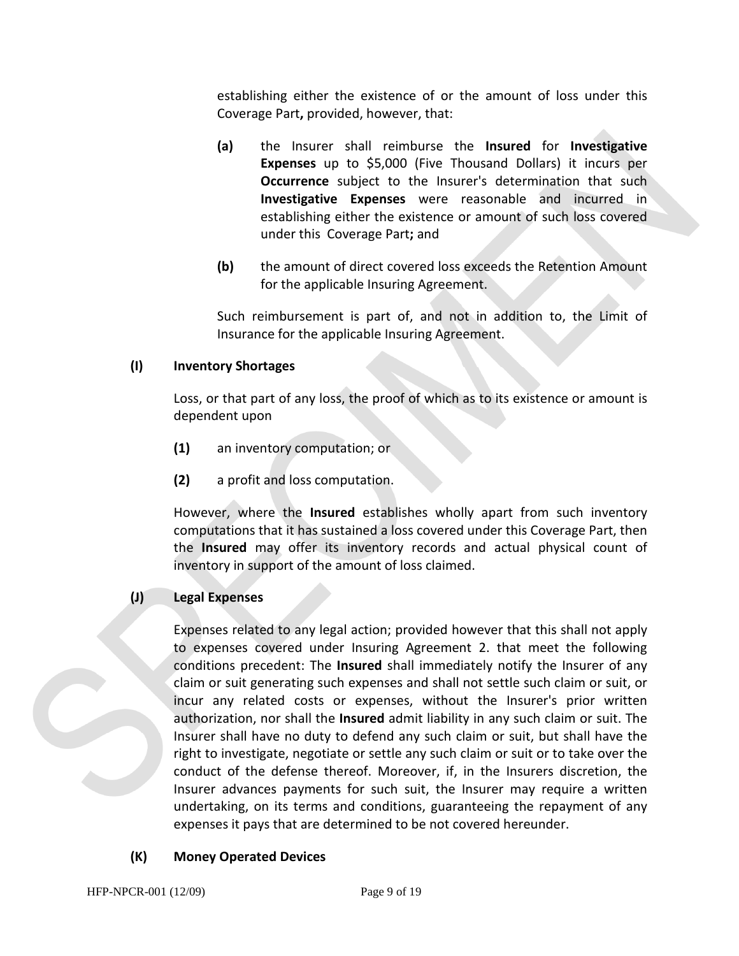establishing either the existence of or the amount of loss under this Coverage Part**,** provided, however, that:

- **(a)** the Insurer shall reimburse the **Insured** for **Investigative Expenses** up to \$5,000 (Five Thousand Dollars) it incurs per **Occurrence** subject to the Insurer's determination that such **Investigative Expenses** were reasonable and incurred in establishing either the existence or amount of such loss covered under this Coverage Part**;** and
- **(b)** the amount of direct covered loss exceeds the Retention Amount for the applicable Insuring Agreement.

Such reimbursement is part of, and not in addition to, the Limit of Insurance for the applicable Insuring Agreement.

# **(I) Inventory Shortages**

Loss, or that part of any loss, the proof of which as to its existence or amount is dependent upon

- **(1)** an inventory computation; or
- **(2)** a profit and loss computation.

However, where the **Insured** establishes wholly apart from such inventory computations that it has sustained a loss covered under this Coverage Part, then the **Insured** may offer its inventory records and actual physical count of inventory in support of the amount of loss claimed.

# **(J) Legal Expenses**

Expenses related to any legal action; provided however that this shall not apply to expenses covered under Insuring Agreement 2. that meet the following conditions precedent: The **Insured** shall immediately notify the Insurer of any claim or suit generating such expenses and shall not settle such claim or suit, or incur any related costs or expenses, without the Insurer's prior written authorization, nor shall the **Insured** admit liability in any such claim or suit. The Insurer shall have no duty to defend any such claim or suit, but shall have the right to investigate, negotiate or settle any such claim or suit or to take over the conduct of the defense thereof. Moreover, if, in the Insurers discretion, the Insurer advances payments for such suit, the Insurer may require a written undertaking, on its terms and conditions, guaranteeing the repayment of any expenses it pays that are determined to be not covered hereunder.

# **(K) Money Operated Devices**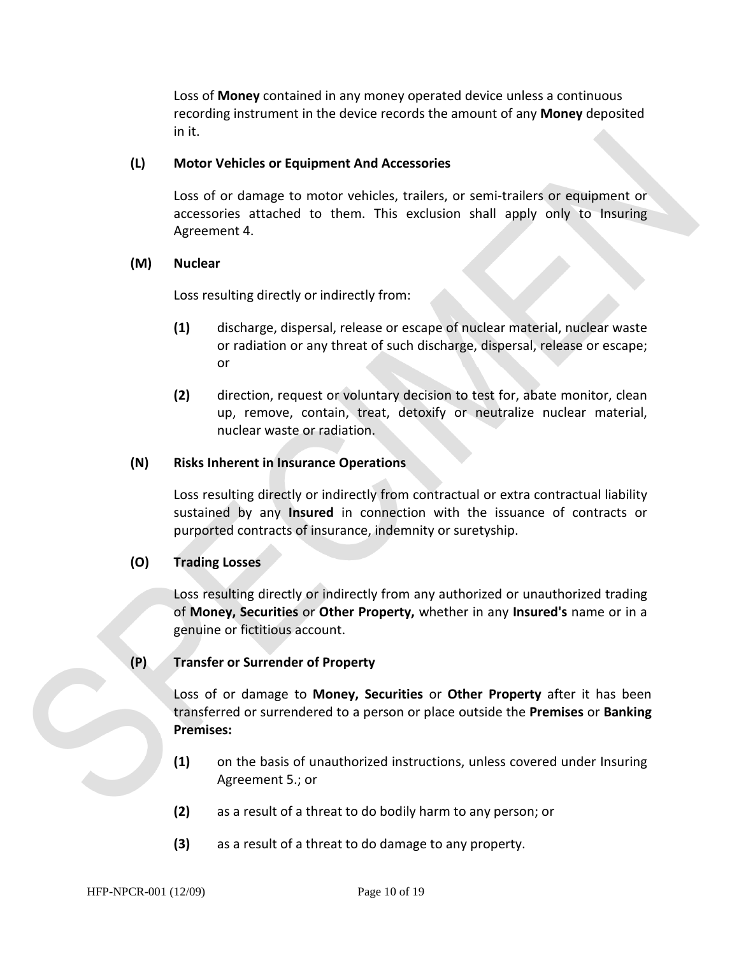Loss of **Money** contained in any money operated device unless a continuous recording instrument in the device records the amount of any **Money** deposited in it.

#### **(L) Motor Vehicles or Equipment And Accessories**

Loss of or damage to motor vehicles, trailers, or semi-trailers or equipment or accessories attached to them. This exclusion shall apply only to Insuring Agreement 4.

#### **(M) Nuclear**

Loss resulting directly or indirectly from:

- **(1)** discharge, dispersal, release or escape of nuclear material, nuclear waste or radiation or any threat of such discharge, dispersal, release or escape; or
- **(2)** direction, request or voluntary decision to test for, abate monitor, clean up, remove, contain, treat, detoxify or neutralize nuclear material, nuclear waste or radiation.

#### **(N) Risks Inherent in Insurance Operations**

Loss resulting directly or indirectly from contractual or extra contractual liability sustained by any **Insured** in connection with the issuance of contracts or purported contracts of insurance, indemnity or suretyship.

#### **(O) Trading Losses**

Loss resulting directly or indirectly from any authorized or unauthorized trading of **Money, Securities** or **Other Property,** whether in any **Insured's** name or in a genuine or fictitious account.

#### **(P) Transfer or Surrender of Property**

Loss of or damage to **Money, Securities** or **Other Property** after it has been transferred or surrendered to a person or place outside the **Premises** or **Banking Premises:** 

- **(1)** on the basis of unauthorized instructions, unless covered under Insuring Agreement 5.; or
- **(2)** as a result of a threat to do bodily harm to any person; or
- **(3)** as a result of a threat to do damage to any property.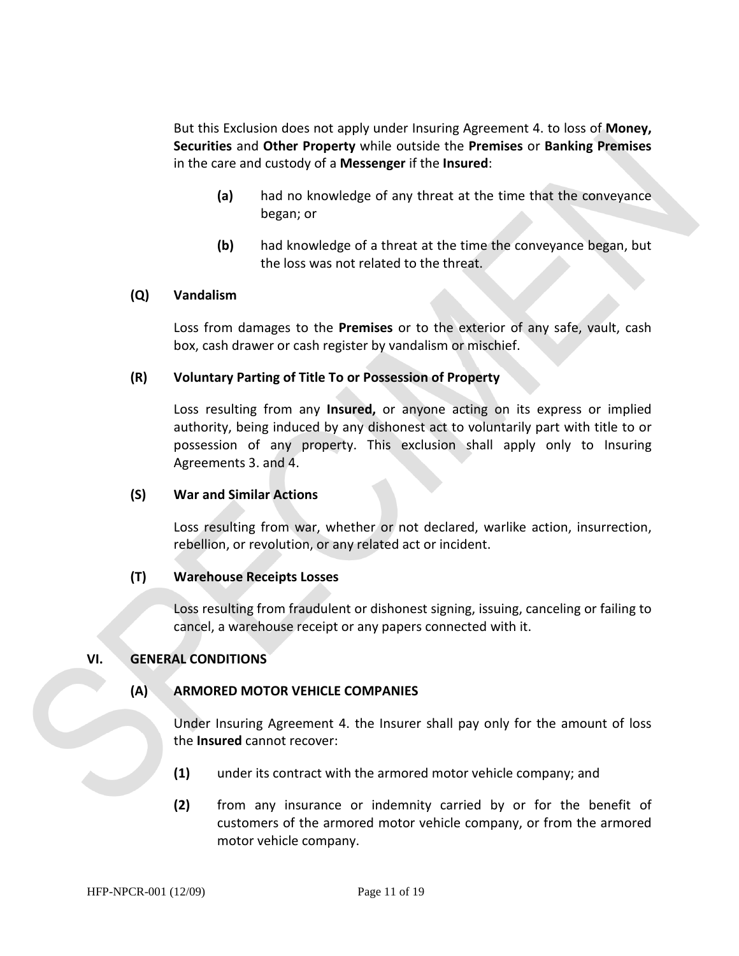But this Exclusion does not apply under Insuring Agreement 4. to loss of **Money, Securities** and **Other Property** while outside the **Premises** or **Banking Premises** in the care and custody of a **Messenger** if the **Insured**:

- **(a)** had no knowledge of any threat at the time that the conveyance began; or
- **(b)** had knowledge of a threat at the time the conveyance began, but the loss was not related to the threat.

#### **(Q) Vandalism**

Loss from damages to the **Premises** or to the exterior of any safe, vault, cash box, cash drawer or cash register by vandalism or mischief.

#### **(R) Voluntary Parting of Title To or Possession of Property**

Loss resulting from any **Insured,** or anyone acting on its express or implied authority, being induced by any dishonest act to voluntarily part with title to or possession of any property. This exclusion shall apply only to Insuring Agreements 3. and 4.

#### **(S) War and Similar Actions**

Loss resulting from war, whether or not declared, warlike action, insurrection, rebellion, or revolution, or any related act or incident.

#### **(T) Warehouse Receipts Losses**

Loss resulting from fraudulent or dishonest signing, issuing, canceling or failing to cancel, a warehouse receipt or any papers connected with it.

#### **VI. GENERAL CONDITIONS**

#### **(A) ARMORED MOTOR VEHICLE COMPANIES**

Under Insuring Agreement 4. the Insurer shall pay only for the amount of loss the **Insured** cannot recover:

- **(1)** under its contract with the armored motor vehicle company; and
- **(2)** from any insurance or indemnity carried by or for the benefit of customers of the armored motor vehicle company, or from the armored motor vehicle company.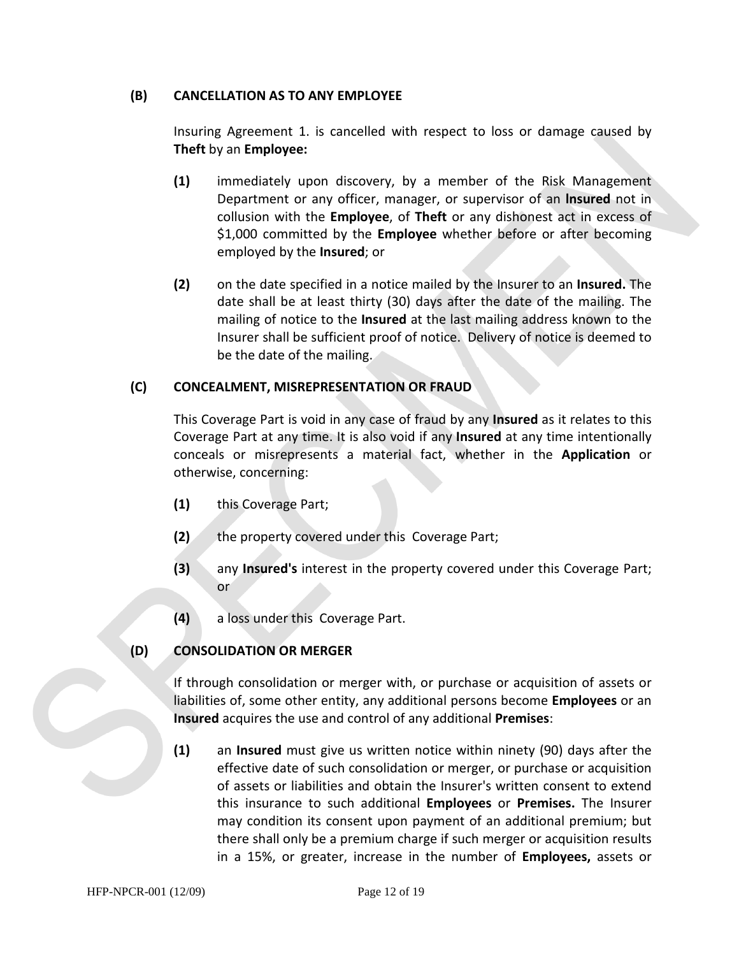#### **(B) CANCELLATION AS TO ANY EMPLOYEE**

Insuring Agreement 1. is cancelled with respect to loss or damage caused by **Theft** by an **Employee:**

- **(1)** immediately upon discovery, by a member of the Risk Management Department or any officer, manager, or supervisor of an **lnsured** not in collusion with the **Employee**, of **Theft** or any dishonest act in excess of \$1,000 committed by the **Employee** whether before or after becoming employed by the **Insured**; or
- **(2)** on the date specified in a notice mailed by the Insurer to an **Insured.** The date shall be at least thirty (30) days after the date of the mailing. The mailing of notice to the **Insured** at the last mailing address known to the Insurer shall be sufficient proof of notice. Delivery of notice is deemed to be the date of the mailing.

# **(C) CONCEALMENT, MISREPRESENTATION OR FRAUD**

This Coverage Part is void in any case of fraud by any **Insured** as it relates to this Coverage Part at any time. It is also void if any **Insured** at any time intentionally conceals or misrepresents a material fact, whether in the **Application** or otherwise, concerning:

- **(1)** this Coverage Part;
- **(2)** the property covered under this Coverage Part;
- **(3)** any **Insured's** interest in the property covered under this Coverage Part; or
- **(4)** a loss under this Coverage Part.

# **(D) CONSOLIDATION OR MERGER**

If through consolidation or merger with, or purchase or acquisition of assets or liabilities of, some other entity, any additional persons become **Employees** or an **Insured** acquires the use and control of any additional **Premises**:

**(1)** an **Insured** must give us written notice within ninety (90) days after the effective date of such consolidation or merger, or purchase or acquisition of assets or liabilities and obtain the Insurer's written consent to extend this insurance to such additional **Employees** or **Premises.** The Insurer may condition its consent upon payment of an additional premium; but there shall only be a premium charge if such merger or acquisition results in a 15%, or greater, increase in the number of **Employees,** assets or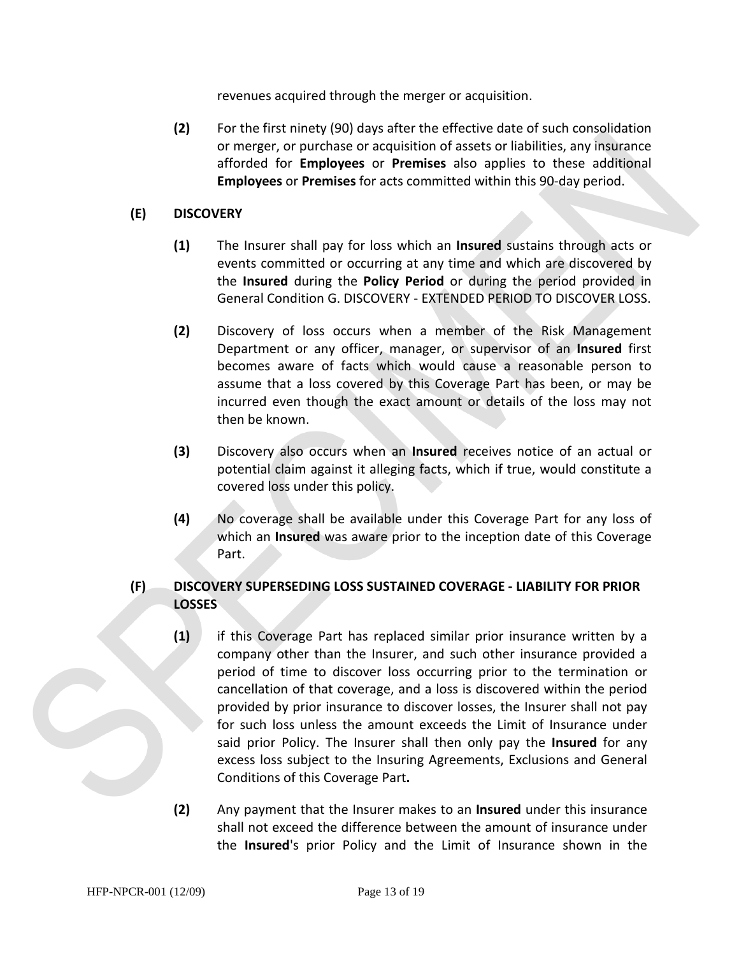revenues acquired through the merger or acquisition.

**(2)** For the first ninety (90) days after the effective date of such consolidation or merger, or purchase or acquisition of assets or liabilities, any insurance afforded for **Employees** or **Premises** also applies to these additional **Employees** or **Premises** for acts committed within this 90-day period.

# **(E) DISCOVERY**

- **(1)** The Insurer shall pay for loss which an **Insured** sustains through acts or events committed or occurring at any time and which are discovered by the **Insured** during the **Policy Period** or during the period provided in General Condition G. DISCOVERY - EXTENDED PERIOD TO DISCOVER LOSS.
- **(2)** Discovery of loss occurs when a member of the Risk Management Department or any officer, manager, or supervisor of an **Insured** first becomes aware of facts which would cause a reasonable person to assume that a loss covered by this Coverage Part has been, or may be incurred even though the exact amount or details of the loss may not then be known.
- **(3)** Discovery also occurs when an **Insured** receives notice of an actual or potential claim against it alleging facts, which if true, would constitute a covered loss under this policy.
- **(4)** No coverage shall be available under this Coverage Part for any loss of which an **Insured** was aware prior to the inception date of this Coverage Part.

# **(F) DISCOVERY SUPERSEDING LOSS SUSTAINED COVERAGE - LIABILITY FOR PRIOR LOSSES**

- **(1)** if this Coverage Part has replaced similar prior insurance written by a company other than the Insurer, and such other insurance provided a period of time to discover loss occurring prior to the termination or cancellation of that coverage, and a loss is discovered within the period provided by prior insurance to discover losses, the Insurer shall not pay for such loss unless the amount exceeds the Limit of Insurance under said prior Policy. The Insurer shall then only pay the **Insured** for any excess loss subject to the Insuring Agreements, Exclusions and General Conditions of this Coverage Part**.**
- **(2)** Any payment that the Insurer makes to an **Insured** under this insurance shall not exceed the difference between the amount of insurance under the **Insured**'s prior Policy and the Limit of Insurance shown in the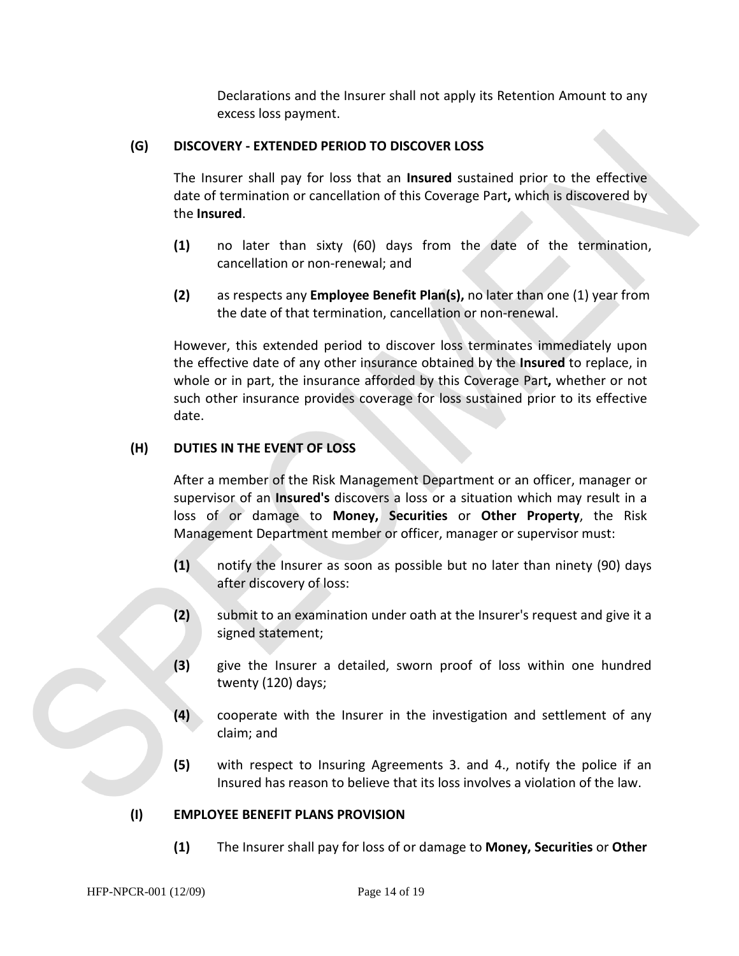Declarations and the Insurer shall not apply its Retention Amount to any excess loss payment.

# **(G) DISCOVERY - EXTENDED PERIOD TO DISCOVER LOSS**

The Insurer shall pay for loss that an **Insured** sustained prior to the effective date of termination or cancellation of this Coverage Part**,** which is discovered by the **Insured**.

- **(1)** no later than sixty (60) days from the date of the termination, cancellation or non-renewal; and
- **(2)** as respects any **Employee Benefit Plan(s),** no later than one (1) year from the date of that termination, cancellation or non-renewal.

However, this extended period to discover loss terminates immediately upon the effective date of any other insurance obtained by the **Insured** to replace, in whole or in part, the insurance afforded by this Coverage Part**,** whether or not such other insurance provides coverage for loss sustained prior to its effective date.

# **(H) DUTIES IN THE EVENT OF LOSS**

After a member of the Risk Management Department or an officer, manager or supervisor of an **Insured's** discovers a loss or a situation which may result in a loss of or damage to **Money, Securities** or **Other Property**, the Risk Management Department member or officer, manager or supervisor must:

- **(1)** notify the Insurer as soon as possible but no later than ninety (90) days after discovery of loss:
- **(2)** submit to an examination under oath at the Insurer's request and give it a signed statement;
- **(3)** give the Insurer a detailed, sworn proof of loss within one hundred twenty (120) days;
- **(4)** cooperate with the Insurer in the investigation and settlement of any claim; and
- **(5)** with respect to Insuring Agreements 3. and 4., notify the police if an Insured has reason to believe that its loss involves a violation of the law.

#### **(I) EMPLOYEE BENEFIT PLANS PROVISION**

**(1)** The Insurer shall pay for loss of or damage to **Money, Securities** or **Other**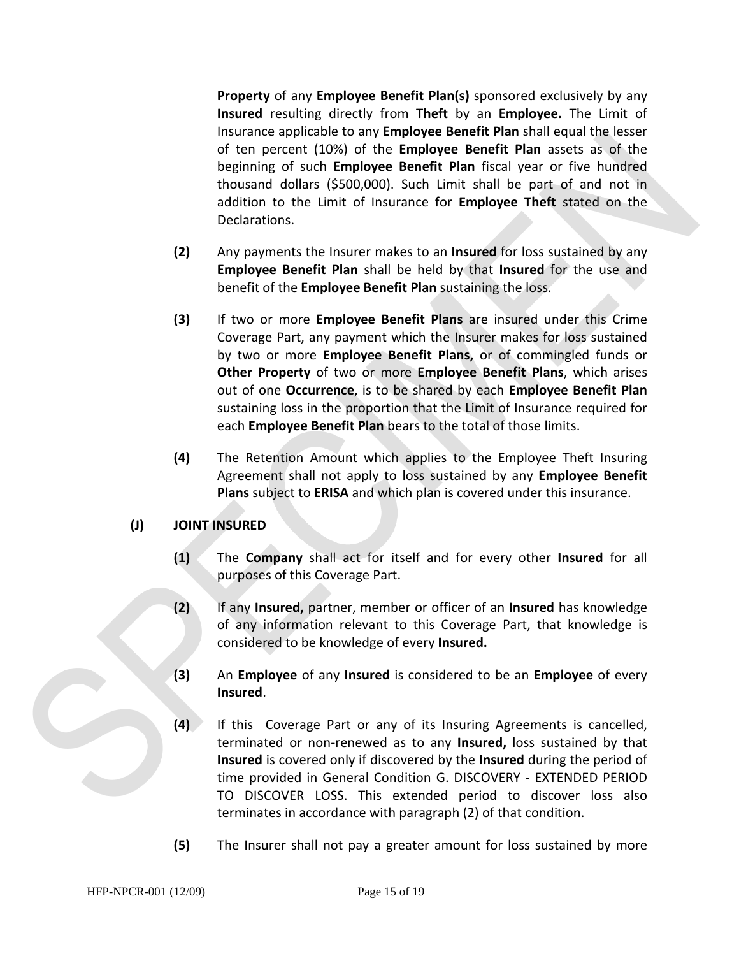**Property** of any **Employee Benefit Plan(s)** sponsored exclusively by any **Insured** resulting directly from **Theft** by an **Employee.** The Limit of Insurance applicable to any **Employee Benefit Plan** shall equal the lesser of ten percent (10%) of the **Employee Benefit Plan** assets as of the beginning of such **Employee Benefit Plan** fiscal year or five hundred thousand dollars (\$500,000). Such Limit shall be part of and not in addition to the Limit of Insurance for **Employee Theft** stated on the Declarations.

- **(2)** Any payments the Insurer makes to an **Insured** for loss sustained by any **Employee Benefit Plan** shall be held by that **Insured** for the use and benefit of the **Employee Benefit Plan** sustaining the loss.
- **(3)** If two or more **Employee Benefit Plans** are insured under this Crime Coverage Part, any payment which the Insurer makes for loss sustained by two or more **Employee Benefit Plans,** or of commingled funds or **Other Property** of two or more **Employee Benefit Plans**, which arises out of one **Occurrence**, is to be shared by each **Employee Benefit Plan**  sustaining loss in the proportion that the Limit of Insurance required for each **Employee Benefit Plan** bears to the total of those limits.
- **(4)** The Retention Amount which applies to the Employee Theft Insuring Agreement shall not apply to loss sustained by any **Employee Benefit Plans** subject to **ERISA** and which plan is covered under this insurance.

# **(J) JOINT INSURED**

- **(1)** The **Company** shall act for itself and for every other **Insured** for all purposes of this Coverage Part.
- **(2)** If any **Insured,** partner, member or officer of an **Insured** has knowledge of any information relevant to this Coverage Part, that knowledge is considered to be knowledge of every **Insured.**
- **(3)** An **Employee** of any **Insured** is considered to be an **Employee** of every **Insured**.
- **(4)** If this Coverage Part or any of its Insuring Agreements is cancelled, terminated or non-renewed as to any **Insured,** loss sustained by that **Insured** is covered only if discovered by the **Insured** during the period of time provided in General Condition G. DISCOVERY - EXTENDED PERIOD TO DISCOVER LOSS. This extended period to discover loss also terminates in accordance with paragraph (2) of that condition.
- **(5)** The Insurer shall not pay a greater amount for loss sustained by more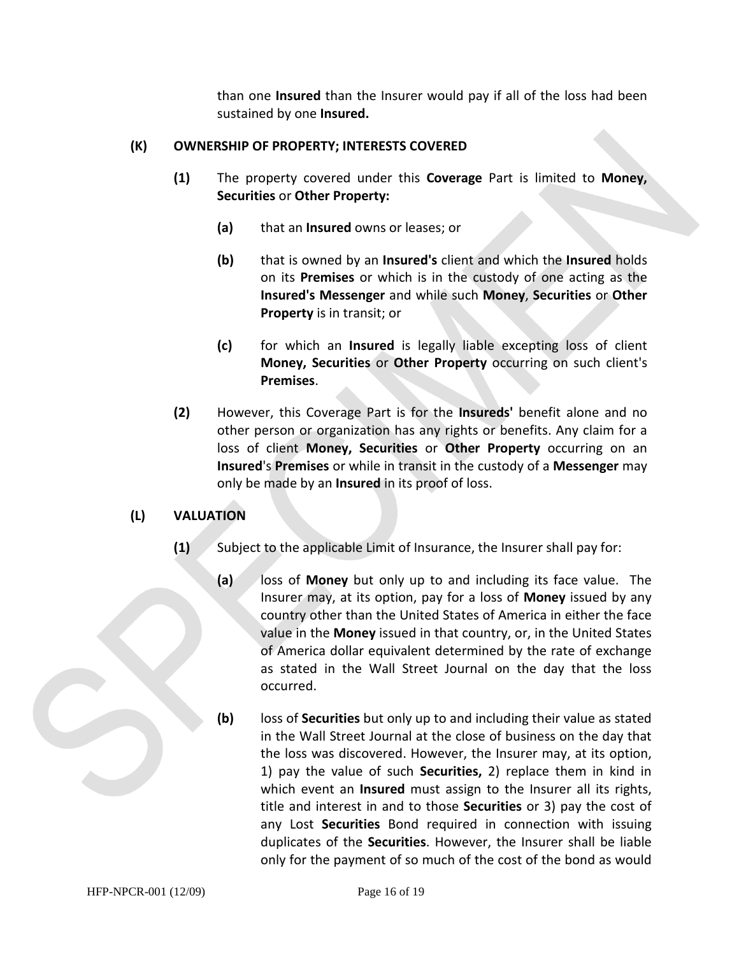than one **Insured** than the Insurer would pay if all of the loss had been sustained by one **Insured.** 

### **(K) OWNERSHIP OF PROPERTY; INTERESTS COVERED**

- **(1)** The property covered under this **Coverage** Part is limited to **Money, Securities** or **Other Property:**
	- **(a)** that an **Insured** owns or leases; or
	- **(b)** that is owned by an **Insured's** client and which the **Insured** holds on its **Premises** or which is in the custody of one acting as the **Insured's Messenger** and while such **Money**, **Securities** or **Other Property** is in transit; or
	- **(c)** for which an **Insured** is legally liable excepting loss of client **Money, Securities** or **Other Property** occurring on such client's **Premises**.
- **(2)** However, this Coverage Part is for the **Insureds'** benefit alone and no other person or organization has any rights or benefits. Any claim for a loss of client **Money, Securities** or **Other Property** occurring on an **Insured**'s **Premises** or while in transit in the custody of a **Messenger** may only be made by an **Insured** in its proof of loss.

# **(L) VALUATION**

- **(1)** Subject to the applicable Limit of Insurance, the Insurer shall pay for:
	- **(a)** loss of **Money** but only up to and including its face value. The Insurer may, at its option, pay for a loss of **Money** issued by any country other than the United States of America in either the face value in the **Money** issued in that country, or, in the United States of America dollar equivalent determined by the rate of exchange as stated in the Wall Street Journal on the day that the loss occurred.
	- **(b)** loss of **Securities** but only up to and including their value as stated in the Wall Street Journal at the close of business on the day that the loss was discovered. However, the Insurer may, at its option, 1) pay the value of such **Securities,** 2) replace them in kind in which event an **Insured** must assign to the Insurer all its rights, title and interest in and to those **Securities** or 3) pay the cost of any Lost **Securities** Bond required in connection with issuing duplicates of the **Securities**. However, the Insurer shall be liable only for the payment of so much of the cost of the bond as would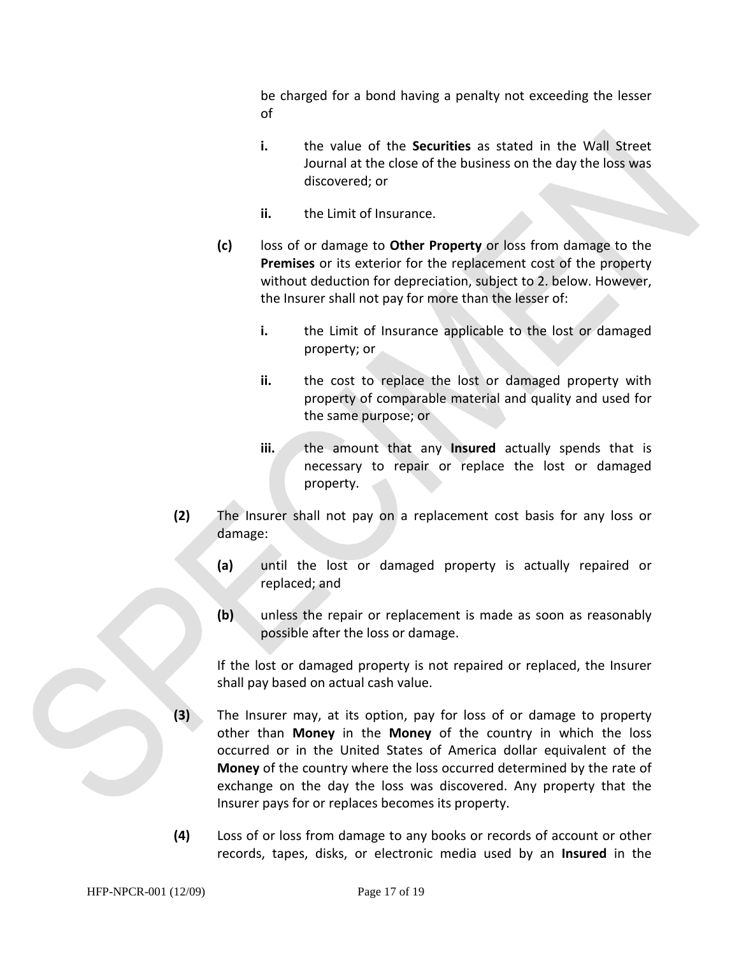be charged for a bond having a penalty not exceeding the lesser of

- **i.** the value of the **Securities** as stated in the Wall Street Journal at the close of the business on the day the loss was discovered; or
- **ii.** the Limit of Insurance.
- **(c)** loss of or damage to **Other Property** or loss from damage to the **Premises** or its exterior for the replacement cost of the property without deduction for depreciation, subject to 2. below. However, the Insurer shall not pay for more than the lesser of:
	- **i.** the Limit of Insurance applicable to the lost or damaged property; or
	- **ii.** the cost to replace the lost or damaged property with property of comparable material and quality and used for the same purpose; or
	- **iii.** the amount that any **Insured** actually spends that is necessary to repair or replace the lost or damaged property.
- **(2)** The Insurer shall not pay on a replacement cost basis for any loss or damage:
	- **(a)** until the lost or damaged property is actually repaired or replaced; and
	- **(b)** unless the repair or replacement is made as soon as reasonably possible after the loss or damage.

If the lost or damaged property is not repaired or replaced, the Insurer shall pay based on actual cash value.

- **(3)** The Insurer may, at its option, pay for loss of or damage to property other than **Money** in the **Money** of the country in which the loss occurred or in the United States of America dollar equivalent of the **Money** of the country where the loss occurred determined by the rate of exchange on the day the loss was discovered. Any property that the Insurer pays for or replaces becomes its property.
- **(4)** Loss of or loss from damage to any books or records of account or other records, tapes, disks, or electronic media used by an **Insured** in the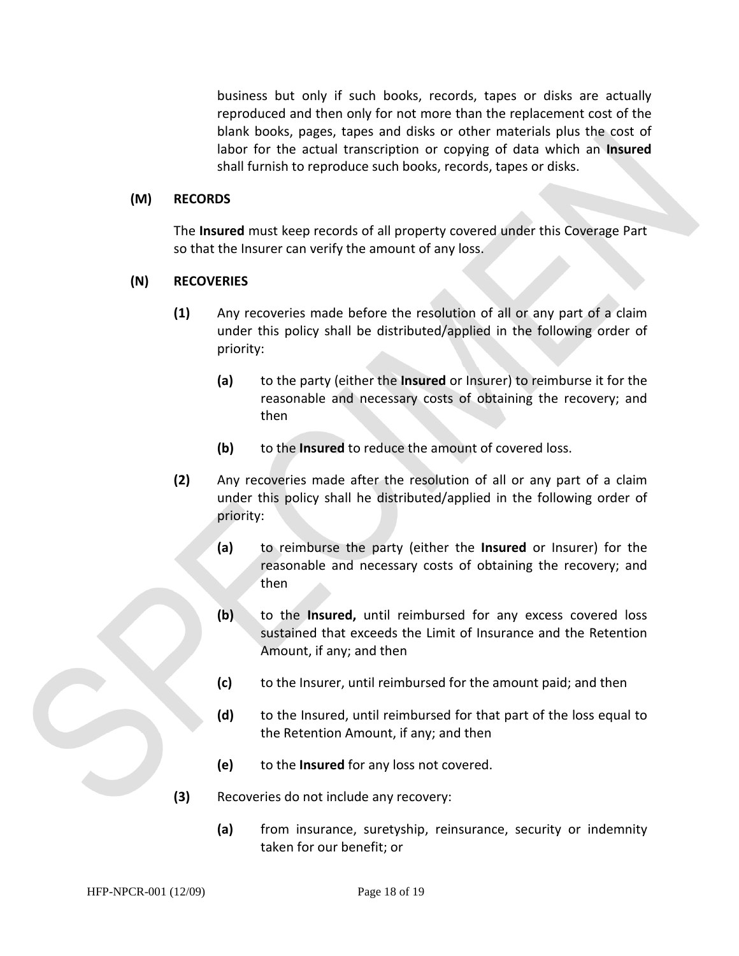business but only if such books, records, tapes or disks are actually reproduced and then only for not more than the replacement cost of the blank books, pages, tapes and disks or other materials plus the cost of labor for the actual transcription or copying of data which an **Insured** shall furnish to reproduce such books, records, tapes or disks.

#### **(M) RECORDS**

The **Insured** must keep records of all property covered under this Coverage Part so that the Insurer can verify the amount of any loss.

#### **(N) RECOVERIES**

- **(1)** Any recoveries made before the resolution of all or any part of a claim under this policy shall be distributed/applied in the following order of priority:
	- **(a)** to the party (either the **Insured** or Insurer) to reimburse it for the reasonable and necessary costs of obtaining the recovery; and then
	- **(b)** to the **Insured** to reduce the amount of covered loss.
- **(2)** Any recoveries made after the resolution of all or any part of a claim under this policy shall he distributed/applied in the following order of priority:
	- **(a)** to reimburse the party (either the **Insured** or Insurer) for the reasonable and necessary costs of obtaining the recovery; and then
	- **(b)** to the **Insured,** until reimbursed for any excess covered loss sustained that exceeds the Limit of Insurance and the Retention Amount, if any; and then
	- **(c)** to the Insurer, until reimbursed for the amount paid; and then
	- **(d)** to the Insured, until reimbursed for that part of the loss equal to the Retention Amount, if any; and then
	- **(e)** to the **Insured** for any loss not covered.
- **(3)** Recoveries do not include any recovery:
	- **(a)** from insurance, suretyship, reinsurance, security or indemnity taken for our benefit; or